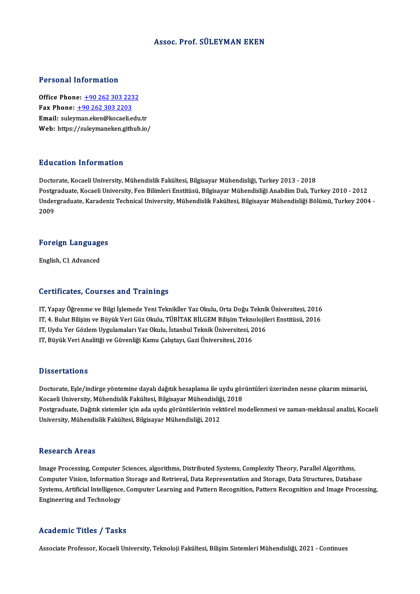#### Assoc. Prof. SÜLEYMAN EKEN

#### Personal Information

**Personal Information<br>Office Phone: +90 262 303 2232<br>Fax Phone: +90 262 202 2202** Fax Phone: <u>+90 262 303 223</u><br>Fax Phone: <u>+90 262 303 2203</u><br>Fmail: sulayman elsen@lseaslie Office Phone: <u>+90 262 303 2232</u><br>Fax Phone: <u>+90 262 303 2203</u><br>Email: suley[man.eken@kocaeli.](tel:+90 262 303 2203)[edu](tel:+90 262 303 2232).tr<br>Web: https://suleyman.ekon.gitbub.jo Fax Phone:  $\pm 90\,262\,303\,2203$ <br>Email: suleyman.eken@kocaeli.edu.tr<br>Web: https://suleymaneken.github.io/

#### Education Information

Doctorate, Kocaeli University, Mühendislik Fakültesi, Bilgisayar Mühendisliği, Turkey 2013 - 2018 Pu u sustsa "Anton mustsan"<br>Doctorate, Kocaeli University, Mühendislik Fakültesi, Bilgisayar Mühendisliği, Turkey 2013 - 2018<br>Postgraduate, Kocaeli University, Fen Bilimleri Enstitüsü, Bilgisayar Mühendisliği Anabilim Dalı Undergraduate, Karadeniz Technical University, Mühendislik Fakültesi, Bilgisayar Mühendisliği Bölümü, Turkey 2004 -<br>2009 Postgi<br>Under<br>2009

## <sub>2009</sub><br>Foreign Languages F<mark>oreign Languag</mark>e<br>English, C1 Advanced

# English, C1 Advanced<br>Certificates, Courses and Trainings

- IT, Yapay Öğrenme ve Bilgi İşlemede Yeni Teknikller Yaz Okulu, Orta Doğu Teknik Üniversitesi, 2016 UST EHTUGEUS) USUFUSU GIFA FFAHHINGU<br>IT, Yapay Öğrenme ve Bilgi İşlemede Yeni Teknikller Yaz Okulu, Orta Doğu Teknik Üniversitesi, 2016<br>IT, Hırdı Yer Gözlem Hırgılamaları Yaz Okulu, TÜBİTAK BİLGEM Bilişim Teknolojileri Ens IT, Yapay Öğrenme ve Bilgi İşlemede Yeni Teknikller Yaz Okulu, Orta Doğu Teknik<br>IT, 4. Bulut Bilişim ve Büyük Veri Güz Okulu, TÜBİTAK BİLGEM Bilişim Teknolojil<br>IT, Uydu Yer Gözlem Uygulamaları Yaz Okulu, İstanbul Teknik Ün
- 
- IT, 4. Bulut Bilişim ve Büyük Veri Güz Okulu, TÜBİTAK BİLGEM Bilişim Tekno<br>IT, Uydu Yer Gözlem Uygulamaları Yaz Okulu, İstanbul Teknik Üniversitesi, 2<br>IT, Büyük Veri Analitiği ve Güvenliği Kamu Çalıştayı, Gazi Üniversitesi
- IT, Büyük Veri Analitiği ve Güvenliği Kamu Çalıştayı, Gazi Üniversitesi, 2016<br>Dissertations

Dissertations<br>Doctorate, Eşle/indirge yöntemine dayalı dağıtık hesaplama ile uydu görüntüleri üzerinden nesne çıkarım mimarisi,<br>Kogali University, Mühandislik Faltültesi, Bilgiseyar Mühandisliği, 2019 Basser tarrens<br>Doctorate, Eşle/indirge yöntemine dayalı dağıtık hesaplama ile uydu gör<br>Kocaeli University, Mühendislik Fakültesi, Bilgisayar Mühendisliği, 2018<br>Postanaduata, Doğulk sistemler isin ada uydu görüntülerinin ye Doctorate, Eşle/indirge yöntemine dayalı dağıtık hesaplama ile uydu görüntüleri üzerinden nesne çıkarım mimarisi,<br>Kocaeli University, Mühendislik Fakültesi, Bilgisayar Mühendisliği, 2018<br>Postgraduate, Dağıtık sistemler içi Kocaeli University, Mühendislik Fakültesi, Bilgisayar Mühendisliği, 2018<br>Postgraduate, Dağıtık sistemler için ada uydu görüntülerinin vektörel modellenmesi ve zaman-mekânsal analizi, Kocaeli<br>University, Mühendislik Fakülte

#### **Research Areas**

Research Areas<br>Image Processing, Computer Sciences, algorithms, Distributed Systems, Complexity Theory, Parallel Algorithms,<br>Computer Vision, Information Sterage and Betrievel, Data Benresentation and Sterage, Data Structu resear on 11 sas<br>Image Processing, Computer Sciences, algorithms, Distributed Systems, Complexity Theory, Parallel Algorithms,<br>Computer Vision, Information Storage and Retrieval, Data Representation and Storage, Data Struc Image Processing, Computer Sciences, algorithms, Distributed Systems, Complexity Theory, Parallel Algorithms,<br>Computer Vision, Information Storage and Retrieval, Data Representation and Storage, Data Structures, Database<br>S Computer Vision, Informatior<br>Systems, Artificial Intelligence<br>Engineering and Technology Engineering and Technology<br>Academic Titles / Tasks

Associate Professor, Kocaeli University, Teknoloji Fakültesi, Bilisim Sistemleri Mühendisliği, 2021 - Continues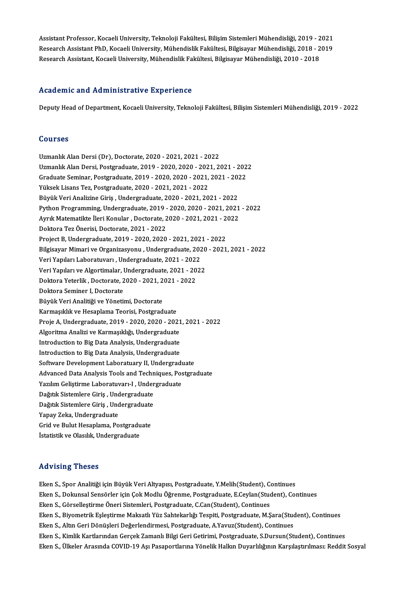Assistant Professor, Kocaeli University, Teknoloji Fakültesi, Bilişim Sistemleri Mühendisliği, 2019 - 2021<br>Researsh Assistant PhD, Kosaeli University, Mühendielik Fakültesi, Bilgiseyar Mühendieliği, 2019 - 2010 Assistant Professor, Kocaeli University, Teknoloji Fakültesi, Bilişim Sistemleri Mühendisliği, 2019 - 2021<br>Research Assistant PhD, Kocaeli University, Mühendislik Fakültesi, Bilgisayar Mühendisliği, 2018 - 2019<br>Research As Assistant Professor, Kocaeli University, Teknoloji Fakültesi, Bilişim Sistemleri Mühendisliği, 2019 - 2<br>Research Assistant PhD, Kocaeli University, Mühendislik Fakültesi, Bilgisayar Mühendisliği, 2018 - 2<br>Research Assistan Research Assistant, Kocaeli University, Mühendislik Fakültesi, Bilgisayar Mühendisliği, 2010 - 2018<br>Academic and Administrative Experience

Deputy Head of Department, Kocaeli University, Teknoloji Fakültesi, Bilişim Sistemleri Mühendisliği, 2019 - 2022

#### Courses

UzmanlıkAlanDersi (Dr),Doctorate,2020 -2021,2021 -2022 Uzmanlık Alan Dersi (Dr), Doctorate, 2020 - 2021, 2021 - 2022<br>Uzmanlık Alan Dersi, Postgraduate, 2019 - 2020, 2020 - 2021, 2021 - 2022<br>Creduate Seminer, Postgraduate, 2019 - 2020, 2020 - 2021, 2021 - 2022 Uzmanlık Alan Dersi (Dr), Doctorate, 2020 - 2021, 2021 - 2022<br>Uzmanlık Alan Dersi, Postgraduate, 2019 - 2020, 2020 - 2021, 2021 - 202<br>Graduate Seminar, Postgraduate, 2019 - 2020, 2020 - 2021, 2021 - 2022<br>Vülgek Lisens Tex, Uzmanlık Alan Dersi, Postgraduate, 2019 - 2020, 2020 - 202<br>Graduate Seminar, Postgraduate, 2019 - 2020, 2020 - 2021,<br>Yüksek Lisans Tez, Postgraduate, 2020 - 2021, 2021 - 2022<br>Büyük Veri Analizine Ciris, Undergraduate, 2020 Graduate Seminar, Postgraduate, 2019 - 2020, 2020 - 2021, 2021 - 2022<br>Yüksek Lisans Tez, Postgraduate, 2020 - 2021, 2021 - 2022<br>Büyük Veri Analizine Giris . Undergraduate. 2020 - 2021. 2021 - 2022 Yüksek Lisans Tez, Postgraduate, 2020 - 2021, 2021 - 2022<br>Büyük Veri Analizine Giriş , Undergraduate, 2020 - 2021, 2021 - 2022<br>Python Programming, Undergraduate, 2019 - 2020, 2020 - 2021, 2021 - 2022<br>Ayrıl: Matematikta İle Büyük Veri Analizine Giriş , Undergraduate, 2020 - 2021, 2021 - 2022<br>Python Programming, Undergraduate, 2019 - 2020, 2020 - 2021, 2021<br>Ayrık Matematikte İleri Konular , Doctorate, 2020 - 2021, 2021 - 2022<br>Polttora Tez Öner Ayrık Matematikte İleri Konular , Doctorate, 2020 - 2021, 2021 - 2022<br>Doktora Tez Önerisi, Doctorate, 2021 - 2022 Ayrık Matematikte İleri Konular , Doctorate, 2020 - 2021, 2021 - 2<br>Doktora Tez Önerisi, Doctorate, 2021 - 2022<br>Project B, Undergraduate, 2019 - 2020, 2020 - 2021, 2021 - 2022<br>Bilgisayar Mimari ve Organizasyonu, Undergradua Doktora Tez Önerisi, Doctorate, 2021 - 2022<br>Project B, Undergraduate, 2019 - 2020, 2020 - 2021, 2021 - 2022<br>Bilgisayar Mimari ve Organizasyonu , Undergraduate, 2020 - 2021, 2021 - 2022<br>Veri Yapıları Laberatuvaru, Undergrad Project B, Undergraduate, 2019 - 2020, 2020 - 2021, 202<br>Bilgisayar Mimari ve Organizasyonu , Undergraduate, 202<br>Veri Yapıları Laboratuvarı , Undergraduate, 2021 - 2022<br>Veri Yapıları ve Alzortimalar, Undergraduate, 2021 - 2 Bilgisayar Mimari ve Organizasyonu , Undergraduate, 2020<br>Veri Yapıları Laboratuvarı , Undergraduate, 2021 - 2022<br>Veri Yapıları ve Algortimalar, Undergraduate, 2021 - 2022<br>Pektera Yeterlik, Desterate 2020, 2021-2021, 2022 Veri Yapıları Laboratuvarı , Undergraduate, 2021 - 2022<br>Veri Yapıları ve Algortimalar, Undergraduate, 2021 - 202<br>Doktora Yeterlik , Doctorate, 2020 - 2021, 2021 - 2022<br>Doktora Seminer I, Doctorate Veri Yapıları ve Algortimalar, Undergraduate, 2021 - 2022 Büyük Veri Analitiği ve Yönetimi, Doctorate Doktora Seminer I, Doctorate<br>Büyük Veri Analitiği ve Yönetimi, Doctorate<br>Karmaşıklık ve Hesaplama Teorisi, Postgraduate<br>Preja A Undergraduate 2019, 2020, 2020, 202 Proje A, Undergraduate, 2019 - 2020, 2020 - 2021, 2021 - 2022<br>Algoritma Analizi ve Karmaşıklığı, Undergraduate Karmaşıklık ve Hesaplama Teorisi, Postgraduate<br>Proje A, Undergraduate, 2019 - 2020, 2020 - 2021<br>Algoritma Analizi ve Karmaşıklığı, Undergraduate<br>Introduation to Big Data Analysis Undergraduate Proje A, Undergraduate, 2019 - 2020, 2020 - 2021<br>Algoritma Analizi ve Karmaşıklığı, Undergraduate<br>Introduction to Big Data Analysis, Undergraduate<br>Introduction to Big Data Analysis, Undergraduate Algoritma Analizi ve Karmaşıklığı, Undergraduate<br>Introduction to Big Data Analysis, Undergraduate<br>Introduction to Big Data Analysis, Undergraduate<br>Seftyare Develenment Laberatyawy II. Undergrad Introduction to Big Data Analysis, Undergraduate<br>Software Development Laboratuary II, Undergraduate Introduction to Big Data Analysis, Undergraduate<br>Software Development Laboratuary II, Undergraduate<br>Advanced Data Analysis Tools and Techniques, Postgraduate<br>Verilim Colistinme Laboratuvery L. Undergraduate Software Development Laboratuary II, Undergradu<br>Advanced Data Analysis Tools and Techniques, Pos<br>Yazılım Geliştirme Laboratuvarı-I , Undergraduate<br>Dağıtık Sistemlere Ciris, Undergraduate Advanced Data Analysis Tools and Techn<br>Yazılım Geliştirme Laboratuvarı-I , Under<br>Dağıtık Sistemlere Giriş , Undergraduate<br>Dağıtık Sistemlere Giriş , Undergraduate Yazılım Geliştirme Laboratuvarı-I , Under<br>Dağıtık Sistemlere Giriş , Undergraduate<br>Dağıtık Sistemlere Giriş , Undergraduate<br>Yanay Zaka Undergraduate Dağıtık Sistemlere Giriş , Und<br>Dağıtık Sistemlere Giriş , Und<br>Yapay Zeka, Undergraduate<br>Crid ve Bulut Hesaplama, Bo Dağıtık Sistemlere Giriş , Undergraduate<br>Yapay Zeka, Undergraduate<br>Grid ve Bulut Hesaplama, Postgraduate<br>İstatistik ve Olasılık Undergraduate Yapay Zeka, Undergraduate<br>Grid ve Bulut Hesaplama, Postgraduate<br>İstatistik ve Olasılık, Undergraduate

#### Advising Theses

- Eken S., Spor Analitiği için Büyük Veri Altyapısı, Postgraduate, Y.Melih(Student), Continues
- EkenS.,DokunsalSensörler içinÇokModluÖğrenme,Postgraduate,E.Ceylan(Student),Continues
- Eken S., Görselleştirme Öneri Sistemleri, Postgraduate, C.Can(Student), Continues
- Eken S., Dokunsal Sensörler için Çok Modlu Öğrenme, Postgraduate, E.Ceylan(Student), Continues<br>Eken S., Görselleştirme Öneri Sistemleri, Postgraduate, C.Can(Student), Continues<br>Eken S., Biyometrik Eşleştirme Maksatlı Yüz S Eken S., Görselleştirme Öneri Sistemleri, Postgraduate, C.Can(Student), Continues<br>Eken S., Biyometrik Eşleştirme Maksatlı Yüz Sahtekarlığı Tespiti, Postgraduate, M.Şara(Stud<br>Eken S., Altın Geri Dönüşleri Değerlendirmesi, P
- 
- Eken S., Biyometrik Eşleştirme Maksatlı Yüz Sahtekarlığı Tespiti, Postgraduate, M.Şara(Student), Continues<br>Eken S., Altın Geri Dönüşleri Değerlendirmesi, Postgraduate, A.Yavuz(Student), Continues<br>Eken S., Kimlik Kartlarınd Eken S., Altın Geri Dönüşleri Değerlendirmesi, Postgraduate, A.Yavuz(Student), Continues<br>Eken S., Kimlik Kartlarından Gerçek Zamanlı Bilgi Geri Getirimi, Postgraduate, S.Dursun(Student), Continues<br>Eken S., Ülkeler Arasında
-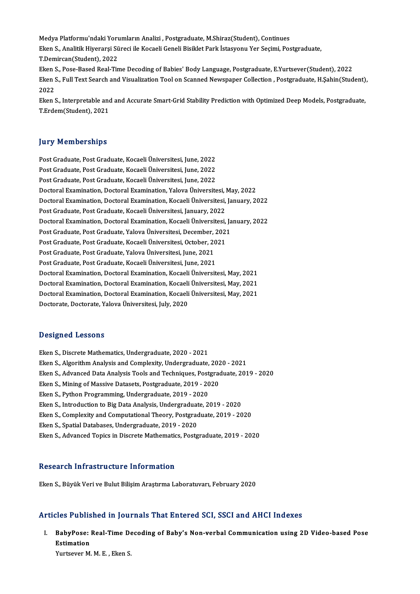Medya Platformu'ndaki Yorumların Analizi , Postgraduate, M.Shiraz(Student), Continues<br>Flon S. Analitik Hiverarei Süregi ile Kosasli Ceneli Bisiklet Park İstasyonu Yor Sesimi, Pes Eken S., Analitik Hiyerarşi Süreci ile Kocaeli Geneli Bisiklet Park İstasyonu Yer Seçimi, Postgraduate,<br>T.Demircan(Student), 2022 Medya Platformu'ndaki Yoru<br>Eken S., Analitik Hiyerarşi Sü<br>T.Demircan(Student), 2022<br>Ekan S., Base Based Beal Tir Eken S., Analitik Hiyerarşi Süreci ile Kocaeli Geneli Bisiklet Park İstasyonu Yer Seçimi, Postgraduate,<br>T.Demircan(Student), 2022<br>Eken S., Pose-Based Real-Time Decoding of Babies' Body Language, Postgraduate, E.Yurtsever(S T.Demircan(Student), 2022<br>Eken S., Pose-Based Real-Time Decoding of Babies' Body Language, Postgraduate, E.Yurtsever(Student), 2022<br>Eken S., Full Text Search and Visualization Tool on Scanned Newspaper Collection , Postgra

Eken<br>Eken :<br>2022<br>Eken : Eken S., Full Text Search and Visualization Tool on Scanned Newspaper Collection , Postgraduate, H.Şahin(Student)<br>2022<br>Eken S., Interpretable and and Accurate Smart-Grid Stability Prediction with Optimized Deep Models, Pos

2022<br>Eken S., Interpretable and and Accurate Smart-Grid Stability Prediction with Optimized Deep Models, Postgraduate,<br>T.Erdem(Student), 2021

#### **Jury Memberships**

Jury Memberships<br>Post Graduate, Post Graduate, Kocaeli Üniversitesi, June, 2022<br>Post Craduate, Post Craduate, Kosaeli Üniversitesi, June, 2022 Post Graduate, Post Graduate, Kocaeli Üniversitesi, June, 2022<br>Post Graduate, Post Graduate, Kocaeli Üniversitesi, June, 2022<br>Post Craduate, Post Craduate, Kocaeli Üniversitesi, June, 2022 Post Graduate, Post Graduate, Kocaeli Üniversitesi, June, 2022<br>Post Graduate, Post Graduate, Kocaeli Üniversitesi, June, 2022<br>Post Graduate, Post Graduate, Kocaeli Üniversitesi, June, 2022<br>Postoral Examination, Dostoral Ex Post Graduate, Post Graduate, Kocaeli Üniversitesi, June, 2022<br>Post Graduate, Post Graduate, Kocaeli Üniversitesi, June, 2022<br>Doctoral Examination, Doctoral Examination, Yalova Üniversitesi, May, 2022 Post Graduate, Post Graduate, Kocaeli Üniversitesi, June, 2022<br>Doctoral Examination, Doctoral Examination, Yalova Üniversitesi, May, 2022<br>Doctoral Examination, Doctoral Examination, Kocaeli Üniversitesi, January, 2022<br>Pest Doctoral Examination, Doctoral Examination, Yalova Üniversitesi, J<br>Doctoral Examination, Doctoral Examination, Kocaeli Üniversitesi,<br>Post Graduate, Post Graduate, Kocaeli Üniversitesi, January, 2022<br>Doctoral Examination, D Doctoral Examination, Doctoral Examination, Kocaeli Üniversitesi, January, 2022<br>Post Graduate, Post Graduate, Kocaeli Üniversitesi, January, 2022<br>Doctoral Examination, Doctoral Examination, Kocaeli Üniversitesi, January, 2 Post Graduate, Post Graduate, Kocaeli Üniversitesi, January, 2022<br>Doctoral Examination, Doctoral Examination, Kocaeli Üniversitesi, Ja<br>Post Graduate, Post Graduate, Yalova Üniversitesi, December, 2021<br>Post Craduate, Post C Doctoral Examination, Doctoral Examination, Kocaeli Üniversitesi,<br>Post Graduate, Post Graduate, Yalova Üniversitesi, December, 2021<br>Post Graduate, Post Graduate, Kocaeli Üniversitesi, October, 2021<br>Post Craduate, Post Crad Post Graduate, Post Graduate, Yalova Üniversitesi, December,<br>Post Graduate, Post Graduate, Kocaeli Üniversitesi, October, 20<br>Post Graduate, Post Graduate, Yalova Üniversitesi, June, 2021<br>Post Graduate, Post Graduate, Kocae Post Graduate, Post Graduate, Kocaeli Üniversitesi, October, 2021<br>Post Graduate, Post Graduate, Yalova Üniversitesi, June, 2021<br>Post Graduate, Post Graduate, Kocaeli Üniversitesi, June, 2021 DoctoralExamination,DoctoralExamination,KocaeliÜniversitesi,May,2021 Doctoral Examination, Doctoral Examination, Kocaeli Üniversitesi, May, 2021 Doctoral Examination, Doctoral Examination, Kocaeli Üniversitesi, May, 2021<br>Doctoral Examination, Doctoral Examination, Kocaeli Üniversitesi, May, 2021<br>Doctoral Examination, Doctoral Examination, Kocaeli Üniversitesi, May, Doctoral Examination, Doctoral Examination, Kocaeli<br>Doctoral Examination, Doctoral Examination, Kocaeli<br>Doctorate, Doctorate, Yalova Üniversitesi, July, 2020 Doctorate, Doctorate, Yalova Üniversitesi, July, 2020<br>Designed Lessons

Eken S., Discrete Mathematics, Undergraduate, 2020 - 2021 Eken S., Algorithm Analysis and Complexity, Undergraduate, 2020 - 2021 Eken S., Discrete Mathematics, Undergraduate, 2020 - 2021<br>Eken S., Algorithm Analysis and Complexity, Undergraduate, 2020 - 2021<br>Eken S., Advanced Data Analysis Tools and Techniques, Postgraduate, 2019 - 2020<br>Eken S., Mini Eken S., Algorithm Analysis and Complexity, Undergraduate, 202<br>Eken S., Advanced Data Analysis Tools and Techniques, Postgrad<br>Eken S., Mining of Massive Datasets, Postgraduate, 2019 - 2020<br>Eken S., Buthon Programming, Unde Eken S., Advanced Data Analysis Tools and Techniques, Post<br>Eken S., Mining of Massive Datasets, Postgraduate, 2019 - 20<br>Eken S., Python Programming, Undergraduate, 2019 - 2020<br>Eken S., Introduction to Big Data Analysis, Un Eken S., Mining of Massive Datasets, Postgraduate, 2019 - 2020<br>Eken S., Python Programming, Undergraduate, 2019 - 2020<br>Eken S., Introduction to Big Data Analysis, Undergraduate, 2019 - 2020<br>Eken S., Complexity and Computat Eken S., Python Programming, Undergraduate, 2019 - 2020<br>Eken S., Introduction to Big Data Analysis, Undergraduate, 2019 - 2020<br>Eken S., Complexity and Computational Theory, Postgraduate, 2019 - 2020<br>Eken S., Spatial Databa Eken S., Introduction to Big Data Analysis, Undergraduat<br>Eken S., Complexity and Computational Theory, Postgrad<br>Eken S., Spatial Databases, Undergraduate, 2019 - 2020<br>Eken S., Advanced Tonics in Discrete Mathematics, Besta Eken S., Complexity and Computational Theory, Postgraduate, 2019 - 2020<br>Eken S., Spatial Databases, Undergraduate, 2019 - 2020<br>Eken S., Advanced Topics in Discrete Mathematics, Postgraduate, 2019 - 2020

#### Research Infrastructure Information

Eken S., Büyük Veri ve Bulut Bilişim Araştırma Laboratuvarı, February 2020

#### Articles Published in Journals That Entered SCI, SSCI and AHCI Indexes

rticles Published in Journals That Entered SCI, SSCI and AHCI Indexes<br>I. BabyPose: Real-Time Decoding of Baby's Non-verbal Communication using 2D Video-based Pose<br>Estimation Estimation<br>Estimation<br>Estimation BabyPose: Real-Time De<br>Estimation<br>Yurtsever M. M. E. , Eken S.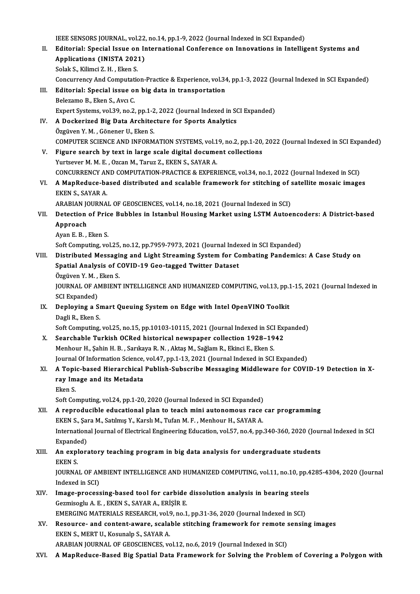- IEEE SENSORS JOURNAL, vol.22, no.14, pp.1-9, 2022 (Journal Indexed in SCI Expanded) IEEE SENSORS JOURNAL, vol.22, no.14, pp.1-9, 2022 (Journal Indexed in SCI Expanded)<br>II. Editorial: Special Issue on International Conference on Innovations in Intelligent Systems and<br>Annligations (INISTA 2021) **IEEE SENSORS JOURNAL, vol.22**<br>**Editorial: Special Issue on In<br>Applications (INISTA 2021)**<br>Selak S. Kilimgi 7, H., Elion S. Editorial: Special Issue on<br>Applications (INISTA 202)<br>Solak S., Kilimci Z. H. , Eken S.<br>Congurrengy And Computatio Applications (INISTA 2021)<br>Solak S., Kilimci Z. H. , Eken S.<br>Concurrency And Computation-Practice & Experience, vol.34, pp.1-3, 2022 (Journal Indexed in SCI Expanded)<br>Editorial: Special issue on big data in transportation Solak S., Kilimci Z. H. , Eken S.<br>Concurrency And Computation-Practice & Experience, vol.34<br>III. Editorial: Special issue on big data in transportation<br>Belezamo B., Eken S., Avcı C. Concurrency And Computati<br>**Editorial: Special issue o**<br>Belezamo B., Eken S., Avcı C.<br>Evnert Systems vel 30 no 2 Expert Systems, vol.39, no.2, pp.1-2, 2022 (Journal Indexed in SCI Expanded) Belezamo B., Eken S., Avcı C.<br>Expert Systems, vol.39, no.2, pp.1-2, 2022 (Journal Indexed in SONTINGLET AT Dockerized Big Data Architecture for Sports Analytics Expert Systems, vol.39, no.2, pp.1-2<br>A Dockerized Big Data Archited<br>Özgüven Y. M. , Gönener U., Eken S.<br>COMPUTER SCIENCE AND INFORM A Dockerized Big Data Architecture for Sports Analytics<br>Özgüven Y. M. , Gönener U., Eken S.<br>COMPUTER SCIENCE AND INFORMATION SYSTEMS, vol.19, no.2, pp.1-20, 2022 (Journal Indexed in SCI Expanded)<br>Figure search by tayt in l Özgüven Y. M., Gönener U., Eken S.<br>COMPUTER SCIENCE AND INFORMATION SYSTEMS, vol.19, no.2, pp.1-20,<br>V. Figure search by text in large scale digital document collections<br>Yurtsever M. M. E., Ozcan M., Taruz Z., EKEN S., SAYA COMPUTER SCIENCE AND INFORMATION SYSTEMS, vol.1<br>Figure search by text in large scale digital docume<br>Yurtsever M. M. E. , Ozcan M., Taruz Z., EKEN S., SAYAR A.<br>CONCUPPENCY AND COMPUTATION PRACTICE & EVPER Figure search by text in large scale digital document collections<br>Yurtsever M. M. E. , Ozcan M., Taruz Z., EKEN S., SAYAR A.<br>CONCURRENCY AND COMPUTATION-PRACTICE & EXPERIENCE, vol.34, no.1, 2022 (Journal Indexed in SCI)<br>A Yurtsever M. M. E. , Ozcan M., Taruz Z., EKEN S., SAYAR A.<br>CONCURRENCY AND COMPUTATION-PRACTICE & EXPERIENCE, vol.34, no.1, 2022 (Journal Indexed in SCI)<br>VI. A MapReduce-based distributed and scalable framework for stitchi CONCURRENCY AN<br>A MapReduce-ba<br>EKEN S., SAYAR A.<br>ARABIAN IOURNA A MapReduce-based distributed and scalable framework for stitching of :<br>EKEN S., SAYAR A.<br>ARABIAN JOURNAL OF GEOSCIENCES, vol.14, no.18, 2021 (Journal Indexed in SCI)<br>Detection of Price Pubbles in Istanbul Housing Market u EKEN S., SAYAR A.<br>ARABIAN JOURNAL OF GEOSCIENCES, vol.14, no.18, 2021 (Journal Indexed in SCI)<br>VII. Detection of Price Bubbles in Istanbul Housing Market using LSTM Autoencoders: A District-based<br>Approach ARABIAN JOURNAL OF GEOSCIENCES, vol.14, no.18, 2021 (Journal Indexed in SCI) Ayan E.B., Eken S. Soft Computing, vol.25, no.12, pp.7959-7973, 2021 (Journal Indexed in SCI Expanded) VIII. Distributed Messaging and Light Streaming System for Combating Pandemics: A Case Study on Soft Computing, vol.25, no.12, pp.7959-7973, 2021 (Journal Inde<br>Distributed Messaging and Light Streaming System for Co<br>Spatial Analysis of COVID-19 Geo-tagged Twitter Dataset<br>Özgüven Y. M., Eken S Distributed Messagi<br>Spatial Analysis of C<br>Özgüven Y. M. , Eken S.<br>JOUPNAL OF AMPIENT Spatial Analysis of COVID-19 Geo-tagged Twitter Dataset<br>Özgüven Y. M. , Eken S.<br>JOURNAL OF AMBIENT INTELLIGENCE AND HUMANIZED COMPUTING, vol.13, pp.1-15, 2021 (Journal Indexed in<br>SCL Evpanded) Özgüven Y. M. ,<br>JOURNAL OF Al<br>SCI Expanded)<br>Donloving e S JOURNAL OF AMBIENT INTELLIGENCE AND HUMANIZED COMPUTING, vol.13, pp.1<br>SCI Expanded)<br>IX. Deploying a Smart Queuing System on Edge with Intel OpenVINO Toolkit<br>Dagli B. Ekan S SCI Expanded)<br>Deploying a SI<br>Dagli R., Eken S.<br>Seft Computing Deploying a Smart Queuing System on Edge with Intel OpenVINO Toolkit<br>Dagli R., Eken S.<br>Soft Computing, vol.25, no.15, pp.10103-10115, 2021 (Journal Indexed in SCI Expanded)<br>Searshable Turkish OCRed bistoriaal newspaper sel Dagli R., Eken S.<br>Soft Computing, vol.25, no.15, pp.10103-10115, 2021 (Journal Indexed in SCI Exp<br>X. Searchable Turkish OCRed historical newspaper collection 1928–1942<br>Manhour H. Sobin H. B., Sarltaug B. N., Altae M. Sağla Soft Computing, vol.25, no.15, pp.10103-10115, 2021 (Journal Indexed in SCI<br>Searchable Turkish OCRed historical newspaper collection 1928–19<br>Menhour H., Şahin H. B. , Sarıkaya R. N. , Aktaş M., Sağlam R., Ekinci E., Eken S Searchable Turkish OCRed historical newspaper collection 1928–1942<br>Menhour H., Şahin H. B., Sarıkaya R. N., Aktaş M., Sağlam R., Ekinci E., Eken S.<br>Journal Of Information Science, vol.47, pp.1-13, 2021 (Journal Indexed in Menhour H., Şahin H. B. , Sarıkaya R. N. , Aktaş M., Sağlam R., Ekinci E., Eken S.<br>Journal Of Information Science, vol.47, pp.1-13, 2021 (Journal Indexed in SCI Expanded)<br>XI. A Topic-based Hierarchical Publish-Subscrib Journal Of Information Science,<br>A Topic-based Hierarchical<br>ray Image and its Metadata<br>Elson S A Topi<br>ray Im<br>Eken S.<br>Seft Co ray Image and its Metadata<br>Eken S.<br>Soft Computing, vol.24, pp.1-20, 2020 (Journal Indexed in SCI Expanded) XII. A reproducible educational plan to teach mini autonomous race car programming Soft Computing, vol.24, pp.1-20, 2020 (Journal Indexed in SCI Expanded)<br>A reproducible educational plan to teach mini autonomous race<br>EKEN S., Şara M., Satılmış Y., Karslı M., Tufan M. F. , Menhour H., SAYAR A.<br>Internation International Journal of Electrical Engineering Education, vol.57, no.4, pp.340-360, 2020 (Journal Indexed in SCI<br>Expanded) EKEN S., Şar<br>Internation:<br>Expanded)<br>An explore International Journal of Electrical Engineering Education, vol.57, no.4, pp.340-360, 2020 (Journal Expanded)<br>XIII. An exploratory teaching program in big data analysis for undergraduate students Expande<br>**An expl<br>EKEN S.**<br>JOUPMA An exploratory teaching program in big data analysis for undergraduate students<br>EKEN S.<br>JOURNAL OF AMBIENT INTELLIGENCE AND HUMANIZED COMPUTING, vol.11, no.10, pp.4285-4304, 2020 (Journal<br>Indeved in SCD EKEN S.<br>JOURNAL OF AN<br>Indexed in SCI)<br>Imaga process JOURNAL OF AMBIENT INTELLIGENCE AND HUMANIZED COMPUTING, vol.11, no.10, pp.4<br>Indexed in SCI)<br>XIV. Image-processing-based tool for carbide dissolution analysis in bearing steels<br>Comming the REEN S SAVARA EDISIDE Indexed in SCI)<br>Image-processing-based tool for carbide<br>Gezmisoglu A. E. , EKEN S., SAYAR A., ERİŞİR E.<br>EMERCINC MATERIALS RESEARCH .vol 9. p.9.1 Image-processing-based tool for carbide dissolution analysis in bearing steels<br>Gezmisoglu A. E. , EKEN S., SAYAR A., ERİŞİR E.<br>EMERGING MATERIALS RESEARCH, vol.9, no.1, pp.31-36, 2020 (Journal Indexed in SCI)<br>Beseures, and Gezmisoglu A. E. , EKEN S., SAYAR A., ERİŞİR E.<br>EMERGING MATERIALS RESEARCH, vol.9, no.1, pp.31-36, 2020 (Journal Indexed in SCI)<br>XV. Resource- and content-aware, scalable stitching framework for remote sensing images<br> EMERGING MATERIALS RESEARCH, vol.<br>Resource- and content-aware, scala<br>EKEN S., MERT U., Kosunalp S., SAYAR A.<br>ARAPIAN JOURNAL OF CEOSCIENCES, vo Resource- and content-aware, scalable stitching framework for remote :<br>EKEN S., MERT U., Kosunalp S., SAYAR A.<br>ARABIAN JOURNAL OF GEOSCIENCES, vol.12, no.6, 2019 (Journal Indexed in SCI)<br>A ManBedues, Based Big Spatial Data EKEN S., MERT U., Kosunalp S., SAYAR A.<br>ARABIAN JOURNAL OF GEOSCIENCES, vol.12, no.6, 2019 (Journal Indexed in SCI)<br>XVI. A MapReduce-Based Big Spatial Data Framework for Solving the Problem of Covering a Polygon with
-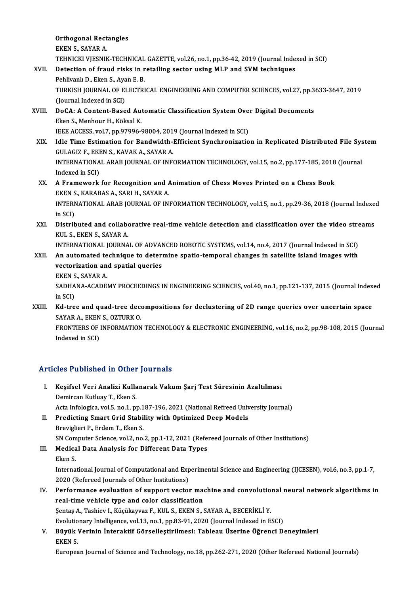|        | <b>Orthogonal Rectangles</b>                                                                                                     |
|--------|----------------------------------------------------------------------------------------------------------------------------------|
|        | EKEN S., SAYAR A                                                                                                                 |
|        | TEHNICKI VJESNIK-TECHNICAL GAZETTE, vol.26, no.1, pp.36-42, 2019 (Journal Indexed in SCI)                                        |
| XVII.  | Detection of fraud risks in retailing sector using MLP and SVM techniques                                                        |
|        | Pehlivanlı D., Eken S., Ayan E. B.                                                                                               |
|        | TURKISH JOURNAL OF ELECTRICAL ENGINEERING AND COMPUTER SCIENCES, vol.27, pp.3633-3647, 2019                                      |
|        | (Journal Indexed in SCI)                                                                                                         |
| XVIII. | DoCA: A Content-Based Automatic Classification System Over Digital Documents                                                     |
|        | Eken S., Menhour H., Köksal K.                                                                                                   |
|        | IEEE ACCESS, vol.7, pp.97996-98004, 2019 (Journal Indexed in SCI)                                                                |
| XIX.   | Idle Time Estimation for Bandwidth-Efficient Synchronization in Replicated Distributed File System                               |
|        | GULAGIZ F., EKEN S., KAVAK A., SAYAR A.                                                                                          |
|        | INTERNATIONAL ARAB JOURNAL OF INFORMATION TECHNOLOGY, vol.15, no.2, pp.177-185, 2018 (Journal                                    |
|        | Indexed in SCI)                                                                                                                  |
| XX.    | A Framework for Recognition and Animation of Chess Moves Printed on a Chess Book                                                 |
|        | EKEN S., KARABAS A., SARI H., SAYAR A.                                                                                           |
|        | INTERNATIONAL ARAB JOURNAL OF INFORMATION TECHNOLOGY, vol.15, no.1, pp.29-36, 2018 (Journal Indexed<br>in SCI)                   |
| XXI.   | Distributed and collaborative real-time vehicle detection and classification over the video streams<br>KUL S., EKEN S., SAYAR A. |
|        | INTERNATIONAL JOURNAL OF ADVANCED ROBOTIC SYSTEMS, vol.14, no.4, 2017 (Journal Indexed in SCI)                                   |
| XXII.  | An automated technique to determine spatio-temporal changes in satellite island images with                                      |
|        | vectorization and spatial queries                                                                                                |
|        | EKEN S., SAYAR A.                                                                                                                |
|        | SADHANA-ACADEMY PROCEEDINGS IN ENGINEERING SCIENCES, vol.40, no.1, pp.121-137, 2015 (Journal Indexed<br>in SCI)                  |
| XXIII. | Kd-tree and quad-tree decompositions for declustering of 2D range queries over uncertain space<br>SAYAR A, EKEN S, OZTURK O      |
|        | FRONTIERS OF INFORMATION TECHNOLOGY & ELECTRONIC ENGINEERING, vol.16, no.2, pp.98-108, 2015 (Journal<br>Indexed in SCI)          |
|        |                                                                                                                                  |

### Articles Published in Other Journals

- rticles Published in Other Journals<br>I. Keşifsel Veri Analizi Kullanarak Vakum Şarj Test Süresinin Azaltılması<br>Romingar Kutluau T. Ekan S Demircan Kutluay T., Eken S.<br>Acta Infologica, vol.5, no.1, pp.187-196, 2021 (National Refreed University Journal) Keşifsel Veri Analizi Kullanarak Vakum Şarj Test Süresinin Azaltılması<br>Demircan Kutluay T., Eken S.<br>Acta Infologica, vol.5, no.1, pp.187-196, 2021 (National Refreed University Journal)<br>Predisting Smart Crid Stability with
- II. Predicting Smart Grid Stability with Optimized Deep Models Breviglieri P., Erdem T., Eken S. Predicting Smart Grid Stability with Optimized Deep Models<br>Breviglieri P., Erdem T., Eken S.<br>SN Computer Science, vol.2, no.2, pp.1-12, 2021 (Refereed Journals of Other Institutions)<br>Medical Data Analysis for Different Dat
- III. Medical Data Analysis for Different Data Types<br>Eken S. SN Com<br>Medica<br>Eken S.<br>Interna Medical Data Analysis for Different Data Types<br>Eken S.<br>International Journal of Computational and Experimental Science and Engineering (IJCESEN), vol.6, no.3, pp.1-7, Eken S.<br>International Journal of Computational and Exp<br>2020 (Refereed Journals of Other Institutions)<br>Performanes evaluation of sunnent vester

International Journal of Computational and Experimental Science and Engineering (IJCESEN), vol.6, no.3, pp.1-7,<br>2020 (Refereed Journals of Other Institutions)<br>IV. Performance evaluation of support vector machine and convol 2020 (Refereed Journals of Other Institutions)<br>Performance evaluation of support vector macreal-time vehicle type and color classification<br>Sentes A. Teshiou L. Küsükovyar E. KULS, EKENS, S. Performance evaluation of support vector machine and convolutio<br>real-time vehicle type and color classification<br>Şentaş A., Tashiev I., Küçükayvaz F., KUL S., EKEN S., SAYAR A., BECERİKLİ Y.<br>Fyelytianary Intelligence vel 12 real-time vehicle type and color classification<br>Şentaş A., Tashiev I., Küçükayvaz F., KUL S., EKEN S., SAYAR A., BECERİKLİ Y.<br>Evolutionary Intelligence, vol.13, no.1, pp.83-91, 2020 (Journal Indexed in ESCI)<br>Büyük Verinin

Şentaş A., Tashiev I., Küçükayvaz F., KUL S., EKEN S., SAYAR A., BECERİKLİ Y.<br>Evolutionary Intelligence, vol.13, no.1, pp.83-91, 2020 (Journal Indexed in ESCI)<br>V. Büyük Verinin İnteraktif Görselleştirilmesi: Tableau Üz Evolutio<br>Büyük<br>EKEN S.<br>Europes

European Journal of Science and Technology, no.18, pp.262-271, 2020 (Other Refereed National Journals)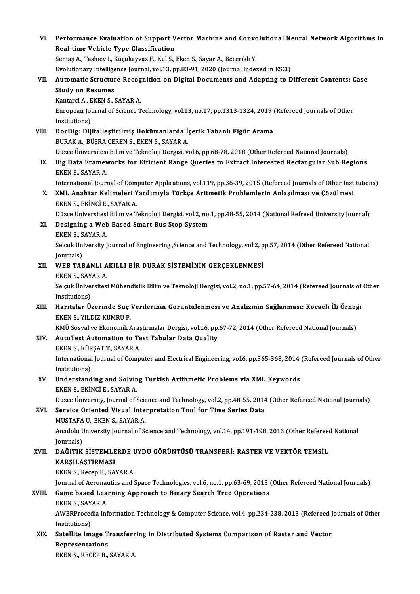| VI.    | Performance Evaluation of Support Vector Machine and Convolutional Neural Network Algorithms in<br>Real-time Vehicle Type Classification |
|--------|------------------------------------------------------------------------------------------------------------------------------------------|
|        | Şentaş A., Tashiev I., Küçükayvaz F., Kul S., Eken S., Sayar A., Becerikli Y.                                                            |
|        | Evolutionary Intelligence Journal, vol.13, pp.83-91, 2020 (Journal Indexed in ESCI)                                                      |
| VII.   | Automatic Structure Recognition on Digital Documents and Adapting to Different Contents: Case                                            |
|        | <b>Study on Resumes</b>                                                                                                                  |
|        | Kantarci A., EKEN S., SAYAR A.                                                                                                           |
|        | European Journal of Science Technology, vol.13, no.17, pp.1313-1324, 2019 (Refereed Journals of Other<br>Institutions)                   |
| VIII.  | DocDig: Dijitalleştirilmiş Dokümanlarda İçerik Tabanlı Figür Arama                                                                       |
|        | BURAK A., BÜŞRA CEREN S., EKEN S., SAYAR A.                                                                                              |
|        | Düzce Üniversitesi Bilim ve Teknoloji Dergisi, vol.6, pp.68-78, 2018 (Other Refereed National Journals)                                  |
| IX.    | Big Data Frameworks for Efficient Range Queries to Extract Interested Rectangular Sub Regions                                            |
|        | EKEN S, SAYAR A                                                                                                                          |
|        | International Journal of Computer Applications, vol.119, pp.36-39, 2015 (Refereed Journals of Other Institutions)                        |
| X.     | XML Anahtar Kelimeleri Yardımıyla Türkçe Aritmetik Problemlerin Anlaşılması ve Çözülmesi<br>EKEN S., EKİNCİ E., SAYAR A.                 |
|        | Düzce Üniversitesi Bilim ve Teknoloji Dergisi, vol.2, no.1, pp.48-55, 2014 (National Refreed University Journal)                         |
| XI.    | Designing a Web Based Smart Bus Stop System<br>EKEN S., SAYAR A                                                                          |
|        | Selcuk University Journal of Engineering ,Science and Technology, vol.2, pp.57, 2014 (Other Refereed National                            |
|        | Journals)                                                                                                                                |
| XII.   | WEB TABANLI AKILLI BİR DURAK SİSTEMİNİN GERÇEKLENMESİ                                                                                    |
|        | EKEN S., SAYAR A.                                                                                                                        |
|        | Selçuk Üniversitesi Mühendislik Bilim ve Teknoloji Dergisi, vol.2, no.1, pp.57-64, 2014 (Refereed Journals of Other                      |
|        | Institutions)                                                                                                                            |
| XIII.  | Haritalar Üzerinde Suç Verilerinin Görüntülenmesi ve Analizinin Sağlanması: Kocaeli İli Örneği                                           |
|        | EKEN S., YILDIZ KUMRU P.                                                                                                                 |
|        | KMÜ Sosyal ve Ekonomik Araştırmalar Dergisi, vol.16, pp.67-72, 2014 (Other Refereed National Journals)                                   |
| XIV.   | AutoTest Automation to Test Tabular Data Quality                                                                                         |
|        | EKEN S., KÜRŞAT T., SAYAR A.                                                                                                             |
|        | International Journal of Computer and Electrical Engineering, vol.6, pp.365-368, 2014 (Refereed Journals of Other                        |
|        | Institutions)                                                                                                                            |
| XV.    | Understanding and Solving Turkish Arithmetic Problems via XML Keywords                                                                   |
|        | EKEN S., EKİNCİ E., SAYAR A.                                                                                                             |
|        | Düzce Üniversity, Journal of Science and Technology, vol.2, pp.48-55, 2014 (Other Refereed National Journals)                            |
| XVI.   | Service Oriented Visual Interpretation Tool for Time Series Data                                                                         |
|        | MUSTAFA U., EKEN S., SAYAR A.                                                                                                            |
|        | Anadolu University Journal of Science and Technology, vol.14, pp.191-198, 2013 (Other Refereed National                                  |
|        | Journals)                                                                                                                                |
| XVII.  | DAĞITIK SİSTEMLERDE UYDU GÖRÜNTÜSÜ TRANSFERİ: RASTER VE VEKTÖR TEMSİL                                                                    |
|        | KARŞILAŞTIRMASI                                                                                                                          |
|        | EKEN S., Recep B., SAYAR A.                                                                                                              |
|        | Journal of Aeronautics and Space Technologies, vol.6, no.1, pp.63-69, 2013 (Other Refereed National Journals)                            |
| XVIII. | Game based Learning Approach to Binary Search Tree Operations                                                                            |
|        | EKEN S., SAYAR A                                                                                                                         |
|        | AWERProcedia Information Technology & Computer Science, vol.4, pp.234-238, 2013 (Refereed Journals of Other                              |
|        | Institutions)                                                                                                                            |
| XIX.   | Satellite Image Transferring in Distributed Systems Comparison of Raster and Vector                                                      |
|        | Representations                                                                                                                          |
|        | EKEN S., RECEP B., SAYAR A.                                                                                                              |
|        |                                                                                                                                          |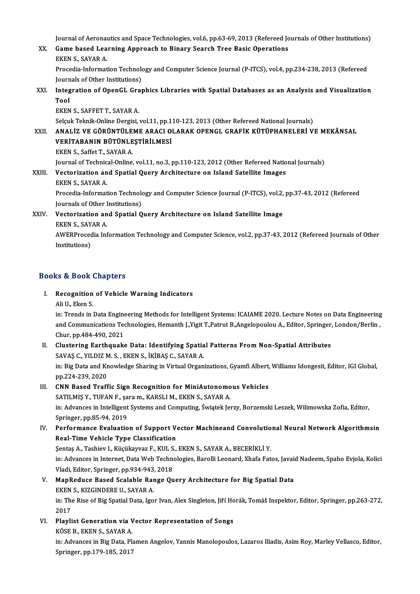Journal of Aeronautics and Space Technologies, vol.6, pp.63-69, 2013 (Refereed Journals of Other Institutions)<br>Came based Jeanning Annneash to Binary Search Tree Basis Operations

Journal of Aeronautics and Space Technologies, vol.6, pp.63-69, 2013 (Refereed Joness)<br>XX. Game based Learning Approach to Binary Search Tree Basic Operations Journal of Aeronal<br>Game based Lea<br>EKEN S., SAYAR A.<br>Presedia Informat Game based Learning Approach to Binary Search Tree Basic Operations<br>EKEN S., SAYAR A.<br>Procedia-Information Technology and Computer Science Journal (P-ITCS), vol.4, pp.234-238, 2013 (Refereed<br>Journals of Other Institutions) EKEN S., SAYAR A.<br>Procedia-Information Technolo<br>Journals of Other Institutions)<br>Integration of OpenCL Crea Procedia-Information Technology and Computer Science Journal (P-ITCS), vol.4, pp.234-238, 2013 (Refereed<br>Journals of Other Institutions)<br>XXI. Integration of OpenGL Graphics Libraries with Spatial Databases as an Analysis a

Journals of Other Institutions)<br>Integration of OpenGL Gray<br>Tool<br>EKEN S., SAFFET T., SAYAR A. Integration of OpenGL Gra<br>Tool<br>EKEN S., SAFFET T., SAYAR A.<br>Seleuk Telmik Opline Dergisi

Tool<br>EKEN S., SAFFET T., SAYAR A.<br>Selçuk Teknik-Online Dergisi, vol.11, pp.110-123, 2013 (Other Refereed National Journals)<br>ANAL IZ VE CÖPÜNTÜLEME ARACLOLARAK ORENCL CRAFIK KÜTÜRHANELERI V

EKEN S., SAFFET T., SAYAR A.<br>Selçuk Teknik-Online Dergisi, vol.11, pp.110-123, 2013 (Other Refereed National Journals)<br>XXII. ANALİZ VE GÖRÜNTÜLEME ARACI OLARAK OPENGL GRAFİK KÜTÜPHANELERİ VE MEKÂNSAL<br>VERİTARANIN RÜTÜNI Selçuk Teknik-Online Dergisi, vol.11, pp.1<br>ANALİZ VE GÖRÜNTÜLEME ARACI O<br>VERİTABANIN BÜTÜNLEŞTİRİLMESİ<br>EVEN S. SO<sup>ffot T.</sup> SAYAR A ANALİZ VE GÖRÜNTÜLE<br>VERİTABANIN BÜTÜNLE<br>EKEN S., Saffet T., SAYAR A.<br>Journal of Technisal Online VERİTABANIN BÜTÜNLEŞTİRİLMESİ<br>EKEN S., Saffet T., SAYAR A.<br>Journal of Technical-Online, vol.11, no.3, pp.110-123, 2012 (Other Refereed National Journals) EKEN S., Saffet T., SAYAR A.<br>Journal of Technical-Online, vol.11, no.3, pp.110-123, 2012 (Other Refereed Natio<br>XXIII. Vectorization and Spatial Query Architecture on Island Satellite Images Journal of Technic<br>Vectorization an<br>EKEN S., SAYAR A.<br>Presedia Informat

Vectorization and Spatial Query Architecture on Island Satellite Images<br>EKEN S., SAYAR A.<br>Procedia-Information Technology and Computer Science Journal (P-ITCS), vol.2, pp.37-43, 2012 (Refereed<br>Journals of Other Institution EKEN S., SAYAR A.<br>Procedia-Information Technolo<br>Journals of Other Institutions)<br>Vectorization and Spatial O Procedia-Information Technology and Computer Science Journal (P-ITCS), vol.2,<br>Journals of Other Institutions)<br>XXIV. Vectorization and Spatial Query Architecture on Island Satellite Image

## **Journals of Other I<br>Vectorization an<br>EKEN S., SAYAR A.**<br>AWERProsedia Inf

Vectorization and Spatial Query Architecture on Island Satellite Image<br>EKEN S., SAYAR A.<br>AWERProcedia Information Technology and Computer Science, vol.2, pp.37-43, 2012 (Refereed Journals of Other<br>Institutione) EKEN S., SAY.<br>AWERProced<br>Institutions)

# Institutions)<br>Books & Book Chapters

- ooks & Book Chapters<br>I. Recognition of Vehicle Warning Indicators<br>Ali II, Ekon S Recognition<br>Ali U., Eken S.<br>in: Tronds in I
	-

Ali U., Eken S.<br>in: Trends in Data Engineering Methods for Intelligent Systems: ICAIAME 2020. Lecture Notes on Data Engineering and Communications Technologies, Hemanth J.,Yigit T.,Patrut B.,Angelopoulou A., Editor, Springer, London/Berlin, Chur, pp.484-490, 2021 and Communications Technologies, Hemanth J.,Yigit T.,Patrut B.,Angelopoulou A., Editor, Springer,<br>Chur, pp.484-490, 2021<br>II. Clustering Earthquake Data: Identifying Spatial Patterns From Non-Spatial Attributes<br>SAVAS G. VIL

### Chur, pp.484-490, 2021<br>Clustering Earthquake Data: Identifying Spatia<br>SAVAŞ C., YILDIZ M. S. , EKEN S., İKİBAŞ C., SAYAR A.<br>in: Biz Data and Knowledge Sharing in Virtual Organ in: Big Data and Knowledge Sharing in Virtual Organizations, Gyamfi Albert, Williams Idongesit, Editor, IGI Global,<br>pp.224-239, 2020 SAVAŞ C., YILDIZ M. S., EKEN S., İKİBAŞ C., SAYAR A.

### III. CNN Based Traffic Sign Recognition for MiniAutonomous Vehicles

pp.224-239, 2020<br>CNN Based Traffic Sign Recognition for MiniAutonomo<br>SATILMIŞ Y., TUFAN F., şara m., KARSLI M., EKEN S., SAYAR A.<br>in: Advances in Intelligent Systems and Computing *Światek L*e in: Advances in Intelligent Systems and Computing, Świątek Jerzy, Borzemski Leszek, Wilimowska Zofia, Editor,<br>Springer, pp.85-94, 2019 SATILMIŞ Y., TUFAN F., şa<br>in: Advances in Intelligent<br>Springer, pp.85-94, 2019<br>Performance Evaluatio in: Advances in Intelligent Systems and Computing, Świątek Jerzy, Borzemski Leszek, Wilimowska Zofia, Editor,<br>Springer, pp.85-94, 2019<br>IV. Performance Evaluation of Support Vector Machineand Convolutional Neural Network Al

## Springer, pp.85-94, 2019<br>Performance Evaluation of Support V<br>Real-Time Vehicle Type Classification<br>Sentes A. Tesbiev L. Küsükayvar E. KULS Performance Evaluation of Support Vector Machineand Convolutio<br>Real-Time Vehicle Type Classification<br>Şentaş A., Tashiev I., Küçükayvaz F., KUL S., EKEN S., SAYAR A., BECERİKLİ Y.<br>in: Advances in Internet Data Web Teshneleg

Real-Time Vehicle Type Classification<br>Şentaş A., Tashiev I., Küçükayvaz F., KUL S., EKEN S., SAYAR A., BECERİKLİ Y.<br>in: Advances in Internet, Data Web Technologies, Barolli Leonard, Xhafa Fatos, Javaid Nadeem, Spaho Evjola Şentaş A., Tashiev I., Küçükayvaz F., KUL S., EKEN S., SAYAR A., BECERİKLİ Y. in: Advances in Internet, Data Web Technologies, Barolli Leonard, Xhafa Fatos, Javai<br>Vladi, Editor, Springer, pp.934-943, 2018<br>V. MapReduce Based Scalable Range Query Architecture for Big Spatial Data<br>EVEN S. VIZCINDERE IL

### Vladi, Editor, Springer, pp.934-943<br>MapReduce Based Scalable Rar<br>EKEN S., KIZGINDERE U., SAYAR A.<br>in: The Bise of Big Spatial Data, Igo. in: The Rise of Big Spatial Data, Igor Ivan, Alex Singleton, Jiří Horák, Tomáš Inspektor, Editor, Springer, pp.263-272,<br>2017 EKEN S., KIZGINDERE U., SAYAR A.

in: The Rise of Big Spatial Data, Igor Ivan, Alex Singleton, Jiří Ho<br>2017<br>VI. Playlist Generation via Vector Representation of Songs<br>*V*ÖSE B. EVEN S. SAVAR A 2017<br>Playlist Generation via V<br>KÖSE B., EKEN S., SAYAR A.<br>in: Advances in Bis Data, Bl.

Playlist Generation via Vector Representation of Songs<br>KÖSE B., EKEN S., SAYAR A.<br>in: Advances in Big Data, Plamen Angelov, Yannis Manolopoulos, Lazaros Iliadis, Asim Roy, Marley Vellasco, Editor,<br>Springer, pp.170, 185, 20 KÖSE B., EKEN S., SAYAR A.<br>in: Advances in Big Data, Pl.<br>Springer, pp.179-185, 2017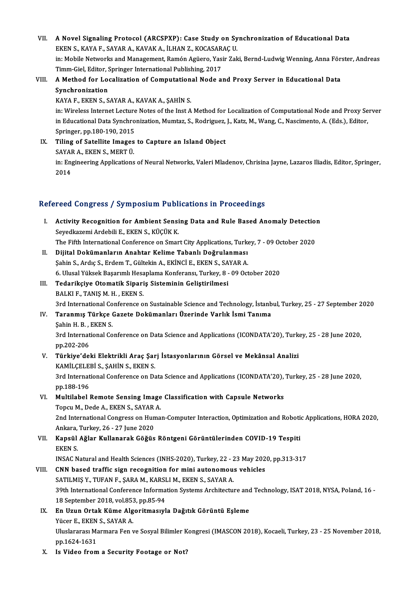VII. A Novel Signaling Protocol (ARCSPXP): Case Study on Synchronization of Educational Data<br>EVEN S, VAVA E, SAVAR A, VAVAV A, U HAN Z, VOCASARAC U A Novel Signaling Protocol (ARCSPXP): Case Study on Sy<br>EKEN S., KAYA F., SAYAR A., KAVAK A., İLHAN Z., KOCASARAÇ U.<br>in: Mebile Networks and Manazament, Bamán Agüena Yasin Zak A Novel Signaling Protocol (ARCSPXP): Case Study on Synchronization of Educational Data<br>EKEN S., KAYA F., SAYAR A., KAVAK A., İLHAN Z., KOCASARAÇ U.<br>in: Mobile Networks and Management, Ramón Agüero, Yasir Zaki, Bernd-Ludwi EKEN S., KAYA F., SAYAR A., KAVAK A., İLHAN Z., KOCASARAÇ U.<br>in: Mobile Networks and Management, Ramón Agüero, Yasir Zaki, Bernd-Ludwig Wenning, Anna Förster, Andreas Timm-Giel, Editor, Springer International Publishing, 2017

### VIII. A Method for Localization of Computational Node and Proxy Server in Educational Data<br>Synchronization

KAYA F., EKEN S., SAYAR A., KAVAK A., ŞAHİN S.

in: Wireless Internet Lecture Notes of the Inst A Method for Localization of Computational Node and Proxy Server KAYA F., EKEN S., SAYAR A., KAVAK A., ŞAHİN S.<br>in: Wireless Internet Lecture Notes of the Inst A Method for Localization of Computational Node and Proxy Se<br>in Educational Data Synchronization, Mumtaz, S., Rodriguez, J., Ka in: Wireless Internet Lecture<br>in Educational Data Synchro<br>Springer, pp.180-190, 2015<br>Tiling of Satallite Images in Educational Data Synchronization, Mumtaz, S., Rodriguez,<br>Springer, pp.180-190, 2015<br>IX. Tiling of Satellite Images to Capture an Island Object<br>SAVARA, EVENS, MERT Ü

Springer, pp.180-190, 2015<br>Tiling of Satellite Images<br>SAYAR A., EKEN S., MERT Ü. Tiling of Satellite Images to Capture an Island Object<br>SAYAR A., EKEN S., MERT Ü.<br>in: Engineering Applications of Neural Networks, Valeri Mladenov, Chrisina Jayne, Lazaros Iliadis, Editor, Springer,<br>2014 SAYAI<br>in: En<sub>{</sub><br>2014

# 2014<br>Refereed Congress / Symposium Publications in Proceedings

- efereed Congress / Symposium Publications in Proceedings<br>I. Activity Recognition for Ambient Sensing Data and Rule Based Anomaly Detection<br>Savediagomi Ardebili E. EVENS Kitcliv V. Sexe dongress 7 by inpostant 1 ass.<br>Seyedkazemi Ardebili E., EKEN S., KÜÇÜK K.<br>The Fifth International Conference on Sman Activity Recognition for Ambient Sensing Data and Rule Based Anomaly Detection<br>Seyedkazemi Ardebili E., EKEN S., KÜÇÜK K.<br>The Fifth International Conference on Smart City Applications, Turkey, 7 - 09 October 2020<br>Dijital D Seyedkazemi Ardebili E., EKEN S., KÜÇÜK K.<br>The Fifth International Conference on Smart City Applications, Turke<br>II. Dijital Dokümanların Anahtar Kelime Tabanlı Doğrulanması<br>Şahin S., Ardıç S., Erdem T., Gültekin A., EK The Fifth International Conference on Smart City Applications, Turkey, 7 - 09 October 2020
- 6. Ulusal Yüksek Başarımlı Hesaplama Konferansı, Turkey, 8 09 October 2020 Şahin S., Ardıç S., Erdem T., Gültekin A., EKİNCİ E., EKEN S., SA<br>6. Ulusal Yüksek Başarımlı Hesaplama Konferansı, Turkey, 8 -<br>III. Tedarikçiye Otomatik Sipariş Sisteminin Geliştirilmesi<br>PALKLE TANIS M. H., EKEN S
- 6. Ulusal Yüksek Başarımlı Hesa<br>Tedarikçiye Otomatik Sipari<br>BALKI F., TANIŞ M. H. , EKEN S.<br><sup>2nd International Conference o</sup> Tedarikçiye Otomatik Sipariş Sisteminin Geliştirilmesi<br>BALKI F., TANIŞ M. H. , EKEN S.<br>3rd International Conference on Sustainable Science and Technology, İstanbul, Turkey, 25 - 27 September 2020<br>Taranmış Türkee Gerete Dek BALKI F., TANIŞ M. H. , EKEN S.<br>3rd International Conference on Sustainable Science and Technology, İstanb<br>IV. Taranmış Türkçe Gazete Dokümanları Üzerinde Varlık İsmi Tanıma<br>Sehin H. B. EKEN S.
- 3rd International Co<br>Taranmış Türkçe (<br>Şahin H. B. , EKEN S.<br><sup>2nd International Co</sub></sup> IV. Taranmış Türkçe Gazete Dokümanları Üzerinde Varlık İsmi Tanıma<br>Şahin H. B. , EKEN S.<br>3rd International Conference on Data Science and Applications (ICONDATA'20), Turkey, 25 - 28 June 2020,

pp.202-206

### 3rd International Conference on Data Science and Applications (ICONDATA'20), Turki<br>pp.202-206<br>V. Türkiye'deki Elektrikli Araç Şarj İstasyonlarının Görsel ve Mekânsal Analizi<br>KAMU CELERİ S. SAHİN S. EKEN S pp.202-206<br>Türkiye'deki Elektrikli Araç Şar<br>KAMİLÇELEBİ S., ŞAHİN S., EKEN S.<br><sup>2nd Intonational Conference on De</sup> Türkiye'deki Elektrikli Araç Şarj İstasyonlarının Görsel ve Mekânsal Analizi<br>KAMİLÇELEBİ S., ŞAHİN S., EKEN S.<br>3rd International Conference on Data Science and Applications (ICONDATA'20), Turkey, 25 - 28 June 2020,<br>nn 188

KAMİLÇELE<br>3rd Internat<br>pp.188-196<br>Multilabel 3rd International Conference on Data Science and Applications (ICONDATA'20),<br>pp.188-196<br>VI. Multilabel Remote Sensing Image Classification with Capsule Networks<br>Tengu M. Dodo A. EVEN S. SAVAR A

## pp.188-196<br>Multilabel Remote Sensing Image<br>Topcu M., Dede A., EKEN S., SAYAR A.<br>2nd International Congress on Huma

Topcu M., Dede A., EKEN S., SAYAR A.<br>2nd International Congress on Human-Computer Interaction, Optimization and Robotic Applications, HORA 2020, Topcu M., Dede A., EKEN S., SAYAR<br>2nd International Congress on Hun<br>Ankara, Turkey, 26 - 27 June 2020<br>Kansül Ağlar Kullanarak Göğüs

### VII. Kapsül Ağlar Kullanarak Göğüs Röntgeni Görüntülerinden COVID-19 Tespiti<br>EKEN S. Ankara,<br><mark>Kapsül</mark><br>EKEN S.<br>INSAC N Kapsül Ağlar Kullanarak Göğüs Röntgeni Görüntülerinden COVID-19 Tespiti<br>EKEN S.<br>INSAC Natural and Health Sciences (INHS-2020), Turkey, 22 - 23 May 2020, pp.313-317<br>CNN based traffic sign resegnition for mini autonomous veh

## EKEN S.<br>INSAC Natural and Health Sciences (INHS-2020), Turkey, 22 - 23 May 202<br>VIII. CNN based traffic sign recognition for mini autonomous vehicles<br>SATU MIS V. TUEAN E. SARA M. KARSLI M. EKEN S. SAYAR A INSAC Natural and Health Sciences (INHS-2020), Turkey, 22 - 2<br>CNN based traffic sign recognition for mini autonomou:<br>SATILMIŞ Y., TUFAN F., ŞARA M., KARSLI M., EKEN S., SAYAR A.<br>20th International Conference Information Sy

39th Dased traffic sign recognition for mini autonomous vehicles<br>SATILMIŞ Y., TUFAN F., ŞARA M., KARSLI M., EKEN S., SAYAR A.<br>39th International Conference Information Systems Architecture and Technology, ISAT 2018, NYSA, SATILMIŞ Y., TUFAN F., ŞARA M., KARSI<br>39th International Conference Informa<br>18 September 2018, vol.853, pp.85-94<br>En Haun Ortek Küme Alsonitmeevyl 39th International Conference Information Systems Architecture and<br>18 September 2018, vol.853, pp.85-94<br>IX. En Uzun Ortak Küme Algoritmasıyla Dağıtık Görüntü Eşleme<br>VücenE EKEN S. SAVARA

18 September 2018, vol.853, pp.85-94<br>IX. En Uzun Ortak Küme Algoritmasıyla Dağıtık Görüntü Eşleme<br>Yücer E., EKEN S., SAYAR A. En Uzun Ortak Küme Algoritmasıyla Dağıtık Görüntü Eşleme<br>Yücer E., EKEN S., SAYAR A.<br>Uluslararası Marmara Fen ve Sosyal Bilimler Kongresi (IMASCON 2018), Kocaeli, Turkey, 23 - 25 November 2018,<br>nn 1624 1621 Yücer E., EKEN<br>Uluslararası Ma<br>pp.1624-1631<br>Is Video from

pp.1624-1631<br>X. Is Video from a Security Footage or Not?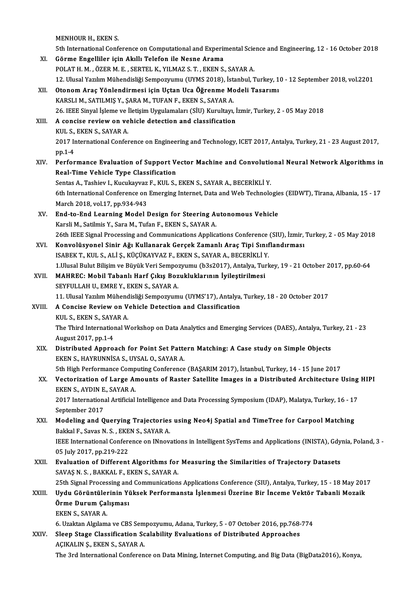|        | MENHOUR H., EKEN S.                                                                                                                                         |
|--------|-------------------------------------------------------------------------------------------------------------------------------------------------------------|
|        | 5th International Conference on Computational and Experimental Science and Engineering, 12 - 16 October 2018                                                |
| XI.    | Görme Engelliler için Akıllı Telefon ile Nesne Arama                                                                                                        |
|        | POLAT H. M., ÖZER M. E., SERTEL K., YILMAZ S. T., EKEN S., SAYAR A.                                                                                         |
|        | 12. Ulusal Yazılım Mühendisliği Sempozyumu (UYMS 2018), İstanbul, Turkey, 10 - 12 September 2018, vol.2201                                                  |
| XII.   | Otonom Araç Yönlendirmesi için Uçtan Uca Öğrenme Modeli Tasarımı                                                                                            |
|        | KARSLI M., SATILMIŞ Y., ŞARA M., TUFAN F., EKEN S., SAYAR A.                                                                                                |
| XIII.  | 26. IEEE Sinyal İşleme ve İletişim Uygulamaları (SİU) Kurultayı, İzmir, Turkey, 2 - 05 May 2018<br>A concise review on vehicle detection and classification |
|        | KUL S., EKEN S., SAYAR A.                                                                                                                                   |
|        | 2017 International Conference on Engineering and Technology, ICET 2017, Antalya, Turkey, 21 - 23 August 2017,                                               |
|        | pp 1-4                                                                                                                                                      |
| XIV.   | Performance Evaluation of Support Vector Machine and Convolutional Neural Network Algorithms in                                                             |
|        | Real-Time Vehicle Type Classification                                                                                                                       |
|        | Sentas A., Tashiev I., Kucukayvaz F., KUL S., EKEN S., SAYAR A., BECERİKLİ Y.                                                                               |
|        | 6th International Conference on Emerging Internet, Data and Web Technologies (EIDWT), Tirana, Albania, 15 - 17                                              |
|        | March 2018, vol.17, pp.934-943                                                                                                                              |
| XV.    | End-to-End Learning Model Design for Steering Autonomous Vehicle                                                                                            |
|        | Karsli M., Satilmis Y., Sara M., Tufan F., EKEN S., SAYAR A.                                                                                                |
|        | 26th IEEE Signal Processing and Communications Applications Conference (SIU), İzmir, Turkey, 2 - 05 May 2018                                                |
| XVI.   | Konvolüsyonel Sinir Ağı Kullanarak Gerçek Zamanlı Araç Tipi Sınıflandırması                                                                                 |
|        | ISABEK T., KUL S., ALİ Ş., KÜÇÜKAYVAZ F., EKEN S., SAYAR A., BECERİKLİ Y.                                                                                   |
|        | 1.Ulusal Bulut Bilişim ve Büyük Veri Sempozyumu (b3s2017), Antalya, Turkey, 19 - 21 October 2017, pp.60-64                                                  |
| XVII.  | MAHREC: Mobil Tabanlı Harf Çıkış Bozukluklarının İyileştirilmesi                                                                                            |
|        | SEYFULLAH U., EMRE Y., EKEN S., SAYAR A.                                                                                                                    |
|        | 11. Ulusal Yazılım Mühendisliği Sempozyumu (UYMS'17), Antalya, Turkey, 18 - 20 October 2017                                                                 |
| XVIII. | A Concise Review on Vehicle Detection and Classification                                                                                                    |
|        | KUL S., EKEN S., SAYAR A.                                                                                                                                   |
|        | The Third International Workshop on Data Analytics and Emerging Services (DAES), Antalya, Turkey, 21 - 23                                                   |
|        | August 2017, pp 1-4                                                                                                                                         |
| XIX.   | Distributed Approach for Point Set Pattern Matching: A Case study on Simple Objects<br>EKEN S., HAYRUNNISA S., UYSAL O., SAYAR A.                           |
|        | 5th High Performance Computing Conference (BAŞARIM 2017), İstanbul, Turkey, 14 - 15 June 2017                                                               |
| XX.    | Vectorization of Large Amounts of Raster Satellite Images in a Distributed Architecture Using HIPI                                                          |
|        | EKEN S., AYDIN E., SAYAR A.                                                                                                                                 |
|        | 2017 International Artificial Intelligence and Data Processing Symposium (IDAP), Malatya, Turkey, 16 - 17                                                   |
|        | September 2017                                                                                                                                              |
| XXI.   | Modeling and Querying Trajectories using Neo4j Spatial and TimeTree for Carpool Matching                                                                    |
|        | Bakkal F., Savas N. S., EKEN S., SAYAR A.                                                                                                                   |
|        | IEEE International Conference on INnovations in Intelligent SysTems and Applications (INISTA), Gdynia, Poland, 3 -                                          |
|        | 05 July 2017, pp 219-222                                                                                                                                    |
| XXII.  | Evaluation of Different Algorithms for Measuring the Similarities of Trajectory Datasets                                                                    |
|        | SAVAŞ N. S., BAKKAL F., EKEN S., SAYAR A.                                                                                                                   |
|        | 25th Signal Processing and Communications Applications Conference (SIU), Antalya, Turkey, 15 - 18 May 2017                                                  |
| XXIII. | Uydu Görüntülerinin Yüksek Performansta İşlenmesi Üzerine Bir İnceme Vektör Tabanli Mozaik                                                                  |
|        | Örme Durum Çalışması                                                                                                                                        |
|        | EKEN S., SAYAR A                                                                                                                                            |
|        | 6. Uzaktan Algılama ve CBS Sempozyumu, Adana, Turkey, 5 - 07 October 2016, pp.768-774                                                                       |
| XXIV.  | Sleep Stage Classification Scalability Evaluations of Distributed Approaches                                                                                |
|        | AÇIKALIN Ş., EKEN S., SAYAR A.                                                                                                                              |
|        | The 3rd International Conference on Data Mining, Internet Computing, and Big Data (BigData2016), Konya,                                                     |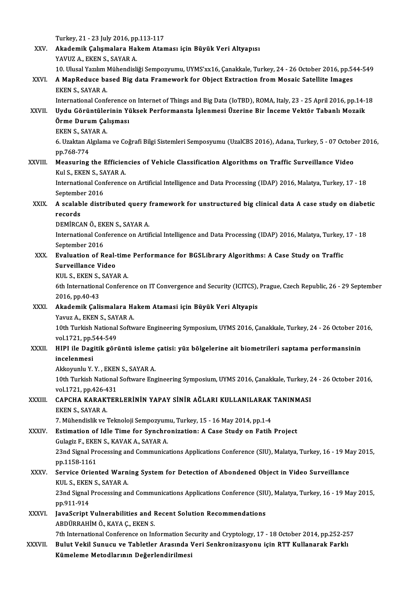Turkey, 21 - 23 July 2016, pp.113-117<br>Akademik Caliamalana Hakam Atan

|               | Turkey, 21 - 23 July 2016, pp 113-117                                                                                                                                                                 |
|---------------|-------------------------------------------------------------------------------------------------------------------------------------------------------------------------------------------------------|
| XXV.          | Akademik Çalışmalara Hakem Ataması için Büyük Veri Altyapısı                                                                                                                                          |
|               | YAVUZ A., EKEN S., SAYAR A.                                                                                                                                                                           |
| XXVI.         | 10. Ulusal Yazılım Mühendisliği Sempozyumu, UYMS'xx16, Çanakkale, Turkey, 24 - 26 October 2016, pp.544-549<br>A MapReduce based Big data Framework for Object Extraction from Mosaic Satellite Images |
|               | EKEN S., SAYAR A.                                                                                                                                                                                     |
|               | International Conference on Internet of Things and Big Data (IoTBD), ROMA, Italy, 23 - 25 April 2016, pp.14-18                                                                                        |
| XXVII.        | Uydu Görüntülerinin Yüksek Performansta İşlenmesi Üzerine Bir İnceme Vektör Tabanlı Mozaik                                                                                                            |
|               | Örme Durum Çalışması                                                                                                                                                                                  |
|               | EKEN S., SAYAR A.                                                                                                                                                                                     |
|               | 6. Uzaktan Algılama ve Coğrafi Bilgi Sistemleri Semposyumu (UzalCBS 2016), Adana, Turkey, 5 - 07 October 2016,                                                                                        |
|               | pp 768-774                                                                                                                                                                                            |
| <b>XXVIII</b> | Measuring the Efficiencies of Vehicle Classification Algorithms on Traffic Surveillance Video                                                                                                         |
|               | Kul S., EKEN S., SAYAR A.                                                                                                                                                                             |
|               | International Conference on Artificial Intelligence and Data Processing (IDAP) 2016, Malatya, Turkey, 17 - 18                                                                                         |
|               | September 2016                                                                                                                                                                                        |
| XXIX.         | A scalable distributed query framework for unstructured big clinical data A case study on diabetic                                                                                                    |
|               | records<br>DEMİRCAN Ö., EKEN S., SAYAR A.                                                                                                                                                             |
|               | International Conference on Artificial Intelligence and Data Processing (IDAP) 2016, Malatya, Turkey, 17 - 18                                                                                         |
|               | September 2016                                                                                                                                                                                        |
| XXX.          | Evaluation of Real-time Performance for BGSLibrary Algorithms: A Case Study on Traffic                                                                                                                |
|               | Surveillance Video                                                                                                                                                                                    |
|               | KUL S., EKEN S., SAYAR A.                                                                                                                                                                             |
|               | 6th International Conference on IT Convergence and Security (ICITCS), Prague, Czech Republic, 26 - 29 September                                                                                       |
|               | 2016, pp.40-43                                                                                                                                                                                        |
| XXXI.         | Akademik Çalismalara Hakem Atamasi için Büyük Veri Altyapis                                                                                                                                           |
|               | Yavuz A., EKEN S., SAYAR A.                                                                                                                                                                           |
|               | 10th Turkish National Software Engineering Symposium, UYMS 2016, Çanakkale, Turkey, 24 - 26 October 2016,<br>vol 1721, pp 544-549                                                                     |
| XXXII.        | HIPI ile Dagitik görüntü isleme çatisi: yüz bölgelerine ait biometrileri saptama performansinin                                                                                                       |
|               | incelenmesi                                                                                                                                                                                           |
|               | Akkoyunlu Y Y , EKEN S , SAYAR A                                                                                                                                                                      |
|               | 10th Turkish National Software Engineering Symposium, UYMS 2016, Çanakkale, Turkey, 24 - 26 October 2016,                                                                                             |
|               | vol 1721, pp 426-431                                                                                                                                                                                  |
| XXXIII.       | CAPCHA KARAKTERLERININ YAPAY SINIR AĞLARI KULLANILARAK TANINMASI                                                                                                                                      |
|               | EKEN S., SAYAR A                                                                                                                                                                                      |
|               | 7. Mühendislik ve Teknoloji Sempozyumu, Turkey, 15 - 16 May 2014, pp.1-4                                                                                                                              |
| XXXIV.        | Estimation of Idle Time for Synchronization: A Case Study on Fatih Project                                                                                                                            |
|               | Gulagiz F., EKEN S., KAVAK A., SAYAR A.                                                                                                                                                               |
|               | 23nd Signal Processing and Communications Applications Conference (SIU), Malatya, Turkey, 16 - 19 May 2015,<br>pp 1158-1161                                                                           |
| XXXV.         | Service Oriented Warning System for Detection of Abondened Object in Video Surveillance                                                                                                               |
|               | KUL S., EKEN S., SAYAR A.                                                                                                                                                                             |
|               | 23nd Signal Processing and Communications Applications Conference (SIU), Malatya, Turkey, 16 - 19 May 2015,                                                                                           |
|               | pp 911-914                                                                                                                                                                                            |
| XXXVI.        | JavaScript Vulnerabilities and Recent Solution Recommendations                                                                                                                                        |
|               | ABDÜRRAHİM Ö., KAYA Ç., EKEN S.                                                                                                                                                                       |
|               | 7th International Conference on Information Security and Cryptology, 17 - 18 October 2014, pp.252-257                                                                                                 |
| XXXVII.       | Bulut Vekil Sunucu ve Tabletler Arasında Veri Senkronizasyonu için RTT Kullanarak Farklı                                                                                                              |
|               | Kümeleme Metodlarının Değerlendirilmesi                                                                                                                                                               |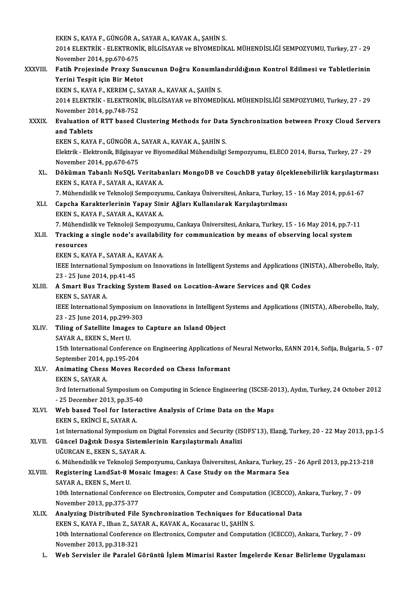EKEN S., KAYA F., GÜNGÖR A., SAYAR A., KAVAK A., ŞAHİN S.<br>2014 ELEKTRİK., ELEKTRONİK BİLGİSAYAR ve BİVOMEDİK 2014 ELEKTRİK - ELEKTRONİK, BİLGİSAYAR ve BİYOMEDİKAL MÜHENDİSLİĞİ SEMPOZYUMU, Turkey, 27 - 29<br>November 2014, pp.670-675 EKEN S., KAYA F., GÜNGÖR A.,<br>2014 ELEKTRİK - ELEKTRONİ<br>November 2014, pp.670-675<br>Fatih Praiasinda Prawy Su 2014 ELEKTRİK - ELEKTRONİK, BİLGİSAYAR ve BİYOMEDİKAL MÜHENDİSLİĞİ SEMPOZYUMU, Turkey, 27 - 29<br>November 2014, pp.670-675<br>XXXVIII. Fatih Projesinde Proxy Sunucunun Doğru Konumlandırıldığının Kontrol Edilmesi ve Tabletlerini November 2014, pp.670-675<br>Fatih Projesinde Proxy Sun<br>Yerini Tespit için Bir Metot<br>EVENS KAYA E KEBEMC SA Fatih Projesinde Proxy Sunucunun Doğru Konumlar<br>Yerini Tespit için Bir Metot<br>EKEN S., KAYA F., KEREM Ç., SAYAR A., KAVAK A., ŞAHİN S.<br>2014 ELEKTRİK, ELEKTRONİK RİLCİSAYAR ve RİYOMEDİ Yerini Tespit için Bir Metot<br>EKEN S., KAYA F., KEREM Ç., SAYAR A., KAVAK A., ŞAHİN S.<br>2014 ELEKTRİK - ELEKTRONİK, BİLGİSAYAR ve BİYOMEDİKAL MÜHENDİSLİĞİ SEMPOZYUMU, Turkey, 27 - 29<br>Navambar 3014, pp.749.753 EKEN S., KAYA F., KEREM Ç., S.<br>2014 ELEKTRİK - ELEKTRONİ<br>November 2014, pp.748-752<br>Evaluation of PTT based C 2014 ELEKTRİK - ELEKTRONİK, BİLGİSAYAR ve BİYOMEDİKAL MÜHENDİSLİĞİ SEMPOZYUMU, Turkey, 27 - 29<br>November 2014, pp.748-752<br>XXXIX. Evaluation of RTT based Clustering Methods for Data Synchronization between Proxy Cloud Se November 20<br>Evaluation c<br>and Tablets<br>EVEN S. KAV Evaluation of RTT based Clustering Methods for Data<br>and Tablets<br>EKEN S., KAYA F., GÜNGÖR A., SAYAR A., KAVAK A., ŞAHİN S.<br>Flaktrik., Flaktranik Bilgisayar ve Biyamodikal Mühandisligi and Tablets<br>EKEN S., KAYA F., GÜNGÖR A., SAYAR A., KAVAK A., ŞAHİN S.<br>Elektrik - Elektronik, Bilgisayar ve Biyomedikal Mühendisligi Sempozyumu, ELECO 2014, Bursa, Turkey, 27 - 29<br>November 2014, pp.670-675 EKEN S., KAYA F., GÜNGÖR A., SAYAR A., KAVAK A., SAHİN S. Elektrik - Elektronik, Bilgisayar ve Biyomedikal Mühendisligi Sempozyumu, ELECO 2014, Bursa, Turkey, 27 - 29<br>November 2014, pp.670-675<br>XL. Döküman Tabanlı NoSQL Veritabanları MongoDB ve CouchDB yatay ölçeklenebilirlik karş November 2014, pp.670-675<br>Döküman Tabanlı NoSQL Veritaba<br>EKEN S., KAYA F., SAYAR A., KAVAK A.<br>7. Mühandialik ve Talmalaji Semnerun Döküman Tabanlı NoSQL Veritabanları MongoDB ve CouchDB yatay ölçeklenebilirlik karşılaştırı<br>EKEN S., KAYA F., SAYAR A., KAVAK A.<br>7. Mühendislik ve Teknoloji Sempozyumu, Cankaya Üniversitesi, Ankara, Turkey, 15 - 16 May 201 EKEN S., KAYA F., SAYAR A., KAVAK A.<br>7. Mühendislik ve Teknoloji Sempozyumu, Cankaya Üniversitesi, Ankara, Turkey, 1<br>XLI. Capcha Karakterlerinin Yapay Sinir Ağları Kullanılarak Karşılaştırılması<br>EKEN S., KAYA F., SAYAR 7. Mühendislik ve Teknoloji Sempozyumu, Cankaya Üniversitesi, Ankara, Turkey, 15 - 16 May 2014, pp.61-67 Capcha Karakterlerinin Yapay Sinir Ağları Kullanılarak Karşılaştırılması<br>EKEN S., KAYA F., SAYAR A., KAVAK A.<br>7. Mühendislik ve Teknoloji Sempozyumu, Cankaya Üniversitesi, Ankara, Turkey, 15 - 16 May 2014, pp.7-11<br>Trasking EKEN S., KAYA F., SAYAR A., KAVAK A.<br>7. Mühendislik ve Teknoloji Sempozyumu, Cankaya Üniversitesi, Ankara, Turkey, 15 - 16 May 2014, pp.7-1<br>8. XLII. Tracking a single node's availability for communication by means of o 7. Mühendis<br>Tracking a<br>resources<br>EKEN S. KA XLII. Tracking a single node's availability for communication by means of observing local system<br>resources<br>EKEN S., KAYA F., SAYAR A., KAVAK A. resources<br>EKEN S., KAYA F., SAYAR A., KAVAK A.<br>IEEE International Symposium on Innovations in Intelligent Systems and Applications (INISTA), Alberobello, Italy,<br>23 – 25 June 2014, np.41,45 EKEN S., KAYA F., SAYAR A., I<br>IEEE International Symposiu<br>23 - 25 June 2014, pp.41-45<br>A Smart Bus Trasking Sys XLIII. A Smart Bus Tracking System Based on Location-Aware Services and QR Codes<br>EKEN S., SAYAR A. 23 - 25 June 2014, pp 41-45 A Smart Bus Tracking System Based on Location-Aware Services and QR Codes<br>EKEN S., SAYAR A.<br>IEEE International Symposium on Innovations in Intelligent Systems and Applications (INISTA), Alberobello, Italy,<br>22 . 25 June 201 EKEN S., SAYAR A.<br>IEEE International Symposium<br>23 - 25 June 2014, pp.299-303<br>Tiling of Satellite Images to IEEE International Symposium on Innovations in Intelligent :<br>23 - 25 June 2014, pp.299-303<br>XLIV. Tiling of Satellite Images to Capture an Island Object<br>SAVAR A, EVEN S, Mort U 23 - 25 June 2014, pp.299-<br>Tiling of Satellite Image<br>SAYAR A., EKEN S., Mert U.<br>15th International Confore Tiling of Satellite Images to Capture an Island Object<br>SAYAR A., EKEN S., Mert U.<br>15th International Conference on Engineering Applications of Neural Networks, EANN 2014, Sofija, Bulgaria, 5 - 07<br>September 2014, pp.195, 20 SAYAR A., EKEN S., Mert U.<br>15th International Conference<br>September 2014, pp.195-204<br>Animating Chose Moyes Bo 15th International Conference on Engineering Applications of<br>September 2014, pp.195-204<br>XLV. Animating Chess Moves Recorded on Chess Informant September 2014, p<br>Animating Chess<br>EKEN S., SAYAR A. Animating Chess Moves Recorded on Chess Informant<br>EKEN S., SAYAR A.<br>3rd International Symposium on Computing in Science Engineering (ISCSE-2013), Aydın, Turkey, 24 October 2012 EKEN S., SAYAR A.<br>3rd International Symposium o<br>- 25 December 2013, pp.35-40<br>Web based Teal for Interac XLVI. Web based Tool for Interactive Analysis of Crime Data on the Maps<br>EKEN S., EKINCI E., SAYAR A. - 25 December 2013, pp 35-40 Web based Tool for Interactive Analysis of Crime Data on the Maps<br>EKEN S., EKİNCİ E., SAYAR A.<br>1st International Symposium on Digital Forensics and Security (ISDFS'13), Elazığ, Turkey, 20 - 22 May 2013, pp.1-5<br>Cüncel Dağıt EKEN S., EKİNCİ E., SAYAR A.<br>1st International Symposium on Digital Forensics and Security (IS<br>XLVII. Güncel Dağıtık Dosya Sistemlerinin Karşılaştırmalı Analizi<br>110 UNERAN E. FEREN S. SAYAR A. 1st International Symposium on<br>Güncel Dağıtık Dosya Sistem<br>UĞURCAN E., EKEN S., SAYAR A.<br>6. Mühandislik ve Telmolaji Sem 6üncel Dağıtık Dosya Sistemlerinin Karşılaştırmalı Analizi<br>UĞURCAN E., EKEN S., SAYAR A.<br>6. Mühendislik ve Teknoloji Sempozyumu, Cankaya Üniversitesi, Ankara, Turkey, 25 - 26 April 2013, pp.213-218 UĞURCAN E., EKEN S., SAYAR A.<br>6. Mühendislik ve Teknoloji Sempozyumu, Cankaya Üniversitesi, Ankara, Turkey, 25<br>XLVIII. Registering LandSat-8 Mosaic Images: A Case Study on the Marmara Sea 6. Mühendislik ve Teknoloj<br>Registering LandSat-8 M<br>SAYAR A., EKEN S., Mert U.<br>10th International Confore Registering LandSat-8 Mosaic Images: A Case Study on the Marmara Sea<br>SAYAR A., EKEN S., Mert U.<br>10th International Conference on Electronics, Computer and Computation (ICECCO), Ankara, Turkey, 7 - 09<br>Navambar 2012, pp.275, SAYAR A., EKEN S., Mert U.<br>10th International Conference<br>November 2013, pp.375-377<br>Analyzing Distributed Eile XLIX. Analyzing Distributed File Synchronization Techniques for Educational Data November 2013, pp.375-377<br><mark>Analyzing Distributed File Synchronization Techniques for Ed</mark><br>EKEN S., KAYA F., Ilhan Z., SAYAR A., KAVAK A., Kocasarac U., ŞAHİN S.<br>10th International Conference on Flectronics Computer and Comp 10th International Conference on Electronics, Computer and Computation (ICECCO), Ankara, Turkey, 7 - 09<br>November 2013, pp.318-321 EKEN S., KAYA F., Ilhan Z., SAY<br>10th International Conference<br>November 2013, pp.318-321<br>Web Servisler ile Baralel C L. Web Servisler ile Paralel Görüntü İşlem Mimarisi Raster İmgelerde Kenar Belirleme Uygulaması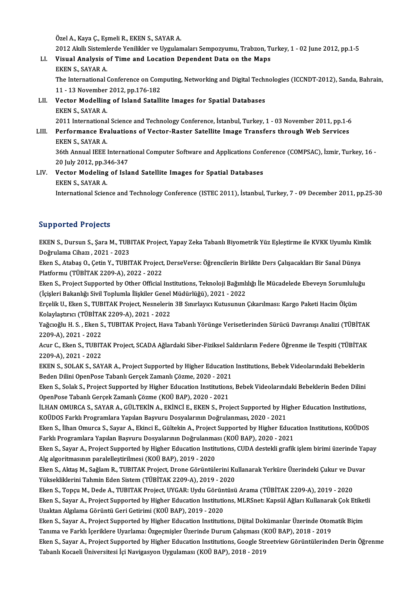ÖzelA.,KayaÇ.,EşmeliR.,EKENS.,SAYARA.

Özel A., Kaya Ç., Eşmeli R., EKEN S., SAYAR A.<br>2012 Akıllı Sistemlerde Yenilikler ve Uygulamaları Sempozyumu, Trabzon, Turkey, 1 - 02 June 2012, pp.1-5<br>Viauel Analysis of Time and Losstien Dependent Date en the Mane

- Özel A., Kaya Ç., Eşmeli R., EKEN S., SAYAR A.<br>2012 Akıllı Sistemlerde Yenilikler ve Uygulamaları Sempozyumu, Trabzon, Tı<br>LI. Visual Analysis of Time and Location Dependent Data on the Maps<br>EKEN S. SAYAR A 2012 Akıllı Sisteml<br>Visual Analysis<br>EKEN S., SAYAR A.<br>The International (
	-

Visual Analysis of Time and Location Dependent Data on the Maps<br>EKEN S., SAYAR A.<br>The International Conference on Computing, Networking and Digital Technologies (ICCNDT-2012), Sanda, Bahrain,<br>11, .13 November 2012, nn.176, EKEN S., SAYAR A.<br>The International Conference on Com<br>11 - 13 November 2012, pp.176-182<br>Vester Modelling of Island Satalli The International Conference on Computing, Networking and Digital Techn<br>11 - 13 November 2012, pp.176-182<br>LII. Vector Modelling of Island Satallite Images for Spatial Databases

11 - 13 November<br>Vector Modelling<br>EKEN S., SAYAR A.<br>2011 International EKEN S., SAYAR A.<br>2011 International Science and Technology Conference, İstanbul, Turkey, 1 - 03 November 2011, pp.1-6 EKEN S., SAYAR A.<br>2011 International Science and Technology Conference, İstanbul, Turkey, 1 - 03 November 2011, pp.1-6<br>2011 Performance Evaluations of Vector-Raster Satellite Image Transfers through Web Services<br>2014 REEN

2011 International<br>Performance Eva<br>EKEN S., SAYAR A.<br>26th Annual IEEE 1 Performance Evaluations of Vector-Raster Satellite Image Transfers through Web Services<br>EKEN S., SAYAR A.<br>36th Annual IEEE International Computer Software and Applications Conference (COMPSAC), İzmir, Turkey, 16 -<br>20 July

EKEN S., SAYAR A.<br>36th Annual IEEE International Computer Software and Applications Conference (COMPSAC), İzmir, Turkey, 16 -<br>20 July 2012, pp.346-347 36th Annual IEEE International Computer Software and Applications Conorse 20 July 2012, pp.346-347<br>LIV. Vector Modeling of Island Satellite Images for Spatial Databases

20 July 2012, pp.3<br>Vector Modeling<br>EKEN S., SAYAR A.<br>International Scien EKEN S., SAYAR A.<br>International Science and Technology Conference (ISTEC 2011), İstanbul, Turkey, 7 - 09 December 2011, pp.25-30

#### Supported Projects

S**upported Projects**<br>EKEN S., Dursun S., Şara M., TUBITAK Project, Yapay Zeka Tabanlı Biyometrik Yüz Eşleştirme ile KVKK Uyumlu Kimlik<br>Doğrulama Cibaru, 2021, 2022 Papportoa 1195000<br>EKEN S., Dursun S., Şara M., TUB<br>Doğrulama Cihazı , 2021 - 2023<br>Fkon S., Atabas O., Cetin V., TUBI' EKEN S., Dursun S., Şara M., TUBITAK Project, Yapay Zeka Tabanlı Biyometrik Yüz Eşleştirme ile KVKK Uyumlu Kin<br>Doğrulama Cihazı , 2021 - 2023<br>Eken S., Atabaş O., Çetin Y., TUBITAK Project, DerseVerse: Öğrencilerin Birlikte

Doğrulama Cihazı , 2021 - 2023<br>Eken S., Atabaş O., Çetin Y., TUBITAK Project, DerseVerse: Öğrencilerin Birlikte Ders Çalışacakları Bir Sanal Dünya<br>Platformu (TÜBİTAK 2209-A), 2022 - 2022

Eken S., Project Supported by Other Official Institutions, Teknoloji Bağımlılığı İle Mücadelede Ebeveyn Sorumluluğu Platformu (TÜBİTAK 2209-A), 2022 - 2022<br>Eken S., Project Supported by Other Official Institutions, Teknoloji Bağımlı<br>(İçişleri Bakanlığı Sivil Toplumla İlişkiler Genel Müdürlüğü), 2021 - 2022<br>Enselik II. Eken S. TUBITAK Pr Eken S., Project Supported by Other Official Institutions, Teknoloji Bağımlılığı İle Mücadelede Ebeveyn Sorumluluğ<br>(İçişleri Bakanlığı Sivil Toplumla İlişkiler Genel Müdürlüğü), 2021 - 2022<br>Erçelik U., Eken S., TUBITAK Pro

(İçişleri Bakanlığı Sivil Toplumla İlişkiler Genel<br>Erçelik U., Eken S., TUBITAK Project, Nesnelerin<br>Kolaylaştırıcı (TÜBİTAK 2209-A), 2021 - 2022<br>Yağanağlu H. S., Ekan S., TUBITAK Project, Hava Erçelik U., Eken S., TUBITAK Project, Nesnelerin 3B Sınırlayıcı Kutusunun Çıkarılması: Kargo Paketi Hacim Ölçüm<br>Kolaylaştırıcı (TÜBİTAK 2209-A), 2021 - 2022<br>Yağcıoğlu H. S. , Eken S., TUBITAK Project, Hava Tabanlı Yörünge

Kolaylaştırıcı (TÜBİTA)<br>Yağcıoğlu H. S. , Eken S<br>2209-A), 2021 - 2022<br>Agur G. Eken S. TUBIT

Yağcıoğlu H. S. , Eken S., TUBITAK Project, Hava Tabanlı Yörünge Verisetlerinden Sürücü Davranışı Analizi (TÜBİTAK<br>2209-A), 2021 - 2022<br>Acur C., Eken S., TUBITAK Project, SCADA Ağlardaki Siber-Fiziksel Saldırıların Federe 2209-A), 2021 - 2022<br>Acur C., Eken S., TUBIT<br>2209-A), 2021 - 2022<br>EKEN S. SOLAK S. SAN Acur C., Eken S., TUBITAK Project, SCADA Ağlardaki Siber-Fiziksel Saldırıların Federe Öğrenme ile Tespiti (TÜBİTAK<br>2209-A), 2021 - 2022<br>EKEN S., SOLAK S., SAYAR A., Project Supported by Higher Education Institutions, Bebek

EKEN S., SOLAK S., SAYAR A., Project Supported by Higher Education Institutions, Bebek Videolarındaki Bebeklerin EKEN S., SOLAK S., SAYAR A., Project Supported by Higher Education Institutions, Bebek Videolarındaki Bebeklerin<br>Beden Dilini OpenPose Tabanlı Gerçek Zamanlı Çözme, 2020 - 2021<br>Eken S., Solak S., Project Supported by Highe

Beden Dilini OpenPose Tabanlı Gerçek Zamanlı Çözme, 2020 - 2021<br>Eken S., Solak S., Project Supported by Higher Education Institution:<br>OpenPose Tabanlı Gerçek Zamanlı Çözme (KOÜ BAP), 2020 - 2021<br>U HAN OMURCA S. SAYAR A. ÇÜ Eken S., Solak S., Project Supported by Higher Education Institutions, Bebek Videolarındaki Bebeklerin Beden Dilini<br>OpenPose Tabanlı Gerçek Zamanlı Çözme (KOÜ BAP), 2020 - 2021<br>İLHAN OMURCA S., SAYAR A., GÜLTEKİN A., EKİNC

OpenPose Tabanlı Gerçek Zamanlı Çözme (KOÜ BAP), 2020 - 2021<br>İLHAN OMURCA S., SAYAR A., GÜLTEKİN A., EKİNCİ E., EKEN S., Project Supported by Higher Education Institutions,<br>KOÜDOS Farklı Programlara Yapılan Başvuru Dosyala İLHAN OMURCA S., SAYAR A., GÜLTEKİN A., EKİNCİ E., EKEN S., Project Supported by Higher Education Institutions,<br>KOÜDOS Farklı Programlara Yapılan Başvuru Dosyalarının Doğrulanması, 2020 - 2021<br>Eken S., İlhan Omurca S., Say

KOÜDOS Farklı Programlara Yapılan Başvuru Dosyalarının Doğrulanması, 2020 - 2021<br>Eken S., İlhan Omurca S., Sayar A., Ekinci E., Gültekin A., Project Supported by Higher Educa<br>Farklı Programlara Yapılan Başvuru Dosyalarının Eken S., İlhan Omurca S., Sayar A., Ekinci E., Gültekin A., Project Supported by Higher Education Institutions, KOÜDOS<br>Farklı Programlara Yapılan Başvuru Dosyalarının Doğrulanması (KOÜ BAP), 2020 - 2021<br>Eken S., Sayar A.,

Farklı Programlara Yapılan Başvuru Dosyalarının Doğrulanma<br>Eken S., Sayar A., Project Supported by Higher Education Instit<br>Alg algoritmasının paralelleştirilmesi (KOÜ BAP), 2019 - 2020<br>Eken S. Aktes M. Seğlem B. TUBUTAK Pr Eken S., Sayar A., Project Supported by Higher Education Institutions, CUDA destekli grafik işlem birimi üzerinde Ya<br>Alg algoritmasının paralelleştirilmesi (KOÜ BAP), 2019 - 2020<br>Eken S., Aktaş M., Sağlam R., TUBITAK Proje

Alg algoritmasının paralelleştirilmesi (KOÜ BAP), 2019 - 2020<br>Eken S., Aktaş M., Sağlam R., TUBITAK Project, Drone Görüntülerini Kullanarak Yerküre Üzerindeki Çukur ve Duvar<br>Yüksekliklerini Tahmin Eden Sistem (TÜBİTAK 2209 Eken S., Aktaş M., Sağlam R., TUBITAK Project, Drone Görüntülerini Kullanarak Yerküre Üzerindeki Çukur ve Du<br>Yüksekliklerini Tahmin Eden Sistem (TÜBİTAK 2209-A), 2019 - 2020<br>Eken S., Topçu M., Dede A., TUBITAK Project, UYG

Yüksekliklerini Tahmin Eden Sistem (TÜBİTAK 2209-A), 2019 - 2020<br>Eken S., Topçu M., Dede A., TUBITAK Project, UYGAR: Uydu Görüntüsü Arama (TÜBİTAK 2209-A), 2019 - 2020<br>Eken S., Sayar A., Project Supported by Higher Educati Eken S., Topçu M., Dede A., TUBITAK Project, UYGAR: Uydu Görün<br>Eken S., Sayar A., Project Supported by Higher Education Institution<br>Uzaktan Algılama Görüntü Geri Getirimi (KOÜ BAP), 2019 - 2020<br>Eken S. Sayar A. Project Sup Eken S., Sayar A., Project Supported by Higher Education Institutions, MLRSnet: Kapsül Ağları Kullanarak Çok Etiketli<br>Uzaktan Algılama Görüntü Geri Getirimi (KOÜ BAP), 2019 - 2020

Uzaktan Algılama Görüntü Geri Getirimi (KOÜ BAP), 2019 - 2020<br>Eken S., Sayar A., Project Supported by Higher Education Institutions, Dijital Dokümanlar Üzerinde Oton<br>Tanıma ve Farklı İçeriklere Uyarlama: Özgeçmişler Üzerin

Eken S., Sayar A., Project Supported by Higher Education Institutions, Dijital Dokümanlar Üzerinde Otomatik Biçim<br>Tanıma ve Farklı İçeriklere Uyarlama: Özgeçmişler Üzerinde Durum Çalışması (KOÜ BAP), 2018 - 2019<br>Eken S., S Tanıma ve Farklı İçeriklere Uyarlama: Özgeçmişler Üzerinde Durum Çalışması (F<br>Eken S., Sayar A., Project Supported by Higher Education Institutions, Google Str<br>Tabanlı Kocaeli Üniversitesi İçi Navigasyon Uygulaması (KOÜ BA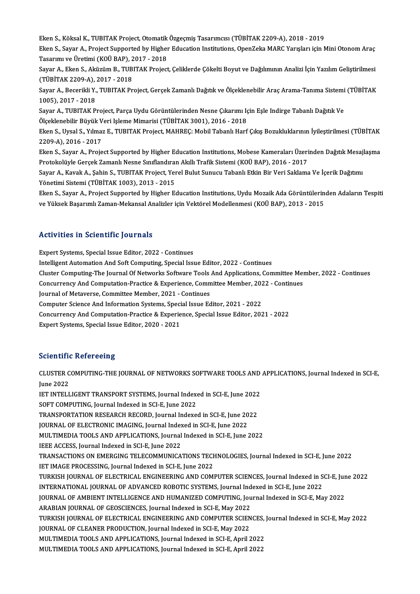eken S., Köksal K., TUBITAK Project, Otomatik Özgeçmiş Tasarımcısı (TÜBİTAK 2209-A), 2018 - 2019<br>Firan S. Sayar A. Project Sunnerted by Higher Education Institutions OpenZelia MARC Vervelery isin N

Eken S., Sayar A., Project Supported by Higher Education Institutions, OpenZeka MARC Yarışları için Mini Otonom Araç<br>Tasarımı ve Üretimi (KOÜ BAP), 2017 - 2018 Eken S., Köksal K., TUBITAK Project, Otomatik<br>Eken S., Sayar A., Project Supported by Higher<br>Tasarımı ve Üretimi (KOÜ BAP), 2017 - 2018<br>Sayar A., Ekan S., Aküsüm B., TUBITAK Prajact Eken S., Sayar A., Project Supported by Higher Education Institutions, OpenZeka MARC Yarışları için Mini Otonom Araç<br>Tasarımı ve Üretimi (KOÜ BAP), 2017 - 2018<br>Sayar A., Eken S., Aküzüm B., TUBITAK Project, Çeliklerde Çöke

Tasarımı ve Üretimi (KOÜ BAP), 2<br>Sayar A., Eken S., Aküzüm B., TUB<br>(TÜBİTAK 2209-A), 2017 - 2018<br>Sayar A. Basarikli V. TUBITAK Br Sayar A., Eken S., Aküzüm B., TUBITAK Project, Çeliklerde Çökelti Boyut ve Dağılımının Analizi İçin Yazılım Geliştirilmesi<br>(TÜBİTAK 2209-A), 2017 - 2018<br>Sayar A., Becerikli Y., TUBITAK Project, Gerçek Zamanlı Dağıtık ve Öl

(TÜBİTAK 2209-A), 2017 - 2018<br>Sayar A., Becerikli Y., TUBITAK Pı<br>1005), 2017 - 2018 Sayar A., Becerikli Y., TUBITAK Project, Gerçek Zamanlı Dağıtık ve Ölçeklenebilir Araç Arama-Tanıma Sistemi<br>1005), 2017 - 2018<br>Sayar A., TUBITAK Project, Parça Uydu Görüntülerinden Nesne Çıkarımı Için Eşle Indirge Tabanlı

Sayar A., TUBITAK Project, Parça Uydu Görüntülerinden Nesne Çıkarımı Için Eşle Indirge Tabanlı Dağıtık Ve<br>Ölceklenebilir Büyük Veri Isleme Mimarisi (TÜBİTAK 3001), 2016 - 2018 Sayar A., TUBITAK Project, Parça Uydu Görüntülerinden Nesne Çıkarımı Için Eşle Indirge Tabanlı Dağıtık Ve<br>Ölçeklenebilir Büyük Veri Işleme Mimarisi (TÜBİTAK 3001), 2016 - 2018<br>Eken S., Uysal S., Yılmaz E., TUBITAK Project,

Ölçeklenebilir Büyük V<br>Eken S., Uysal S., Yılma;<br>2209-A), 2016 - 2017<br>Eken S. Sayar A. Braja Eken S., Uysal S., Yılmaz E., TUBITAK Project, MAHREÇ: Mobil Tabanlı Harf Çıkış Bozukluklarının İyileştirilmesi (TÜBİTAK<br>2209-A), 2016 - 2017<br>Eken S., Sayar A., Project Supported by Higher Education Institutions, Mobese Ka

2209-A), 2016 - 2017<br>Eken S., Sayar A., Project Supported by Higher Education Institutions, Mobese Kameraları Üzerinden Dağıtık Mesajlaşma<br>Protokolüyle Gerçek Zamanlı Nesne Sınıflandıran Akıllı Trafik Sistemi (KOÜ BAP), 20 Eken S., Sayar A., Project Supported by Higher Education Institutions, Mobese Kameraları Üzerinden Dağıtık Mesaj<br>Protokolüyle Gerçek Zamanlı Nesne Sınıflandıran Akıllı Trafik Sistemi (KOÜ BAP), 2016 - 2017<br>Sayar A., Kavak

Protokolüyle Gerçek Zamanlı Nesne Sınıflandıraı<br>Sayar A., Kavak A., Şahin S., TUBITAK Project, Yeı<br>Yönetimi Sistemi (TÜBİTAK 1003), 2013 - 2015<br>Flsan S. Sayar A., Project Supported by Hisbor E. Sayar A., Kavak A., Şahin S., TUBITAK Project, Yerel Bulut Sunucu Tabanlı Etkin Bir Veri Saklama Ve İçerik Dağıtımı<br>Yönetimi Sistemi (TÜBİTAK 1003), 2013 - 2015<br>Eken S., Sayar A., Project Supported by Higher Education Inst

Yönetimi Sistemi (TÜBİTAK 1003), 2013 - 2015<br>Eken S., Sayar A., Project Supported by Higher Education Institutions, Uydu Mozaik Ada Görüntülerinden Adaların Tespiti<br>ve Yüksek Başarımlı Zaman-Mekansal Analizler için Vektöre

#### Activities in Scientific Journals

Expert Systems, Special Issue Editor, 2022 - Continues Intelligent Automation And Soft Computing, Special Issue Editor, 2022 - Continues

Expert Systems, Special Issue Editor, 2022 - Continues<br>Intelligent Automation And Soft Computing, Special Issue Editor, 2022 - Continues<br>Cluster Computing-The Journal Of Networks Software Tools And Applications, Committee Intelligent Automation And Soft Computing, Special Issue Editor, 2022 - Continues<br>Cluster Computing-The Journal Of Networks Software Tools And Applications, Committee Mem<br>Concurrency And Computation-Practice & Experience,

Cluster Computing-The Journal Of Networks Software Tools<br>Concurrency And Computation-Practice & Experience, Comm<br>Journal of Metaverse, Committee Member, 2021 - Continues<br>Computer Science And Information Systems, Special Je Concurrency And Computation-Practice & Experience, Committee Member, 2022 - Continues<br>Journal of Metaverse, Committee Member, 2021 - Continues

Computer Science And Information Systems, Special Issue Editor, 2021 - 2022

Concurrency And Computation-Practice & Experience, Special Issue Editor, 2021 - 2022<br>Expert Systems, Special Issue Editor, 2020 - 2021

#### **Scientific Refereeing**

Scientific Refereeing<br>CLUSTER COMPUTING-THE JOURNAL OF NETWORKS SOFTWARE TOOLS AND APPLICATIONS, Journal Indexed in SCI-E,<br>June 2022 SCHEMIN<br>CLUSTER C<br>June 2022<br>JET INTELL CLUSTER COMPUTING-THE JOURNAL OF NETWORKS SOFTWARE TOOLS AND<br>June 2022<br>IET INTELLIGENT TRANSPORT SYSTEMS, Journal Indexed in SCI-E, June 2022<br>SOET COMPUTING, Journal Indoved in SCI-E, June 2022

June 2022<br>IET INTELLIGENT TRANSPORT SYSTEMS, Journal Index<br>SOFT COMPUTING, Journal Indexed in SCI-E, June 2022 IET INTELLIGENT TRANSPORT SYSTEMS, Journal Indexed in SCI-E, June 2022<br>SOFT COMPUTING, Journal Indexed in SCI-E, June 2022<br>TRANSPORTATION RESEARCH RECORD, Journal Indexed in SCI-E, June 2022<br>JOURNAL OF ELECTRONIC IMAGING, TRANSPORTATION RESEARCH RECORD, Journal Indexed in SCI-E, June 2022 TRANSPORTATION RESEARCH RECORD, Journal Indexed in SCI-E, June 2022<br>JOURNAL OF ELECTRONIC IMAGING, Journal Indexed in SCI-E, June 2022<br>MULTIMEDIA TOOLS AND APPLICATIONS, Journal Indexed in SCI-E, June 2022<br>JEEE ACCESS, Jou JOURNAL OF ELECTRONIC IMAGING, Journal Index<br>MULTIMEDIA TOOLS AND APPLICATIONS, Journal<br>IEEE ACCESS, Journal Indexed in SCI-E, June 2022<br>TRANSACTIONS ON EMERCING TELECOMMUNICA MULTIMEDIA TOOLS AND APPLICATIONS, Journal Indexed in SCI-E, June 2022<br>IEEE ACCESS, Journal Indexed in SCI-E, June 2022<br>TRANSACTIONS ON EMERGING TELECOMMUNICATIONS TECHNOLOGIES, Journal Indexed in SCI-E, June 2022<br>JET IMAC IEEE ACCESS, Journal Indexed in SCI-E, June 2022<br>TRANSACTIONS ON EMERGING TELECOMMUNICATIONS TECH<br>IET IMAGE PROCESSING, Journal Indexed in SCI-E, June 2022<br>TURKISH JOURNAL OF ELECTRICAL ENGINEERING AND COM TRANSACTIONS ON EMERGING TELECOMMUNICATIONS TECHNOLOGIES, Journal Indexed in SCI-E, June 2022<br>IET IMAGE PROCESSING, Journal Indexed in SCI-E, June 2022<br>TURKISH JOURNAL OF ELECTRICAL ENGINEERING AND COMPUTER SCIENCES, Journ IET IMAGE PROCESSING, Journal Indexed in SCI-E, June 2022<br>TURKISH JOURNAL OF ELECTRICAL ENGINEERING AND COMPUTER SCIENCES, Journal Indexed in SCI-E, June 2022<br>INTERNATIONAL JOURNAL OF ADVANCED ROBOTIC SYSTEMS, Journal Inde TURKISH JOURNAL OF ELECTRICAL ENGINEERING AND COMPUTER SCIENCES, Journal Indexed in SCI-E, Jur<br>INTERNATIONAL JOURNAL OF ADVANCED ROBOTIC SYSTEMS, Journal Indexed in SCI-E, June 2022<br>JOURNAL OF AMBIENT INTELLIGENCE AND HUMA INTERNATIONAL JOURNAL OF ADVANCED ROBOTIC SYSTEMS, Journal Ind<br>JOURNAL OF AMBIENT INTELLIGENCE AND HUMANIZED COMPUTING, Jou<br>ARABIAN JOURNAL OF GEOSCIENCES, Journal Indexed in SCI-E, May 2022<br>TURKISH JOURNAL OF ELECTRICAL E JOURNAL OF AMBIENT INTELLIGENCE AND HUMANIZED COMPUTING, Journal Indexed in SCI-E, May 2022<br>ARABIAN JOURNAL OF GEOSCIENCES, Journal Indexed in SCI-E, May 2022<br>TURKISH JOURNAL OF ELECTRICAL ENGINEERING AND COMPUTER SCIENCES ARABIAN JOURNAL OF GEOSCIENCES, Journal Indexed in SCI-E, May 2022<br>TURKISH JOURNAL OF ELECTRICAL ENGINEERING AND COMPUTER SCIEN<br>JOURNAL OF CLEANER PRODUCTION, Journal Indexed in SCI-E, May 2022<br>MIU TIMEDIA TOOLS AND APPLIC TURKISH JOURNAL OF ELECTRICAL ENGINEERING AND COMPUTER SCIENCES,<br>JOURNAL OF CLEANER PRODUCTION, Journal Indexed in SCI-E, May 2022<br>MULTIMEDIA TOOLS AND APPLICATIONS, Journal Indexed in SCI-E, April 2022<br>MULTIMEDIA TOOLS AN JOURNAL OF CLEANER PRODUCTION, Journal Indexed in SCI-E, May 2022<br>MULTIMEDIA TOOLS AND APPLICATIONS, Journal Indexed in SCI-E, April 2022<br>MULTIMEDIA TOOLS AND APPLICATIONS, Journal Indexed in SCI-E, April 2022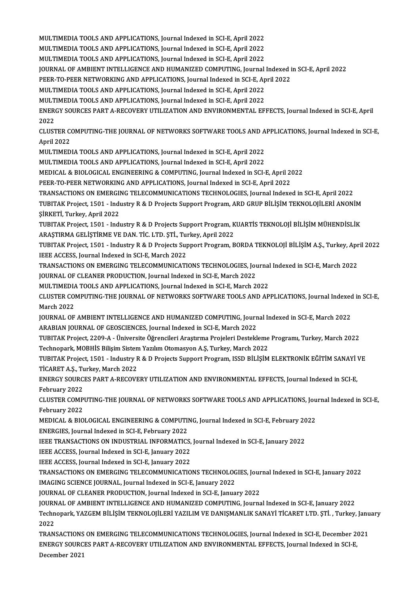MULTIMEDIA TOOLS AND APPLICATIONS, Journal Indexed in SCI-E, April 2022<br>MULTIMEDIA TOOLS AND APPLICATIONS, Journal Indexed in SCI-E, April 2022

MULTIMEDIA TOOLS AND APPLICATIONS, Journal Indexed in SCI-E, April 2022<br>MULTIMEDIA TOOLS AND APPLICATIONS, Journal Indexed in SCI-E, April 2022<br>MULTIMEDIA TOOLS AND APPLICATIONS, Journal Indexed in SCI-E, April 2022 MULTIMEDIA TOOLS AND APPLICATIONS, Journal Indexed in SCI-E, April 2022<br>MULTIMEDIA TOOLS AND APPLICATIONS, Journal Indexed in SCI-E, April 2022<br>MULTIMEDIA TOOLS AND APPLICATIONS, Journal Indexed in SCI-E, April 2022<br>JOURNA

MULTIMEDIA TOOLS AND APPLICATIONS, Journal Indexed in SCI-E, April 2022<br>MULTIMEDIA TOOLS AND APPLICATIONS, Journal Indexed in SCI-E, April 2022<br>JOURNAL OF AMBIENT INTELLIGENCE AND HUMANIZED COMPUTING, Journal Indexed in SC

MULTIMEDIA TOOLS AND APPLICATIONS, Journal Indexed in SCI-E, April 2022<br>JOURNAL OF AMBIENT INTELLIGENCE AND HUMANIZED COMPUTING, Journal Indexed i<br>PEER-TO-PEER NETWORKING AND APPLICATIONS, Journal Indexed in SCI-E, April 2 JOURNAL OF AMBIENT INTELLIGENCE AND HUMANIZED COMPUTING, Journal<br>PEER-TO-PEER NETWORKING AND APPLICATIONS, Journal Indexed in SCI-E, Ap<br>MULTIMEDIA TOOLS AND APPLICATIONS, Journal Indexed in SCI-E, April 2022<br>MULTIMEDIA TOO PEER-TO-PEER NETWORKING AND APPLICATIONS, Journal Indexed in SCI-E, April 2022<br>MULTIMEDIA TOOLS AND APPLICATIONS, Journal Indexed in SCI-E, April 2022

MULTIMEDIA TOOLS AND APPLICATIONS, Journal Indexed in SCI-E, April 2022

ENERGY SOURCES PART A-RECOVERY UTILIZATION AND ENVIRONMENTAL EFFECTS, Journal Indexed in SCI-E, April<br>2022 ENERGY SOURCES PART A-RECOVERY UTILIZATION AND ENVIRONMENTAL EFFECTS, Journal Indexed in SCI-E, April<br>2022<br>CLUSTER COMPUTING-THE JOURNAL OF NETWORKS SOFTWARE TOOLS AND APPLICATIONS, Journal Indexed in SCI-E,<br>April 2022

2022<br>CLUSTER CONSTER<br>April 2022<br>MIU TIMED CLUSTER COMPUTING-THE JOURNAL OF NETWORKS SOFTWARE TOOLS AND A<br>April 2022<br>MULTIMEDIA TOOLS AND APPLICATIONS, Journal Indexed in SCI-E, April 2022<br>MULTIMEDIA TOOLS AND APPLICATIONS, Journal Indexed in SCI-E, April 2022

April 2022<br>MULTIMEDIA TOOLS AND APPLICATIONS, Journal Indexed in SCI-E, April 2022<br>MULTIMEDIA TOOLS AND APPLICATIONS, Journal Indexed in SCI-E, April 2022

MULTIMEDIA TOOLS AND APPLICATIONS, Journal Indexed in SCI-E, April 2022<br>MULTIMEDIA TOOLS AND APPLICATIONS, Journal Indexed in SCI-E, April 2022<br>MEDICAL & BIOLOGICAL ENGINEERING & COMPUTING, Journal Indexed in SCI-E, April MULTIMEDIA TOOLS AND APPLICATIONS, Journal Indexed in SCI-E, April 2022<br>MEDICAL & BIOLOGICAL ENGINEERING & COMPUTING, Journal Indexed in SCI-E, April 20<br>PEER-TO-PEER NETWORKING AND APPLICATIONS, Journal Indexed in SCI-E, A

PEER-TO-PEER NETWORKING AND APPLICATIONS, Journal Indexed in SCI-E, April 2022<br>TRANSACTIONS ON EMERGING TELECOMMUNICATIONS TECHNOLOGIES, Journal Indexed in SCI-E, April 2022

PEER-TO-PEER NETWORKING AND APPLICATIONS, Journal Indexed in SCI-E, April 2022<br>TRANSACTIONS ON EMERGING TELECOMMUNICATIONS TECHNOLOGIES, Journal Indexed in SCI-E, April 2022<br>TUBITAK Project, 1501 - Industry R & D Projects TRANSACTIONS ON EMERGII<br>TUBITAK Project, 1501 - Indi<br>ŞİRKETİ, Turkey, April 2022<br>TUBITAK Project, 1501 - Indi TUBITAK Project, 1501 - Industry R & D Projects Support Program, ARD GRUP BİLİŞİM TEKNOLOJİLERİ ANONIM<br>ŞİRKETİ, Turkey, April 2022<br>TUBITAK Project, 1501 - Industry R & D Projects Support Program, KUARTİS TEKNOLOJİ BİLİŞİM

ŞİRKETİ, Turkey, April 2022<br>TUBITAK Project, 1501 - Industry R & D Projects Support Program, K<br>ARAŞTIRMA GELİŞTİRME VE DAN. TİC. LTD. ŞTİ., Turkey, April 2022<br>TUBITAK Project, 1501 - Industry B & D Projects Support Program TUBITAK Project, 1501 - Industry R & D Projects Support Program, KUARTİS TEKNOLOJİ BİLİŞİM MÜHENDİSLİK<br>ARAŞTIRMA GELİŞTİRME VE DAN. TİC. LTD. ŞTİ., Turkey, April 2022<br>TUBITAK Project, 1501 - Industry R & D Projects Support

ARAŞTIRMA GELİŞTİRME VE DAN. TİC. LTD. ŞTİ., Turkey, April 2022<br>TUBITAK Project, 1501 - Industry R & D Projects Support Program, BORDA TEKNOLOJİ BİLİŞİM A.Ş., Turkey, April 2022<br>IEEE ACCESS, Journal Indexed in SCI-E, March TUBITAK Project, 1501 - Industry R & D Projects Support Program, BORDA TEKNOLOJİ BİLİŞİM A.Ş., Turkey, Apr<br>IEEE ACCESS, Journal Indexed in SCI-E, March 2022<br>TRANSACTIONS ON EMERGING TELECOMMUNICATIONS TECHNOLOGIES, Journal

IEEE ACCESS, Journal Indexed in SCI-E, March 2022<br>TRANSACTIONS ON EMERGING TELECOMMUNICATIONS TECHNOLOGIES, Journal Indexed in SCI-E, March 2022<br>JOURNAL OF CLEANER PRODUCTION, Journal Indexed in SCI-E, March 2022<br>MUU TIMED TRANSACTIONS ON EMERGING TELECOMMUNICATIONS TECHNOLOGIES, Journal<br>JOURNAL OF CLEANER PRODUCTION, Journal Indexed in SCI-E, March 2022<br>MULTIMEDIA TOOLS AND APPLICATIONS, Journal Indexed in SCI-E, March 2022<br>CLUSTER COMPUTIN

JOURNAL OF CLEANER PRODUCTION, Journal Indexed in SCI-E, March 2022<br>MULTIMEDIA TOOLS AND APPLICATIONS, Journal Indexed in SCI-E, March 2022<br>CLUSTER COMPUTING-THE JOURNAL OF NETWORKS SOFTWARE TOOLS AND APPLICATIONS, Journal MULTIMEDIA<br>CLUSTER CO<br>March 2022<br>JOUPNAL OF CLUSTER COMPUTING-THE JOURNAL OF NETWORKS SOFTWARE TOOLS AND APPLICATIONS, Journal Indexed<br>March 2022<br>JOURNAL OF AMBIENT INTELLIGENCE AND HUMANIZED COMPUTING, Journal Indexed in SCI-E, March 2022<br>ARAPIAN JOURNAL OF GEOSCIE

March 2022<br>JOURNAL OF AMBIENT INTELLIGENCE AND HUMANIZED COMPUTING, Journ<br>ARABIAN JOURNAL OF GEOSCIENCES, Journal Indexed in SCI-E, March 2022<br>TUBITAK Preject, 2200 A., Universite Öğrensileri Arastruna Prejeleri Destekl

JOURNAL OF AMBIENT INTELLIGENCE AND HUMANIZED COMPUTING, Journal Indexed in SCI-E, March 2022<br>ARABIAN JOURNAL OF GEOSCIENCES, Journal Indexed in SCI-E, March 2022<br>TUBITAK Project, 2209-A - Üniversite Öğrencileri Araştırma ARABIAN JOURNAL OF GEOSCIENCES, Journal Indexed in SCI-E, March 2022<br>TUBITAK Project, 2209-A - Üniversite Öğrencileri Araştırma Projeleri Destekleme<br>Technopark, MOBHİS Bilişim Sistem Yazılım Otomasyon A.Ş, Turkey, March 20 TUBITAK Project, 2209-A - Üniversite Öğrencileri Araştırma Projeleri Destekleme Programı, Turkey, March 2022<br>Technopark, MOBHİS Bilişim Sistem Yazılım Otomasyon A.Ş, Turkey, March 2022<br>TUBITAK Project, 1501 - Industry R &

Technopark, MOBHİS Bilişim Sistem<br>TUBITAK Project, 1501 - Industry F<br>TİCARET A.Ş., Turkey, March 2022<br>ENERCY SOURCES BART A RECOVE TUBITAK Project, 1501 - Industry R & D Projects Support Program, ISSD BİLİŞİM ELEKTRONİK EĞİTİM SANAYİ '<br>TİCARET A.Ş., Turkey, March 2022<br>ENERGY SOURCES PART A-RECOVERY UTILIZATION AND ENVIRONMENTAL EFFECTS, Journal Indexe

TICARET A.Ş., Turkey, March 2022<br>ENERGY SOURCES PART A-RECOVERY UTILIZATION AND ENVIRONMENTAL EFFECTS, Journal Indexed in SCI-E,<br>February 2022 ENERGY SOURCES PART A-RECOVERY UTILIZATION AND ENVIRONMENTAL EFFECTS, Journal Indexed in SCI-E,<br>February 2022<br>CLUSTER COMPUTING-THE JOURNAL OF NETWORKS SOFTWARE TOOLS AND APPLICATIONS, Journal Indexed in SCI-E,<br>February 20

February 2022<br>CLUSTER COMP<br>February 2022<br>MEDICAL & PIO CLUSTER COMPUTING-THE JOURNAL OF NETWORKS SOFTWARE TOOLS AND APPLICATIONS, Jou<br>February 2022<br>MEDICAL & BIOLOGICAL ENGINEERING & COMPUTING, Journal Indexed in SCI-E, February 2022<br>ENEPCIES Journal Indoved in SCLE Eebruary 2

February 2022<br>MEDICAL & BIOLOGICAL ENGINEERING & COMPUTII<br>ENERGIES, Journal Indexed in SCI-E, February 2022<br>JEEE TRANSACTIONS ON INDUSTRIAL INFORMATICS MEDICAL & BIOLOGICAL ENGINEERING & COMPUTING, Journal Indexed in SCI-E, February 20<br>ENERGIES, Journal Indexed in SCI-E, February 2022<br>IEEE TRANSACTIONS ON INDUSTRIAL INFORMATICS, Journal Indexed in SCI-E, January 2022<br>IEEE

ENERGIES, Journal Indexed in SCI-E, February 2022<br>IEEE TRANSACTIONS ON INDUSTRIAL INFORMATICS,<br>IEEE ACCESS, Journal Indexed in SCI-E, January 2022<br>IEEE ACCESS, Journal Indexed in SCI-E, January 2022 IEEE TRANSACTIONS ON INDUSTRIAL INFORMATICS,<br>IEEE ACCESS, Journal Indexed in SCI-E, January 2022<br>IEEE ACCESS, Journal Indexed in SCI-E, January 2022<br>TRANSACTIONS ON EMERCING TELECOMMUNICATIO

IEEE ACCESS, Journal Indexed in SCI-E, January 2022<br>IEEE ACCESS, Journal Indexed in SCI-E, January 2022<br>TRANSACTIONS ON EMERGING TELECOMMUNICATIONS TECHNOLOGIES, Journal Indexed in SCI-E, January 2022<br>IMACING SCIENCE JOURN IEEE ACCESS, Journal Indexed in SCI-E, January 2022<br>TRANSACTIONS ON EMERGING TELECOMMUNICATIONS TECHNOLOG<br>IMAGING SCIENCE JOURNAL, Journal Indexed in SCI-E, January 2022<br>JOURNAL OF CLEANER RRODUCTION, Journal Indexed in SC TRANSACTIONS ON EMERGING TELECOMMUNICATIONS TECHNOLOGIES, Jour<br>IMAGING SCIENCE JOURNAL, Journal Indexed in SCI-E, January 2022<br>JOURNAL OF CLEANER PRODUCTION, Journal Indexed in SCI-E, January 2022<br>JOURNAL OF AMPIENT INTELL

IMAGING SCIENCE JOURNAL, Journal Indexed in SCI-E, January 2022<br>JOURNAL OF CLEANER PRODUCTION, Journal Indexed in SCI-E, January 2022<br>JOURNAL OF AMBIENT INTELLIGENCE AND HUMANIZED COMPUTING, Journal Indexed in SCI-E, Janua JOURNAL OF CLEANER PRODUCTION, Journal Indexed in SCI-E, January 2022<br>JOURNAL OF AMBIENT INTELLIGENCE AND HUMANIZED COMPUTING, Journal Indexed in SCI-E, January 2022<br>Technopark, YAZGEM BİLİŞİM TEKNOLOJİLERİ YAZILIM VE DANI JOURN<br>Techn<br>2022<br>TP AN Technopark, YAZGEM BİLİŞİM TEKNOLOJİLERİ YAZILIM VE DANIŞMANLIK SANAYİ TİCARET LTD. ŞTİ. , Turkey, Janu<br>2022<br>TRANSACTIONS ON EMERGING TELECOMMUNICATIONS TECHNOLOGIES, Journal Indexed in SCI-E, December 2021<br>ENERCY SOURCES

2022<br>TRANSACTIONS ON EMERGING TELECOMMUNICATIONS TECHNOLOGIES, Journal Indexed in SCI-E, December 20<br>ENERGY SOURCES PART A-RECOVERY UTILIZATION AND ENVIRONMENTAL EFFECTS, Journal Indexed in SCI-E,<br>Desambar 2021 TRANSACTIONS<br>ENERGY SOURC<br>December 2021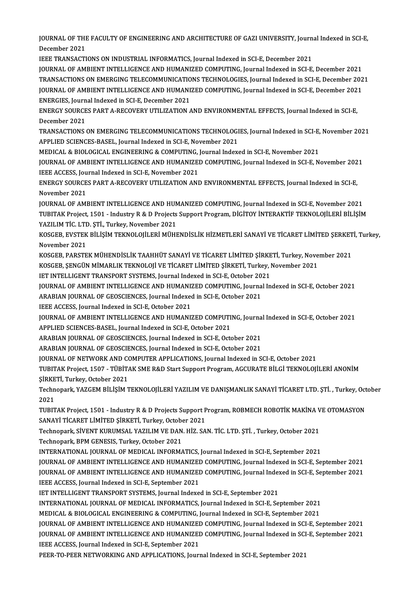JOURNAL OF THE FACULTY OF ENGINEERING AND ARCHITECTURE OF GAZI UNIVERSITY, Journal Indexed in SCI-E,<br>Desember 2021 **JOURNAL OF THE**<br>December 2021<br>JEEE TRANSACTI JOURNAL OF THE FACULTY OF ENGINEERING AND ARCHITECTURE OF GAZI UNIVERSITY, Journ<br>December 2021<br>IEEE TRANSACTIONS ON INDUSTRIAL INFORMATICS, Journal Indexed in SCI-E, December 2021<br>JOURNAL OF AMBIENT INTELLICENCE AND HUMANI

December 2021<br>IEEE TRANSACTIONS ON INDUSTRIAL INFORMATICS, Journal Indexed in SCI-E, December 2021<br>JOURNAL OF AMBIENT INTELLIGENCE AND HUMANIZED COMPUTING, Journal Indexed in SCI-E, December 2021 IEEE TRANSACTIONS ON INDUSTRIAL INFORMATICS, Journal Indexed in SCI-E, December 2021<br>JOURNAL OF AMBIENT INTELLIGENCE AND HUMANIZED COMPUTING, Journal Indexed in SCI-E, December 2021<br>TRANSACTIONS ON EMERGING TELECOMMUNICATI JOURNAL OF AMBIENT INTELLIGENCE AND HUMANIZED COMPUTING, Journal Indexed in SCI-E, December 2021<br>TRANSACTIONS ON EMERGING TELECOMMUNICATIONS TECHNOLOGIES, Journal Indexed in SCI-E, December 202<br>JOURNAL OF AMBIENT INTELLIGE TRANSACTIONS ON EMERGING TELECOMMUNICATIO<br>JOURNAL OF AMBIENT INTELLIGENCE AND HUMANI:<br>ENERGIES, Journal Indexed in SCI-E, December 2021<br>ENERCY SOURCES BART A RECOVERY UTU 17 ATION 4 JOURNAL OF AMBIENT INTELLIGENCE AND HUMANIZED COMPUTING, Journal Indexed in SCI-E, December 2021<br>ENERGIES, Journal Indexed in SCI-E, December 2021<br>ENERGY SOURCES PART A-RECOVERY UTILIZATION AND ENVIRONMENTAL EFFECTS, Journ ENERGIES, Journal Indexed in SCI-E, December 2021

ENERGY SOURCES PART A-RECOVERY UTILIZATION AND ENVIRONMENTAL EFFECTS, Journal Indexed in SCI-E,<br>December 2021<br>TRANSACTIONS ON EMERGING TELECOMMUNICATIONS TECHNOLOGIES, Journal Indexed in SCI-E, November 2021<br>APPLIED SCIENC

December 2021<br>TRANSACTIONS ON EMERGING TELECOMMUNICATIONS TECHNOLOGI<br>APPLIED SCIENCES-BASEL, Journal Indexed in SCI-E, November 2021<br>MEDICAL & PIOLOGICAL ENGINEERING & COMPUTING Journal Indov TRANSACTIONS ON EMERGING TELECOMMUNICATIONS TECHNOLOGIES, Journal Indexed in SCI-E,<br>APPLIED SCIENCES-BASEL, Journal Indexed in SCI-E, November 2021<br>MEDICAL & BIOLOGICAL ENGINEERING & COMPUTING, Journal Indexed in SCI-E, No

APPLIED SCIENCES-BASEL, Journal Indexed in SCI-E, November 2021<br>MEDICAL & BIOLOGICAL ENGINEERING & COMPUTING, Journal Indexed in SCI-E, November 2021<br>JOURNAL OF AMBIENT INTELLIGENCE AND HUMANIZED COMPUTING, Journal Indexed MEDICAL & BIOLOGICAL ENGINEERING & COMPUTING,<br>JOURNAL OF AMBIENT INTELLIGENCE AND HUMANIZEI<br>IEEE ACCESS, Journal Indexed in SCI-E, November 2021<br>ENERCY SOURCES BART A RECOVERY UTU 17 ATION ANI JOURNAL OF AMBIENT INTELLIGENCE AND HUMANIZED COMPUTING, Journal Indexed in SCI-E, November 202<br>IEEE ACCESS, Journal Indexed in SCI-E, November 2021<br>ENERGY SOURCES PART A-RECOVERY UTILIZATION AND ENVIRONMENTAL EFFECTS, Jou

**IEEE ACCESS, Jou<br>ENERGY SOURCE<br>November 2021**<br>JOUPMAL OF AMI ENERGY SOURCES PART A-RECOVERY UTILIZATION AND ENVIRONMENTAL EFFECTS, Journal Indexed in SCI-E,<br>November 2021<br>JOURNAL OF AMBIENT INTELLIGENCE AND HUMANIZED COMPUTING, Journal Indexed in SCI-E, November 2021<br>TUBITAK Preject

November 2021<br>JOURNAL OF AMBIENT INTELLIGENCE AND HUMANIZED COMPUTING, Journal Indexed in SCI-E, November 2021<br>TUBITAK Project, 1501 - Industry R & D Projects Support Program, DİGİTOY İNTERAKTİF TEKNOLOJİLERİ BİLİŞİM<br>YAZU JOURNAL OF AMBIENT INTELLIGENCE AND HUM<br>TUBITAK Project, 1501 - Industry R & D Projects<br>YAZILIM TİC. LTD. ŞTİ., Turkey, November 2021<br>KOSCEP, EVSTEK BİLİSİM TEKNOLOJL EDİ MÜHL TUBITAK Project, 1501 - Industry R & D Projects Support Program, DİGİTOY İNTERAKTİF TEKNOLOJİLERİ BİLİŞİM<br>YAZILIM TİC. LTD. ŞTİ., Turkey, November 2021<br>KOSGEB, EVSTEK BİLİŞİM TEKNOLOJİLERİ MÜHENDİSLİK HİZMETLERİ SANAYİ VE

YAZILIM TİC. LTD. ŞTİ., Turkey, November 2021<br>KOSGEB, EVSTEK BİLİŞİM TEKNOLOJİLERİ MÜHENDİSLİK HİZMETLERİ SANAYİ VE TİCARET LİMİTED ŞERKET<br>November 2021<br>KOSGEB, PARSTEK MÜHENDİSLİK TAAHHÜT SANAYİ VE TİCARET LİMİTED ŞİRKETİ KOSGEB, EVSTEK BİLİŞİM TEKNOLOJİLERİ MÜHENDİSLİK HİZMETLERİ SANAYİ VE TİCARET LİMİTED ŞERKET<br>November 2021<br>KOSGEB, PARSTEK MÜHENDİSLİK TAAHHÜT SANAYİ VE TİCARET LİMİTED ŞİRKETİ, Turkey, November 2021<br>KOSGEB, SENCÜN MİMARI

November 2021<br>KOSGEB, PARSTEK MÜHENDİSLİK TAAHHÜT SANAYİ VE TİCARET LİMİTED ŞİRKETİ, Turkey, Nove<br>KOSGEB, ŞENGÜN MİMARLIK TEKNOLOJİ VE TİCARET LİMİTED ŞİRKETİ, Turkey, November 2021<br>IET INTELLICENT TRANSPORT SYSTEMS, Journ KOSGEB, PARSTEK MÜHENDİSLİK TAAHHÜT SANAYİ VE TİCARET LİMİTED ŞİRKE<br>KOSGEB, ŞENGÜN MİMARLIK TEKNOLOJİ VE TİCARET LİMİTED ŞİRKETİ, Turkey, I<br>IET INTELLIGENT TRANSPORT SYSTEMS, Journal Indexed in SCI-E, October 2021<br>JOURNAL

KOSGEB, ŞENGÜN MİMARLIK TEKNOLOJİ VE TİCARET LİMİTED ŞİRKETİ, Turkey, November 2021<br>IET INTELLIGENT TRANSPORT SYSTEMS, Journal Indexed in SCI-E, October 2021<br>JOURNAL OF AMBIENT INTELLIGENCE AND HUMANIZED COMPUTING, Journal IET INTELLIGENT TRANSPORT SYSTEMS, Journal Indexed in SCI-E, October 2021<br>JOURNAL OF AMBIENT INTELLIGENCE AND HUMANIZED COMPUTING, Journal Indexed in SCI-E, October 2021<br>ARABIAN JOURNAL OF GEOSCIENCES, Journal Indexed in S ARABIAN JOURNAL OF GEOSCIENCES, Journal Indexed in SCI-E, October 2021

ARABIAN JOURNAL OF GEOSCIENCES, Journal Indexed in SCI-E, October 2021<br>IEEE ACCESS, Journal Indexed in SCI-E, October 2021<br>JOURNAL OF AMBIENT INTELLIGENCE AND HUMANIZED COMPUTING, Journal Indexed in SCI-E, October 2021<br>APP APPLIED SCIENCES-BASEL, Journal Indexed in SCI-E, October 2021 JOURNAL OF AMBIENT INTELLIGENCE AND HUMANIZED COMPUTING, Journa<br>APPLIED SCIENCES-BASEL, Journal Indexed in SCI-E, October 2021<br>ARABIAN JOURNAL OF GEOSCIENCES, Journal Indexed in SCI-E, October 2021<br>ARABIAN JOURNAL OF GEOSC

ARABIAN JOURNAL OF GEOSCIENCES, Journal Indexed in SCI-E, October 2021<br>ARABIAN JOURNAL OF GEOSCIENCES, Journal Indexed in SCI-E, October 2021

ARABIAN JOURNAL OF GEOSCIENCES, Journal Indexed in SCI-E, October 2021<br>ARABIAN JOURNAL OF GEOSCIENCES, Journal Indexed in SCI-E, October 2021<br>JOURNAL OF NETWORK AND COMPUTER APPLICATIONS, Journal Indexed in SCI-E, October

TUBITAK Project, 1507 - TÜBİTAK SME R&D Start Support Program, AGCURATE BİLGİ TEKNOLOJİLERİ ANONİM<br>ŞİRKETİ, Turkey, October 2021 JOURNAL OF NETWORK AND CONTRAK Project, 1507 - TÜBİT*i*<br>ŞİRKETİ, Turkey, October 2021<br>Teshnanarlı YAZCEM Bil İSİM T TUBITAK Project, 1507 - TÜBİTAK SME R&D Start Support Program, AGCURATE BİLGİ TEKNOLOJİLERİ ANONİM<br>ŞİRKETİ, Turkey, October 2021<br>Technopark, YAZGEM BİLİŞİM TEKNOLOJİLERİ YAZILIM VE DANIŞMANLIK SANAYİ TİCARET LTD. ŞTİ. , Tu

SIRKE<br>Techn<br>2021<br>TUPIT Technopark, YAZGEM BİLİŞİM TEKNOLOJİLERİ YAZILIM VE DANIŞMANLIK SANAYİ TİCARET LTD. ŞTİ. , Turkey, Oct<br>2021<br>TUBITAK Project, 1501 - Industry R & D Projects Support Program, ROBMECH ROBOTİK MAKİNA VE OTOMASYON<br>SANAVİ TİCARE

2021<br>TUBITAK Project, 1501 - Industry R & D Projects Support P<br>SANAYİ TİCARET LİMİTED ŞİRKETİ, Turkey, October 2021<br>Teshnanark, SİVENT KURUMSAL YAZU IM VE DAN HİZ, SA TUBITAK Project, 1501 - Industry R & D Projects Support Program, ROBMECH ROBOTİK MAKİNA V<br>SANAYİ TİCARET LİMİTED ŞİRKETİ, Turkey, October 2021<br>Technopark, SİVENT KURUMSAL YAZILIM VE DAN. HİZ. SAN. TİC. LTD. ŞTİ. , Turkey,

SANAYİ TİCARET LİMİTED ŞİRKETİ, Turkey, October 2021<br>Technopark, SİVENT KURUMSAL YAZILIM VE DAN. HİZ. SAN. TİC. LTD. ŞTİ. , Turkey, October 2021<br>Technopark, BPM GENESIS, Turkey, October 2021

INTERNATIONAL JOURNAL OF MEDICAL INFORMATICS, Journal Indexed in SCI-E, September 2021

Technopark, BPM GENESIS, Turkey, October 2021<br>INTERNATIONAL JOURNAL OF MEDICAL INFORMATICS, Journal Indexed in SCI-E, September 2021<br>JOURNAL OF AMBIENT INTELLIGENCE AND HUMANIZED COMPUTING, Journal Indexed in SCI-E, Septem

INTERNATIONAL JOURNAL OF MEDICAL INFORMATICS, Journal Indexed in SCI-E, September 2021<br>JOURNAL OF AMBIENT INTELLIGENCE AND HUMANIZED COMPUTING, Journal Indexed in SCI-E, September 2021<br>JOURNAL OF AMBIENT INTELLIGENCE AND H JOURNAL OF AMBIENT INTELLIGENCE AND HUMANIZEI<br>JOURNAL OF AMBIENT INTELLIGENCE AND HUMANIZEI<br>IEEE ACCESS, Journal Indexed in SCI-E, September 2021<br>IET INTELLICENT TRANSBORT SYSTEMS, Journal Indexe JOURNAL OF AMBIENT INTELLIGENCE AND HUMANIZED COMPUTING, Journal Indexed in SCI-E, September 2021<br>IEEE ACCESS, Journal Indexed in SCI-E, September 2021<br>IET INTELLIGENT TRANSPORT SYSTEMS, Journal Indexed in SCI-E, September

INTERNATIONAL JOURNAL OF MEDICAL INFORMATICS, Journal Indexed in SCI-E, September 2021 IET INTELLIGENT TRANSPORT SYSTEMS, Journal Indexed in SCI-E, September 2021<br>INTERNATIONAL JOURNAL OF MEDICAL INFORMATICS, Journal Indexed in SCI-E, September 2021<br>MEDICAL & BIOLOGICAL ENGINEERING & COMPUTING, Journal Index

INTERNATIONAL JOURNAL OF MEDICAL INFORMATICS, Journal Indexed in SCI-E, September 2021<br>MEDICAL & BIOLOGICAL ENGINEERING & COMPUTING, Journal Indexed in SCI-E, September 2021<br>JOURNAL OF AMBIENT INTELLIGENCE AND HUMANIZED CO MEDICAL & BIOLOGICAL ENGINEERING & COMPUTING, Journal Indexed in SCI-E, September 2021<br>JOURNAL OF AMBIENT INTELLIGENCE AND HUMANIZED COMPUTING, Journal Indexed in SCI-E, September 2021<br>JOURNAL OF AMBIENT INTELLIGENCE AND H JOURNAL OF AMBIENT INTELLIGENCE AND HUMANIZEI<br>JOURNAL OF AMBIENT INTELLIGENCE AND HUMANIZEI<br>IEEE ACCESS, Journal Indexed in SCI-E, September 2021<br>PEER TO PEER NETWORKING AND APRIJGATIONS Journ JOURNAL OF AMBIENT INTELLIGENCE AND HUMANIZED COMPUTING, Journal Indexed in SCI<br>IEEE ACCESS, Journal Indexed in SCI-E, September 2021<br>PEER-TO-PEER NETWORKING AND APPLICATIONS, Journal Indexed in SCI-E, September 2021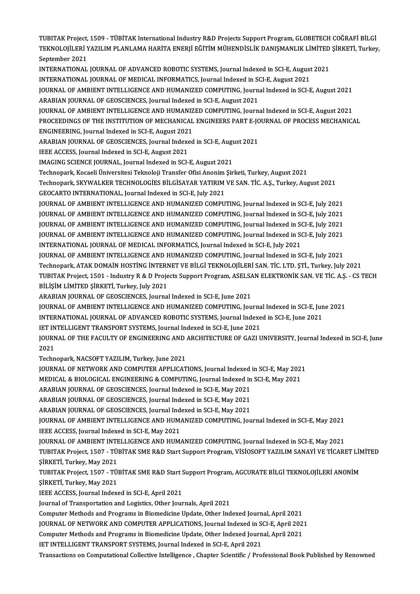TUBITAK Project, 1509 - TÜBİTAK International Industry R&D Projects Support Program, GLOBETECH COĞRAFİ BİLGİ<br>TEKNOLOJİLERİ YAZILIM BLANLAMA HARİTA ENERLİ EĞİTİM MÜHENDİSLİK DANISMANLIK LİMİTED SİRKETİ TURKOL TUBITAK Project, 1509 - TÜBİTAK International Industry R&D Projects Support Program, GLOBETECH COĞRAFİ BİLGİ<br>TEKNOLOJİLERİ YAZILIM PLANLAMA HARİTA ENERJİ EĞİTİM MÜHENDİSLİK DANIŞMANLIK LİMİTED ŞİRKETİ, Turkey, TUBITAK Project,<br>TEKNOLOJİLERİ Y<br>September 2021<br>INTERNATIONAL TEKNOLOJİLERİ YAZILIM PLANLAMA HARİTA ENERJİ EĞİTİM MÜHENDİSLİK DANIŞMANLIK LİMİTED ŞİRKETİ, Turkey,<br>September 2021

INTERNATIONAL JOURNAL OF ADVANCED ROBOTIC SYSTEMS, Journal Indexed in SCI-E, August 2021 INTERNATIONAL JOURNAL OF ADVANCED ROBOTIC SYSTEMS, Journal Indexed in SCI-E, August 2021<br>INTERNATIONAL JOURNAL OF MEDICAL INFORMATICS, Journal Indexed in SCI-E, August 2021<br>JOURNAL OF AMBIENT INTELLIGENCE AND HUMANIZED COM INTERNATIONAL JOURNAL OF MEDICAL INFORMATICS, Journal Indexed in SCI-E, August 2021<br>JOURNAL OF AMBIENT INTELLIGENCE AND HUMANIZED COMPUTING, Journal Indexed in SCI-E, August 2021<br>ARABIAN JOURNAL OF GEOSCIENCES, Journal Ind JOURNAL OF AMBIENT INTELLIGENCE AND HUMANIZED COMPUTING, Journal Indexed in SCI-E, August 2021<br>ARABIAN JOURNAL OF GEOSCIENCES, Journal Indexed in SCI-E, August 2021<br>JOURNAL OF AMBIENT INTELLIGENCE AND HUMANIZED COMPUTING,

ARABIAN JOURNAL OF GEOSCIENCES, Journal Indexed in SCI-E, August 2021<br>JOURNAL OF AMBIENT INTELLIGENCE AND HUMANIZED COMPUTING, Journal Indexed in SCI-E, August 2021<br>PROCEEDINGS OF THE INSTITUTION OF MECHANICAL ENGINEERS PA FOURNAL OF AMBIENT INTELLIGENCE AND HUMANIZ<br>PROCEEDINGS OF THE INSTITUTION OF MECHANICAL<br>ENGINEERING, Journal Indexed in SCI-E, August 2021<br>ARAPIAN IQUENAL OF CEOSCIENCES, Journal Indexed

PROCEEDINGS OF THE INSTITUTION OF MECHANICAL ENGINEERS PART E-JC<br>ENGINEERING, Journal Indexed in SCI-E, August 2021<br>ARABIAN JOURNAL OF GEOSCIENCES, Journal Indexed in SCI-E, August 2021<br>IEEE ACCESS, Journal Indexed in SCI-ENGINEERING, Journal Indexed in SCI-E, August 2021<br>ARABIAN JOURNAL OF GEOSCIENCES, Journal Indexe<br>IEEE ACCESS, Journal Indexed in SCI-E, August 2021<br>IMACINC SCIENCE JOURNAL Journal Indexed in SCI ARABIAN JOURNAL OF GEOSCIENCES, Journal Indexed in SCI-E, August 2021<br>IEEE ACCESS, Journal Indexed in SCI-E, August 2021<br>IMAGING SCIENCE JOURNAL, Journal Indexed in SCI-E, August 2021

IEEE ACCESS, Journal Indexed in SCI-E, August 2021<br>IMAGING SCIENCE JOURNAL, Journal Indexed in SCI-E, August 2021<br>Technopark, Kocaeli Üniversitesi Teknoloji Transfer Ofisi Anonim Şirketi, Turkey, August 2021<br>Technopark, SK

IMAGING SCIENCE JOURNAL, Journal Indexed in SCI-E, August 2021<br>Technopark, Kocaeli Üniversitesi Teknoloji Transfer Ofisi Anonim Şirketi, Turkey, August 2021<br>Technopark, SKYWALKER TECHNOLOGİES BİLGİSAYAR YATIRIM VE SAN. TİC Technopark, Kocaeli Üniversitesi Teknoloji Transfer Ofisi Anonim<br>Technopark, SKYWALKER TECHNOLOGİES BİLGİSAYAR YATIRIM<br>GEOCARTO INTERNATIONAL, Journal Indexed in SCI-E, July 2021<br>JOURNAL OF AMBIENT INTELLICENCE AND HUMANIZ

Technopark, SKYWALKER TECHNOLOGIES BILGISAYAR YATIRIM VE SAN. TİC. A.Ş., Turkey, August 2021<br>GEOCARTO INTERNATIONAL, Journal Indexed in SCI-E, July 2021<br>JOURNAL OF AMBIENT INTELLIGENCE AND HUMANIZED COMPUTING, Journal Inde GEOCARTO INTERNATIONAL, Journal Indexed in SCI-E, July 2021<br>JOURNAL OF AMBIENT INTELLIGENCE AND HUMANIZED COMPUTING, Journal Indexed in SCI-E, July 2021<br>JOURNAL OF AMBIENT INTELLIGENCE AND HUMANIZED COMPUTING, Journal Inde JOURNAL OF AMBIENT INTELLIGENCE AND HUMANIZED COMPUTING, Journal Indexed in SCI-E, July 2021<br>JOURNAL OF AMBIENT INTELLIGENCE AND HUMANIZED COMPUTING, Journal Indexed in SCI-E, July 2021<br>JOURNAL OF AMBIENT INTELLIGENCE AND JOURNAL OF AMBIENT INTELLIGENCE AND HUMANIZED COMPUTING, Journal Indexed in SCI-E, July 2021<br>JOURNAL OF AMBIENT INTELLIGENCE AND HUMANIZED COMPUTING, Journal Indexed in SCI-E, July 2021<br>JOURNAL OF AMBIENT INTELLIGENCE AND JOURNAL OF AMBIENT INTELLIGENCE AND HUMANIZED COMPUTING, Journal Indexed in SCI-E, July 2021<br>JOURNAL OF AMBIENT INTELLIGENCE AND HUMANIZED COMPUTING, Journal Indexed in SCI-E, July 2021<br>INTERNATIONAL JOURNAL OF MEDICAL INF JOURNAL OF AMBIENT INTELLIGENCE AND HUMANIZED COMPUTING, Journal Indexed in SCI-E, July 2021

INTERNATIONAL JOURNAL OF MEDICAL INFORMATICS, Journal Indexed in SCI-E, July 2021<br>JOURNAL OF AMBIENT INTELLIGENCE AND HUMANIZED COMPUTING, Journal Indexed in SCI-E, July 2021<br>TUPITAK Project 1501 , Industry B. & D Projects JOURNAL OF AMBIENT INTELLIGENCE AND HUMANIZED COMPUTING, Journal Indexed in SCI-E, July 2021<br>Technopark, ATAK DOMAIN HOSTING INTERNET VE BILGI TEKNOLOJILERI SAN. TIC. LTD. ŞTİ., Turkey, July 2021<br>TUBITAK Project, 1501 - In Technopark, ATAK DOMAİN HOSTİNG İNTERN<br>TUBITAK Project, 1501 - Industry R & D Proje<br>BİLİŞİM LİMİTED ŞİRKETİ, Turkey, July 2021<br>ARAPIAN JOUPNAL OF CEOSCIENCES, Journal TUBITAK Project, 1501 - Industry R & D Projects Support Program, ASELSAN ELEKTRONIK SAN. VE TIC. A.Ş. - CS TECH<br>BİLİŞİM LİMİTED ŞİRKETİ, Turkey, July 2021<br>ARABIAN JOURNAL OF GEOSCIENCES, Journal Indexed in SCI-E, June 2021

BİLİŞİM LİMİTED ŞİRKETİ, Turkey, July 2021<br>ARABIAN JOURNAL OF GEOSCIENCES, Journal Indexed in SCI-E, June 2021<br>JOURNAL OF AMBIENT INTELLIGENCE AND HUMANIZED COMPUTING, Journal Indexed in SCI-E, June 2021<br>INTERNATIONAL JOUR ARABIAN JOURNAL OF GEOSCIENCES, Journal Indexed in SCI-E, June 2021<br>JOURNAL OF AMBIENT INTELLIGENCE AND HUMANIZED COMPUTING, Journal Indexed in SCI-E, Jun<br>INTERNATIONAL JOURNAL OF ADVANCED ROBOTIC SYSTEMS, Journal Indexed

JOURNAL OF AMBIENT INTELLIGENCE AND HUMANIZED COMPUTING, Journal<br>INTERNATIONAL JOURNAL OF ADVANCED ROBOTIC SYSTEMS, Journal Indexe<br>IET INTELLIGENT TRANSPORT SYSTEMS, Journal Indexed in SCI-E, June 2021<br>JOURNAL OF THE EACUL

INTERNATIONAL JOURNAL OF ADVANCED ROBOTIC SYSTEMS, Journal Indexed in SCI-E, June 2021<br>IET INTELLIGENT TRANSPORT SYSTEMS, Journal Indexed in SCI-E, June 2021<br>JOURNAL OF THE FACULTY OF ENGINEERING AND ARCHITECTURE OF GAZI U IET IN<br>JOURN<br>2021<br>Techn 2021<br>Technopark, NACSOFT YAZILIM, Turkey, June 2021<br>JOURNAL OF NETWORK AND COMPUTER APPLICATIONS, Journal Indexed in SCI-E, May 2021<br>MEDICAL & PIOLOGICAL ENGINEEPING & COMPUTING Journal Indexed in SCI-E, May 2021

Technopark, NACSOFT YAZILIM, Turkey, June 2021

Technopark, NACSOFT YAZILIM, Turkey, June 2021<br>JOURNAL OF NETWORK AND COMPUTER APPLICATIONS, Journal Indexed in SCI-E, May 2021<br>MEDICAL & BIOLOGICAL ENGINEERING & COMPUTING, Journal Indexed in SCI-E, May 2021<br>ARAPIAN JOURN JOURNAL OF NETWORK AND COMPUTER APPLICATIONS, Journal Indexed<br>MEDICAL & BIOLOGICAL ENGINEERING & COMPUTING, Journal Indexed in<br>ARABIAN JOURNAL OF GEOSCIENCES, Journal Indexed in SCI-E, May 2021<br>ARABIAN JOURNAL OF GEOSCIENC

MEDICAL & BIOLOGICAL ENGINEERING & COMPUTING, Journal Indexed in<br>ARABIAN JOURNAL OF GEOSCIENCES, Journal Indexed in SCI-E, May 2021<br>ARABIAN JOURNAL OF GEOSCIENCES, Journal Indexed in SCI-E, May 2021<br>ARABIAN JOURNAL OF GEOS

ARABIAN JOURNAL OF GEOSCIENCES, Journal Indexed in SCI-E, May 2021<br>ARABIAN JOURNAL OF GEOSCIENCES, Journal Indexed in SCI-E, May 2021<br>ARABIAN JOURNAL OF GEOSCIENCES, Journal Indexed in SCI-E, May 2021<br>JOURNAL OF AMBIENT IN

ARABIAN JOURNAL OF GEOSCIENCES, Journal Indexed in SCI-E, May 2021<br>ARABIAN JOURNAL OF GEOSCIENCES, Journal Indexed in SCI-E, May 2021<br>JOURNAL OF AMBIENT INTELLIGENCE AND HUMANIZED COMPUTING, Journal Indexed in SCI-E, May 2 ARABIAN JOURNAL OF GEOSCIENCES, Journal Index<br>JOURNAL OF AMBIENT INTELLIGENCE AND HUM.<br>IEEE ACCESS, Journal Indexed in SCI-E, May 2021<br>JOURNAL OF AMBIENT INTELLICENCE AND HUM. JOURNAL OF AMBIENT INTELLIGENCE AND HUMANIZED COMPUTING, Journal Indexed in SCI-E, May 2021<br>IEEE ACCESS, Journal Indexed in SCI-E, May 2021<br>JOURNAL OF AMBIENT INTELLIGENCE AND HUMANIZED COMPUTING, Journal Indexed in SCI-E,

IEEE ACCESS, Journal Indexed in SCI-E, May 2021<br>JOURNAL OF AMBIENT INTELLIGENCE AND HUMANIZED COMPUTING, Journal Indexed in SCI-E, May 2021<br>TUBITAK Project, 1507 - TÜBİTAK SME R&D Start Support Program, VİSİOSOFT YAZILIM S JOURNAL OF AMBIENT INT<mark>E</mark><br>TUBITAK Project, 1507 - TÜJ<br>ŞİRKETİ, Turkey, May 2021<br>TUBITA*V Project,* 1507 - TÜJ TUBITAK Project, 1507 - TÜBİTAK SME R&D Start Support Program, VİSİOSOFT YAZILIM SANAYİ VE TİCARET LİN<br>ŞİRKETİ, Turkey, May 2021<br>TUBITAK Project, 1507 - TÜBİTAK SME R&D Start Support Program, AGCURATE BİLGİ TEKNOLOJİLERİ A

ŞİRKETİ, Turkey, May 2021<br>TUBITAK Project, 1507 - TÜJ<br>ŞİRKETİ, Turkey, May 2021<br><sup>IEEE ACCESS</sup> Jaurnal Indov TUBITAK Project, 1507 - TÜBİTAK SME R&D Start S<br>ŞİRKETİ, Turkey, May 2021<br>IEEE ACCESS, Journal Indexed in SCI-E, April 2021<br>Journal of Transportation and Logistics, Other Jour

ŞİRKETİ, Turkey, May 2021<br>IEEE ACCESS, Journal Indexed in SCI-E, April 2021<br>Journal of Transportation and Logistics, Other Journals, April 2021

Computer Methods and Programs in Biomedicine Update, Other Indexed Journal, April 2021

Journal of Transportation and Logistics, Other Journals, April 2021<br>Computer Methods and Programs in Biomedicine Update, Other Indexed Journal, April 2021<br>JOURNAL OF NETWORK AND COMPUTER APPLICATIONS, Journal Indexed in SC Computer Methods and Programs in Biomedicine Update, Other Indexed Journal, April 2021<br>JOURNAL OF NETWORK AND COMPUTER APPLICATIONS, Journal Indexed in SCI-E, April 202<br>Computer Methods and Programs in Biomedicine Update, JOURNAL OF NETWORK AND COMPUTER APPLICATIONS, Journal Indexed in St<br>Computer Methods and Programs in Biomedicine Update, Other Indexed Journ<br>IET INTELLIGENT TRANSPORT SYSTEMS, Journal Indexed in SCI-E, April 2021<br>Transacti

Computer Methods and Programs in Biomedicine Update, Other Indexed Journal, April 2021<br>IET INTELLIGENT TRANSPORT SYSTEMS, Journal Indexed in SCI-E, April 2021<br>Transactions on Computational Collective Intelligence , Chapter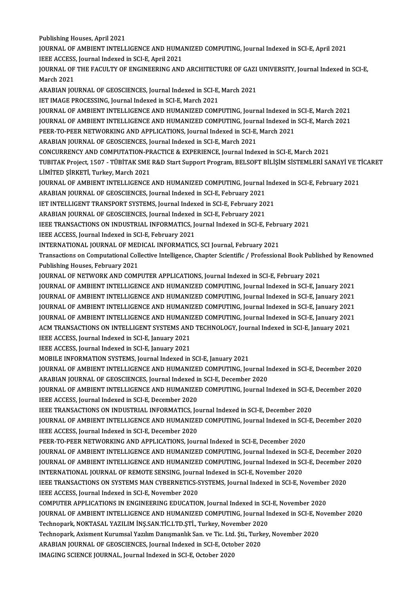Publishing Houses, April 2021

Publishing Houses, April 2021<br>JOURNAL OF AMBIENT INTELLIGENCE AND HUMANIZED COMPUTING, Journal Indexed in SCI-E, April 2021<br>JEEE ACCESS, Journal Indoved in SCLE, April 2021 Publishing Houses, April 2021<br>JOURNAL OF AMBIENT INTELLIGENCE AND HUMA<br>IEEE ACCESS, Journal Indexed in SCI-E, April 2021<br>JOURNAL OF THE EACULTY OF ENCINEERING AND JOURNAL OF AMBIENT INTELLIGENCE AND HUMANIZED COMPUTING, Journal Indexed in SCI-E, April 2021<br>IEEE ACCESS, Journal Indexed in SCI-E, April 2021<br>JOURNAL OF THE FACULTY OF ENGINEERING AND ARCHITECTURE OF GAZI UNIVERSITY, Jou

**IEEE ACCESS<br>JOURNAL OF<br>March 2021** JOURNAL OF THE FACULTY OF ENGINEERING AND ARCHITECTURE OF GAZI<br>March 2021<br>ARABIAN JOURNAL OF GEOSCIENCES, Journal Indexed in SCI-E, March 2021<br>JET IMACE PROCESSING Journal Indexed in SCI-E-March 2021

March 2021<br>ARABIAN JOURNAL OF GEOSCIENCES, Journal Indexed in SCI-E, March 2021<br>IET IMAGE PROCESSING, Journal Indexed in SCI-E, March 2021

JOURNAL OF AMBIENT INTELLIGENCE AND HUMANIZED COMPUTING, Journal Indexed in SCI-E, March 2021 IET IMAGE PROCESSING, Journal Indexed in SCI-E, March 2021<br>JOURNAL OF AMBIENT INTELLIGENCE AND HUMANIZED COMPUTING, Journal Indexed in SCI-E, March 2021<br>JOURNAL OF AMBIENT INTELLIGENCE AND HUMANIZED COMPUTING, Journal Inde JOURNAL OF AMBIENT INTELLIGENCE AND HUMANIZED COMPUTING, Journal Indexed in<br>JOURNAL OF AMBIENT INTELLIGENCE AND HUMANIZED COMPUTING, Journal Indexed in<br>PEER-TO-PEER NETWORKING AND APPLICATIONS, Journal Indexed in SCI-E, Ma JOURNAL OF AMBIENT INTELLIGENCE AND HUMANIZED COMPUTING, Journ<br>PEER-TO-PEER NETWORKING AND APPLICATIONS, Journal Indexed in SCI-E,<br>ARABIAN JOURNAL OF GEOSCIENCES, Journal Indexed in SCI-E, March 2021<br>CONCUPRENCY AND COMBUT

PEER-TO-PEER NETWORKING AND APPLICATIONS, Journal Indexed in SCI-E, March 2021<br>ARABIAN JOURNAL OF GEOSCIENCES, Journal Indexed in SCI-E, March 2021<br>CONCURRENCY AND COMPUTATION-PRACTICE & EXPERIENCE, Journal Indexed in SCI-

TUBITAK Project, 1507 - TÜBİTAK SME R&D Start Support Program, BELSOFT BİLİŞİM SİSTEMLERİ SANAYİ VE TİCARET LİMİTED ŞİRKETİ, Turkey, March 2021 TUBITAK Project, 1507 - TÜBİTAK SME R&D Start Support Program, BELSOFT BİLİŞİM SİSTEMLERİ SANAYİ VE T<br>LİMİTED ŞİRKETİ, Turkey, March 2021<br>JOURNAL OF AMBIENT INTELLIGENCE AND HUMANIZED COMPUTING, Journal Indexed in SCI-E, F

LİMİTED ŞİRKETİ, Turkey, March 2021<br>JOURNAL OF AMBIENT INTELLIGENCE AND HUMANIZED COMPUTING, Journal I<br>ARABIAN JOURNAL OF GEOSCIENCES, Journal Indexed in SCI-E, February 2021<br>JET INTELLICENT TRANSPORT SYSTEMS, Journal Inde JOURNAL OF AMBIENT INTELLIGENCE AND HUMANIZED COMPUTING, Journal Indexed in SCI-E, February 2021<br>ARABIAN JOURNAL OF GEOSCIENCES, Journal Indexed in SCI-E, February 2021<br>IET INTELLIGENT TRANSPORT SYSTEMS, Journal Indexed in

ARABIAN JOURNAL OF GEOSCIENCES, Journal Indexed in SCI-E, February 2021<br>IET INTELLIGENT TRANSPORT SYSTEMS, Journal Indexed in SCI-E, February 2021<br>ARABIAN JOURNAL OF GEOSCIENCES, Journal Indexed in SCI-E, February 2021

IET INTELLIGENT TRANSPORT SYSTEMS, Journal Indexed in SCI-E, February 2021<br>ARABIAN JOURNAL OF GEOSCIENCES, Journal Indexed in SCI-E, February 2021<br>IEEE TRANSACTIONS ON INDUSTRIAL INFORMATICS, Journal Indexed in SCI-E, Febr IEEE TRANSACTIONS ON INDUSTRIAL INFORMATICS, Journal Indexed in SCI-E, Febru<br>IEEE ACCESS, Journal Indexed in SCI-E, February 2021<br>INTERNATIONAL JOURNAL OF MEDICAL INFORMATICS, SCI Journal, February 2021<br>Transactions on Com

IEEE ACCESS, Journal Indexed in SCI-E, February 2021

INTERNATIONAL JOURNAL OF MEDICAL INFORMATICS, SCI Journal, February 2021

Transactions on Computational Collective Intelligence, Chapter Scientific / Professional Book Published by Renowned<br>Publishing Houses, February 2021 Transactions on Computational Collective Intelligence, Chapter Scientific / Professional Book Publis<br>Publishing Houses, February 2021<br>JOURNAL OF AMPIENT INTELLICENCE AND HUMANIZED COMPUTING Journal Indexed in SCI-E, Februa

Publishing Houses, February 2021<br>JOURNAL OF NETWORK AND COMPUTER APPLICATIONS, Journal Indexed in SCI-E, February 2021<br>JOURNAL OF AMBIENT INTELLIGENCE AND HUMANIZED COMPUTING, Journal Indexed in SCI-E, January 2021<br>JOURNAL JOURNAL OF NETWORK AND COMPUTER APPLICATIONS, Journal Indexed in SCI-E, February 2021<br>JOURNAL OF AMBIENT INTELLIGENCE AND HUMANIZED COMPUTING, Journal Indexed in SCI-E, January 2021<br>JOURNAL OF AMBIENT INTELLIGENCE AND HUMA JOURNAL OF AMBIENT INTELLIGENCE AND HUMANIZED COMPUTING, Journal Indexed in SCI-E, January 2021<br>JOURNAL OF AMBIENT INTELLIGENCE AND HUMANIZED COMPUTING, Journal Indexed in SCI-E, January 2021<br>JOURNAL OF AMBIENT INTELLIGENC JOURNAL OF AMBIENT INTELLIGENCE AND HUMANIZED COMPUTING, Journal Indexed in SCI-E, January 2021<br>JOURNAL OF AMBIENT INTELLIGENCE AND HUMANIZED COMPUTING, Journal Indexed in SCI-E, January 2021<br>JOURNAL OF AMBIENT INTELLIGENC JOURNAL OF AMBIENT INTELLIGENCE AND HUMANIZED COMPUTING, Journal Indexed in SCI-E, January 2021<br>JOURNAL OF AMBIENT INTELLIGENCE AND HUMANIZED COMPUTING, Journal Indexed in SCI-E, January 2021<br>ACM TRANSACTIONS ON INTELLIGEN **JOURNAL OF AMBIENT INTELLIGENCE AND HUMANI:<br>ACM TRANSACTIONS ON INTELLIGENT SYSTEMS AND<br>IEEE ACCESS, Journal Indexed in SCI-E, January 2021**<br>IEEE ACCESS, Journal Indexed in SCI-E, January 2021

ACM TRANSACTIONS ON INTELLIGENT SYSTEMS AND<br>IEEE ACCESS, Journal Indexed in SCI-E, January 2021<br>IEEE ACCESS, Journal Indexed in SCI-E, January 2021<br>MOBILE INEOPMATION SYSTEMS, Journal Indexed in

IEEE ACCESS, Journal Indexed in SCI-E, January 2021<br>IEEE ACCESS, Journal Indexed in SCI-E, January 2021<br>MOBILE INFORMATION SYSTEMS, Journal Indexed in SCI-E, January 2021<br>JOURNAL OF AMPIENT INTELLICENCE AND HUMANIZED COMPU

IEEE ACCESS, Journal Indexed in SCI-E, January 2021<br>MOBILE INFORMATION SYSTEMS, Journal Indexed in SCI-E, January 2021<br>JOURNAL OF AMBIENT INTELLIGENCE AND HUMANIZED COMPUTING, Journal Indexed in SCI-E, December 2020<br>ARABIA MOBILE INFORMATION SYSTEMS, Journal Indexed in SCI-E, January 2021<br>JOURNAL OF AMBIENT INTELLIGENCE AND HUMANIZED COMPUTING, Journal In<br>ARABIAN JOURNAL OF GEOSCIENCES, Journal Indexed in SCI-E, December 2020<br>JOURNAL OF AMBI JOURNAL OF AMBIENT INTELLIGENCE AND HUMANIZED COMPUTING, Journal Indexed in SCI-E, December 2020<br>ARABIAN JOURNAL OF GEOSCIENCES, Journal Indexed in SCI-E, December 2020<br>JOURNAL OF AMBIENT INTELLIGENCE AND HUMANIZED COMPUTI

ARABIAN JOURNAL OF GEOSCIENCES, Journal Indexed in<br>JOURNAL OF AMBIENT INTELLIGENCE AND HUMANIZE<br>IEEE ACCESS, Journal Indexed in SCI-E, December 2020<br>IEEE TRANSACTIONS ON INDUSTRIAL INFORMATICS, Jo JOURNAL OF AMBIENT INTELLIGENCE AND HUMANIZED COMPUTING, Journal Indexed in SCI-E,<br>IEEE ACCESS, Journal Indexed in SCI-E, December 2020<br>IEEE TRANSACTIONS ON INDUSTRIAL INFORMATICS, Journal Indexed in SCI-E, December 2020<br>J

IEEE ACCESS, Journal Indexed in SCI-E, December 2020<br>IEEE TRANSACTIONS ON INDUSTRIAL INFORMATICS, Journal Indexed in SCI-E, December 2020<br>JOURNAL OF AMBIENT INTELLIGENCE AND HUMANIZED COMPUTING, Journal Indexed in SCI-E, D IEEE TRANSACTIONS ON INDUSTRIAL INFORMATICS, Jo<br>JOURNAL OF AMBIENT INTELLIGENCE AND HUMANIZE<br>IEEE ACCESS, Journal Indexed in SCI-E, December 2020<br>PEEP TO PEEP NETWORKING AND APRIJGATIONS JOUR JOURNAL OF AMBIENT INTELLIGENCE AND HUMANIZED COMPUTING, Journal Indexed in SCI<br>IEEE ACCESS, Journal Indexed in SCI-E, December 2020<br>PEER-TO-PEER NETWORKING AND APPLICATIONS, Journal Indexed in SCI-E, December 2020<br>JOURNAL

IEEE ACCESS, Journal Indexed in SCI-E, December 2020<br>PEER-TO-PEER NETWORKING AND APPLICATIONS, Journal Indexed in SCI-E, December 2020<br>JOURNAL OF AMBIENT INTELLIGENCE AND HUMANIZED COMPUTING, Journal Indexed in SCI-E, Dece PEER-TO-PEER NETWORKING AND APPLICATIONS, Journal Indexed in SCI-E, December 2020<br>JOURNAL OF AMBIENT INTELLIGENCE AND HUMANIZED COMPUTING, Journal Indexed in SCI-E, December 2020<br>JOURNAL OF AMBIENT INTELLIGENCE AND HUMANIZ JOURNAL OF AMBIENT INTELLIGENCE AND HUMANIZED COMPUTING, Journal Indexed in SC<br>JOURNAL OF AMBIENT INTELLIGENCE AND HUMANIZED COMPUTING, Journal Indexed in SC<br>INTERNATIONAL JOURNAL OF REMOTE SENSING, Journal Indexed in SCI-JOURNAL OF AMBIENT INTELLIGENCE AND HUMANIZED COMPUTING, Journal Indexed in SCI-E, December 2020<br>INTERNATIONAL JOURNAL OF REMOTE SENSING, Journal Indexed in SCI-E, November 2020<br>IEEE TRANSACTIONS ON SYSTEMS MAN CYBERNETICS

INTERNATIONAL JOURNAL OF REMOTE SENSING, Journal Indexed in SCI-E, November 2020<br>IEEE TRANSACTIONS ON SYSTEMS MAN CYBERNETICS-SYSTEMS, Journal Indexed in SCI-E, November<br>IEEE ACCESS, Journal Indexed in SCI-E, November 2020 IEEE TRANSACTIONS ON SYSTEMS MAN CYBERNETICS-SYSTEMS, Journal Indexed in SCI-E, November 2020

IEEE ACCESS, Journal Indexed in SCI-E, November 2020<br>COMPUTER APPLICATIONS IN ENGINEERING EDUCATION, Journal Indexed in SCI-E, November 2020<br>JOURNAL OF AMBIENT INTELLIGENCE AND HUMANIZED COMPUTING, Journal Indexed in SCI-E COMPUTER APPLICATIONS IN ENGINEERING EDUCATION, Journal Indexed in SCI<br>JOURNAL OF AMBIENT INTELLIGENCE AND HUMANIZED COMPUTING, Journal In<br>Technopark, NOKTASAL YAZILIM İNŞ.SAN.TİC.LTD.ŞTİ., Turkey, November 2020<br>Technopark JOURNAL OF AMBIENT INTELLIGENCE AND HUMANIZED COMPUTING, Journal Indexed in SCI-E, N<br>Technopark, NOKTASAL YAZILIM İNŞ.SAN.TİC.LTD.ŞTİ., Turkey, November 2020<br>Technopark, Axisment Kurumsal Yazılım Danışmanlık San. ve Tic. L

Technopark, NOKTASAL YAZILIM İNŞ.SAN.TİC.LTD.ŞTİ., Turkey, November 202<br>Technopark, Axisment Kurumsal Yazılım Danışmanlık San. ve Tic. Ltd. Şti., Turk<br>ARABIAN JOURNAL OF GEOSCIENCES, Journal Indexed in SCI-E, October 2020<br> Technopark, Axisment Kurumsal Yazılım Danışmanlık San. ve Tic. Ltd. Şti., Turkey, November 2020<br>ARABIAN JOURNAL OF GEOSCIENCES, Journal Indexed in SCI-E, October 2020<br>IMAGING SCIENCE JOURNAL, Journal Indexed in SCI-E, Octo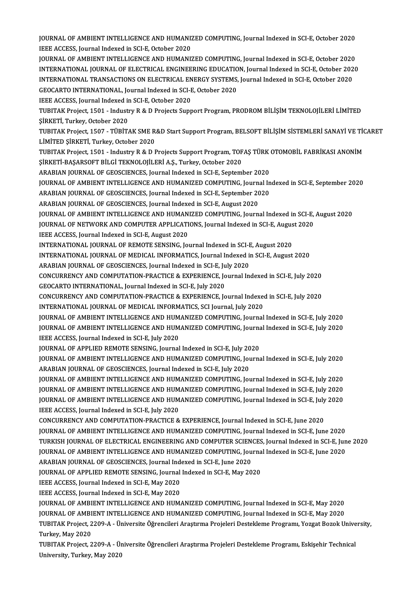JOURNAL OF AMBIENT INTELLIGENCE AND HUMANIZED COMPUTING, Journal Indexed in SCI-E, October 2020<br>JEFE ACCESS, Journal Indoved in SCLE, October 2020 **JOURNAL OF AMBIENT INTELLIGENCE AND HUMANIZ**<br>IEEE ACCESS, Journal Indexed in SCI-E, October 2020<br>JOURNAL OF AMBIENT INTELLICENCE AND HUMANI JOURNAL OF AMBIENT INTELLIGENCE AND HUMANIZED COMPUTING, Journal Indexed in SCI-E, October 2020<br>IEEE ACCESS, Journal Indexed in SCI-E, October 2020<br>JOURNAL OF AMBIENT INTELLIGENCE AND HUMANIZED COMPUTING, Journal Indexed i

IEEE ACCESS, Journal Indexed in SCI-E, October 2020<br>JOURNAL OF AMBIENT INTELLIGENCE AND HUMANIZED COMPUTING, Journal Indexed in SCI-E, October 2020<br>INTERNATIONAL JOURNAL OF ELECTRICAL ENGINEERING EDUCATION, Journal Indexed JOURNAL OF AMBIENT INTELLIGENCE AND HUMANIZED COMPUTING, Journal Indexed in SCI-E, October 2020<br>INTERNATIONAL JOURNAL OF ELECTRICAL ENGINEERING EDUCATION, Journal Indexed in SCI-E, October 2020<br>INTERNATIONAL TRANSACTIONS O INTERNATIONAL JOURNAL OF ELECTRICAL ENGINEERING EDUCATIO<br>INTERNATIONAL TRANSACTIONS ON ELECTRICAL ENERGY SYSTEMS,<br>GEOCARTO INTERNATIONAL, Journal Indexed in SCI-E, October 2020<br>IEEE ACCESS Journal Indoved in SCI-E-October INTERNATIONAL TRANSACTIONS ON ELECTRICAL ENERGY SYSTEMS, Journal Indexed in SCI-E, October 2020<br>GEOCARTO INTERNATIONAL, Journal Indexed in SCI-E, October 2020<br>IEEE ACCESS, Journal Indexed in SCI-E, October 2020

GEOCARTO INTERNATIONAL, Journal Indexed in SCI-E, October 2020<br>IEEE ACCESS, Journal Indexed in SCI-E, October 2020<br>TUBITAK Project, 1501 - Industry R & D Projects Support Program, PRODROM BİLİŞİM TEKNOLOJİLERİ LİMİTED<br>SİRK IEEE ACCESS, Journal Indexed in<br>TUBITAK Project, 1501 - Indust<br>ŞİRKETİ, Turkey, October 2020<br>TUBITAK Project, 1507 - TÜBITA TUBITAK Project, 1501 - Industry R & D Projects Support Program, PRODROM BİLİŞİM TEKNOLOJİLERİ LİMİTED<br>ŞİRKETİ, Turkey, October 2020<br>TUBITAK Project, 1507 - TÜBİTAK SME R&D Start Support Program, BELSOFT BİLİŞİM SİSTEMLERİ

ŞİRKETİ, Turkey, October 2020<br>TUBITAK Project, 1507 - TÜBİTAK SME R.<br>LİMİTED ŞİRKETİ, Turkey, October 2020<br>TUBITAK Project, 1501 - Industru B. & D. L TUBITAK Project, 1507 - TÜBİTAK SME R&D Start Support Program, BELSOFT BİLİŞİM SİSTEMLERİ SANAYİ VE TİO<br>LİMİTED ŞİRKETİ, Turkey, October 2020<br>TUBITAK Project, 1501 - Industry R & D Projects Support Program, TOFAŞ TÜRK OTOM

LİMİTED ŞİRKETİ, Turkey, October 2020<br>TUBITAK Project, 1501 - Industry R & D Projects Support Program, TOFAŞ TÜRK OTOMOBİL FABRİKASI ANONİM<br>ŞİRKETİ-BAŞARSOFT BİLGİ TEKNOLOJİLERİ A.Ş., Turkey, October 2020

ARABIAN JOURNAL OF GEOSCIENCES, Journal Indexed in SCI-E, September 2020

ŞİRKETİ-BAŞARSOFT BİLGİ TEKNOLOJİLERİ A.Ş., Turkey, October 2020<br>ARABIAN JOURNAL OF GEOSCIENCES, Journal Indexed in SCI-E, September 2020<br>JOURNAL OF AMBIENT INTELLIGENCE AND HUMANIZED COMPUTING, Journal Indexed in SCI-E, S ARABIAN JOURNAL OF GEOSCIENCES, Journal Indexed in SCI-E, September 2020<br>JOURNAL OF AMBIENT INTELLIGENCE AND HUMANIZED COMPUTING, Journal In<br>ARABIAN JOURNAL OF GEOSCIENCES, Journal Indexed in SCI-E, September 2020<br>ARABIAN JOURNAL OF AMBIENT INTELLIGENCE AND HUMANIZED COMPUTING, Journal<br>ARABIAN JOURNAL OF GEOSCIENCES, Journal Indexed in SCI-E, September 20<br>ARABIAN JOURNAL OF GEOSCIENCES, Journal Indexed in SCI-E, August 2020<br>JOURNAL OF AMBIE

ARABIAN JOURNAL OF GEOSCIENCES, Journal Indexed in SCI-E, September 2020<br>ARABIAN JOURNAL OF GEOSCIENCES, Journal Indexed in SCI-E, August 2020<br>JOURNAL OF AMBIENT INTELLIGENCE AND HUMANIZED COMPUTING, Journal Indexed in SCI

ARABIAN JOURNAL OF GEOSCIENCES, Journal Indexed in SCI-E, August 2020<br>JOURNAL OF AMBIENT INTELLIGENCE AND HUMANIZED COMPUTING, Journal Indexed in SCI-E,<br>JOURNAL OF NETWORK AND COMPUTER APPLICATIONS, Journal Indexed in SCI-JOURNAL OF AMBIENT INTELLIGENCE AND HUMAN<br>JOURNAL OF NETWORK AND COMPUTER APPLICATI<br>IEEE ACCESS, Journal Indexed in SCI-E, August 2020<br>INTERNATIONAL JOURNAL OF REMOTE SENSING JOU JOURNAL OF NETWORK AND COMPUTER APPLICATIONS, Journal Indexed in SCI-E, August<br>IEEE ACCESS, Journal Indexed in SCI-E, August 2020<br>INTERNATIONAL JOURNAL OF REMOTE SENSING, Journal Indexed in SCI-E, August 2020<br>INTERNATIONAL

INTERNATIONAL JOURNAL OF REMOTE SENSING, Journal Indexed in SCI-H<br>INTERNATIONAL JOURNAL OF MEDICAL INFORMATICS, Journal Indexed in<br>ARABIAN JOURNAL OF GEOSCIENCES, Journal Indexed in SCI-E, July 2020<br>CONCUPRENCY AND COMBUTA

IEEE ACCESS, Journal Indexed in SCI-E, August 2020<br>INTERNATIONAL JOURNAL OF REMOTE SENSING, Journal Indexed in SCI-E, August 2020<br>INTERNATIONAL JOURNAL OF MEDICAL INFORMATICS, Journal Indexed in SCI-E, August 2020

CONCURRENCY AND COMPUTATION-PRACTICE & EXPERIENCE, Journal Indexed in SCI-E, July 2020<br>GEOCARTO INTERNATIONAL, Journal Indexed in SCI-E, July 2020 ARABIAN JOURNAL OF GEOSCIENCES, Journal Indexed in SCI-E, July<br>CONCURRENCY AND COMPUTATION-PRACTICE & EXPERIENCE, Jo<br>GEOCARTO INTERNATIONAL, Journal Indexed in SCI-E, July 2020<br>CONCURRENCY AND COMPUTATION BRACTICE & EXPERI CONCURRENCY AND COMPUTATION-PRACTICE & EXPERIENCE, Journal Indexed in SCI-E, July 2020<br>GEOCARTO INTERNATIONAL, Journal Indexed in SCI-E, July 2020<br>CONCURRENCY AND COMPUTATION-PRACTICE & EXPERIENCE, Journal Indexed in SCI-E

GEOCARTO INTERNATIONAL, Journal Indexed in SCI-E, July 2020<br>CONCURRENCY AND COMPUTATION-PRACTICE & EXPERIENCE, Journal Indexe<br>INTERNATIONAL JOURNAL OF MEDICAL INFORMATICS, SCI Journal, July 2020<br>JOURNAL OF AMPIENT INTELLIC

CONCURRENCY AND COMPUTATION-PRACTICE & EXPERIENCE, Journal Indexed in SCI-E, July 2020<br>INTERNATIONAL JOURNAL OF MEDICAL INFORMATICS, SCI Journal, July 2020<br>JOURNAL OF AMBIENT INTELLIGENCE AND HUMANIZED COMPUTING, Journal I INTERNATIONAL JOURNAL OF MEDICAL INFORMATICS, SCI Journal, July 2020<br>JOURNAL OF AMBIENT INTELLIGENCE AND HUMANIZED COMPUTING, Journal Indexed in SCI-E, July 2020<br>JOURNAL OF AMBIENT INTELLIGENCE AND HUMANIZED COMPUTING, Jou **JOURNAL OF AMBIENT INTELLIGENCE AND HUM<br>JOURNAL OF AMBIENT INTELLIGENCE AND HUM<br>IEEE ACCESS, Journal Indexed in SCI-E, July 2020**<br>JOURNAL OF APPLIED REMOTE SENSING Journal JOURNAL OF AMBIENT INTELLIGENCE AND HUMANIZED COMPUTING, Journa<br>IEEE ACCESS, Journal Indexed in SCI-E, July 2020<br>JOURNAL OF AMBIENT INTELLICENSING, Journal Indexed in SCI-E, July 2020<br>JOURNAL OF AMBIENT INTELLICENCE AND HU

IEEE ACCESS, Journal Indexed in SCI-E, July 2020<br>JOURNAL OF APPLIED REMOTE SENSING, Journal Indexed in SCI-E, July 2020<br>JOURNAL OF AMBIENT INTELLIGENCE AND HUMANIZED COMPUTING, Journal Indexed in SCI-E, July 2020<br>ARAPIAN J JOURNAL OF APPLIED REMOTE SENSING, Journal Indexed in SCI-E, July 20<br>JOURNAL OF AMBIENT INTELLIGENCE AND HUMANIZED COMPUTING, Journal Indexed<br>ARABIAN JOURNAL OF GEOSCIENCES, Journal Indexed in SCI-E, July 2020<br>JOURNAL OF A JOURNAL OF AMBIENT INTELLIGENCE AND HUMANIZED COMPUTING, Journal Indexed in SCI-E, July 2020<br>ARABIAN JOURNAL OF GEOSCIENCES, Journal Indexed in SCI-E, July 2020<br>JOURNAL OF AMBIENT INTELLIGENCE AND HUMANIZED COMPUTING, Jour

ARABIAN JOURNAL OF GEOSCIENCES, Journal Indexed in SCI-E, July 2020<br>JOURNAL OF AMBIENT INTELLIGENCE AND HUMANIZED COMPUTING, Journal Indexed in SCI-E, July 2020<br>JOURNAL OF AMBIENT INTELLIGENCE AND HUMANIZED COMPUTING, Jour JOURNAL OF AMBIENT INTELLIGENCE AND HUMANIZED COMPUTING, Journal Indexed in SCI-E, July 2020<br>JOURNAL OF AMBIENT INTELLIGENCE AND HUMANIZED COMPUTING, Journal Indexed in SCI-E, July 2020<br>JOURNAL OF AMBIENT INTELLIGENCE AND **JOURNAL OF AMBIENT INTELLIGENCE AND HUM<br>JOURNAL OF AMBIENT INTELLIGENCE AND HUM<br>IEEE ACCESS, Journal Indexed in SCI-E, July 2020<br>CONCUBBENCY AND COMBUTATION BRACTICE &** JOURNAL OF AMBIENT INTELLIGENCE AND HUMANIZED COMPUTING, Journal Indexed in SCI-E, July<br>IEEE ACCESS, Journal Indexed in SCI-E, July 2020<br>CONCURRENCY AND COMPUTATION-PRACTICE & EXPERIENCE, Journal Indexed in SCI-E, June 202

IEEE ACCESS, Journal Indexed in SCI-E, July 2020<br>CONCURRENCY AND COMPUTATION-PRACTICE & EXPERIENCE, Journal Indexed in SCI-E, June 2020<br>JOURNAL OF AMBIENT INTELLIGENCE AND HUMANIZED COMPUTING, Journal Indexed in SCI-E, Jun CONCURRENCY AND COMPUTATION-PRACTICE & EXPERIENCE, Journal Indexed in SCI-E, June 2020<br>JOURNAL OF AMBIENT INTELLIGENCE AND HUMANIZED COMPUTING, Journal Indexed in SCI-E, June 2020<br>TURKISH JOURNAL OF ELECTRICAL ENGINEERING JOURNAL OF AMBIENT INTELLIGENCE AND HUMANIZED COMPUTING, Journal Indexed in SCI-E, June 2020<br>TURKISH JOURNAL OF ELECTRICAL ENGINEERING AND COMPUTER SCIENCES, Journal Indexed in SCI-E, Jun<br>JOURNAL OF AMBIENT INTELLIGENCE AN TURKISH JOURNAL OF ELECTRICAL ENGINEERING AND COMPUTER SCIEN<br>JOURNAL OF AMBIENT INTELLIGENCE AND HUMANIZED COMPUTING, Jou<br>ARABIAN JOURNAL OF GEOSCIENCES, Journal Indexed in SCI-E, June 2020<br>JOURNAL OF APPLIED BEMOTE SENSIN JOURNAL OF AMBIENT INTELLIGENCE AND HUMANIZED COMPUTING, Journa<br>ARABIAN JOURNAL OF GEOSCIENCES, Journal Indexed in SCI-E, June 2020<br>JOURNAL OF APPLIED REMOTE SENSING, Journal Indexed in SCI-E, May 2020<br>JEEE ACCESS, Journal

ARABIAN JOURNAL OF GEOSCIENCES, Journal Indexed in SCI-E, June 2020<br>JOURNAL OF APPLIED REMOTE SENSING, Journal Indexed in SCI-E, May 20<br>IEEE ACCESS, Journal Indexed in SCI-E, May 2020<br>IEEE ACCESS, Journal Indexed in SCI-E, JOURNAL OF APPLIED REMOTE SENSING, Journal Indexed in SCI-E, May 2020

JOURNAL OF AMBIENT INTELLIGENCE AND HUMANIZED COMPUTING, Journal Indexed in SCI-E, May 2020 IEEE ACCESS, Journal Indexed in SCI-E, May 2020<br>JOURNAL OF AMBIENT INTELLIGENCE AND HUMANIZED COMPUTING, Journal Indexed in SCI-E, May 2020<br>JOURNAL OF AMBIENT INTELLIGENCE AND HUMANIZED COMPUTING, Journal Indexed in SCI-E, JOURNAL OF AMBIENT INTELLIGENCE AND HUMANIZED COMPUTING, Journal Indexed in SCI-E, May 2020<br>JOURNAL OF AMBIENT INTELLIGENCE AND HUMANIZED COMPUTING, Journal Indexed in SCI-E, May 2020<br>TUBITAK Project, 2209-A - Üniversite Ö **JOURNAL OF AMBI<br>TUBITAK Project, 2<br>Turkey, May 2020<br>TUBITA***V* **Project 2** TUBITAK Project, 2209-A - Üniversite Öğrencileri Araştırma Projeleri Destekleme Programı, Yozgat Bozok Unive<br>Turkey, May 2020<br>TUBITAK Project, 2209-A - Üniversite Öğrencileri Araştırma Projeleri Destekleme Programı, Eskişe

Turkey, May 2020<br>TUBITAK Project, 2209-A - Üniversite Öğrencileri Araştırma Projeleri Destekleme Programı, Eskişehir Technical<br>University, Turkey, May 2020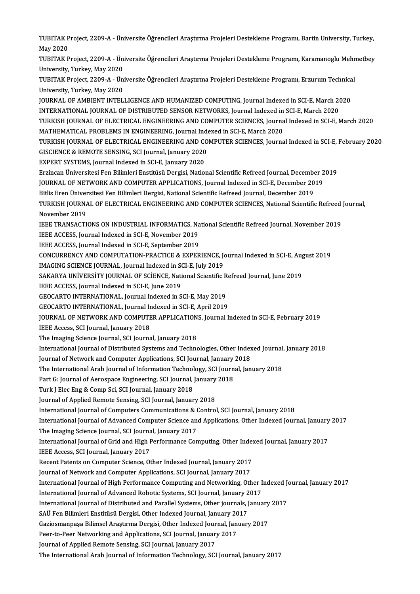TUBITAK Project, 2209-A - Üniversite Öğrencileri Araştırma Projeleri Destekleme Programı, Bartin University, Turkey,<br>May 2020 TUBITAK P<br>May 2020<br>TUBITAK B TUBITAK Project, 2209-A - Üniversite Öğrencileri Araştırma Projeleri Destekleme Programı, Bartin University, Turkey,<br>May 2020<br>TUBITAK Project, 2209-A - Üniversite Öğrencileri Araştırma Projeleri Destekleme Programı, Karama May 2020<br>TUBITAK Project, 2209-A - Ün<br>University, Turkey, May 2020<br>TUBITAK Project, 2200 A - Ün TUBITAK Project, 2209-A - Üniversite Öğrencileri Araştırma Projeleri Destekleme Programı, Karamanoglu Mehn<br>University, Turkey, May 2020<br>TUBITAK Project, 2209-A - Üniversite Öğrencileri Araştırma Projeleri Destekleme Progra University, Turkey, May 2020<br>TUBITAK Project, 2209-A - Ün<br>University, Turkey, May 2020<br>JOUPNAL OF AMPIENT INTEL TUBITAK Project, 2209-A - Üniversite Öğrencileri Araştırma Projeleri Destekleme Programı, Erzurum Technica<br>University, Turkey, May 2020<br>JOURNAL OF AMBIENT INTELLIGENCE AND HUMANIZED COMPUTING, Journal Indexed in SCI-E, Mar University, Turkey, May 2020<br>JOURNAL OF AMBIENT INTELLIGENCE AND HUMANIZED COMPUTING, Journal Indexed in SCI-E, March 2020<br>INTERNATIONAL JOURNAL OF DISTRIBUTED SENSOR NETWORKS, Journal Indexed in SCI-E, March 2020

JOURNAL OF AMBIENT INTELLIGENCE AND HUMANIZED COMPUTING, Journal Indexed in SCI-E, March 2020<br>INTERNATIONAL JOURNAL OF DISTRIBUTED SENSOR NETWORKS, Journal Indexed in SCI-E, March 2020<br>TURKISH JOURNAL OF ELECTRICAL ENGINEE INTERNATIONAL JOURNAL OF DISTRIBUTED SENSOR NETWORKS, Journal Indexed in<br>TURKISH JOURNAL OF ELECTRICAL ENGINEERING AND COMPUTER SCIENCES, Journa<br>MATHEMATICAL PROBLEMS IN ENGINEERING, Journal Indexed in SCI-E, March 2020<br>TU TURKISH JOURNAL OF ELECTRICAL ENGINEERING AND COMPUTER SCIENCES, Journal Indexed in SCI-E, March 2020<br>MATHEMATICAL PROBLEMS IN ENGINEERING, Journal Indexed in SCI-E, March 2020<br>TURKISH JOURNAL OF ELECTRICAL ENGINEERING AND MATHEMATICAL PROBLEMS IN ENGINEERING, Journal Indexed in SCI-E, March 2020<br>TURKISH JOURNAL OF ELECTRICAL ENGINEERING AND COMPUTER SCIENCES, Journa<br>GISCIENCE & REMOTE SENSING, SCI Journal, January 2020<br>EXPERT SYSTEMS, Journ TURKISH JOURNAL OF ELECTRICAL ENGINEERING AND CONSCIENCE & REMOTE SENSING, SCI Journal, January 2020<br>EXPERT SYSTEMS, Journal Indexed in SCI-E, January 2020<br>Explored Universitesi Een Bilimleri Enstitüsü Dergisi Natio GISCIENCE & REMOTE SENSING, SCI Journal, January 2020<br>EXPERT SYSTEMS, Journal Indexed in SCI-E, January 2020<br>Erzincan Üniversitesi Fen Bilimleri Enstitüsü Dergisi, National Scientific Refreed Journal, December 2019<br>JOURNAL EXPERT SYSTEMS, Journal Indexed in SCI-E, January 2020<br>Erzincan Üniversitesi Fen Bilimleri Enstitüsü Dergisi, National Scientific Refreed Journal, December 2<br>JOURNAL OF NETWORK AND COMPUTER APPLICATIONS, Journal Indexed in Erzincan Üniversitesi Fen Bilimleri Enstitüsü Dergisi, National Scientific Refreed Journal, December<br>JOURNAL OF NETWORK AND COMPUTER APPLICATIONS, Journal Indexed in SCI-E, December 20<br>Bitlis Eren Üniversitesi Fen Bilimler JOURNAL OF NETWORK AND COMPUTER APPLICATIONS, Journal Indexed in SCI-E, December 2019<br>Bitlis Eren Üniversitesi Fen Bilimleri Dergisi, National Scientific Refreed Journal, December 2019<br>TURKISH JOURNAL OF ELECTRICAL ENGINEE Bitlis Eren Üniver<br>TURKISH JOURNA<br>November 2019<br>IEEE TPANSACTI TURKISH JOURNAL OF ELECTRICAL ENGINEERING AND COMPUTER SCIENCES, National Scientific Refreed<br>November 2019<br>IEEE TRANSACTIONS ON INDUSTRIAL INFORMATICS, National Scientific Refreed Journal, November 2019<br>IEEE ACCESS Journal November 2019<br>IEEE TRANSACTIONS ON INDUSTRIAL INFORMATICS, Na<br>IEEE ACCESS, Journal Indexed in SCI-E, November 2019<br>IEEE ACCESS, Journal Indexed in SCI-E, Sontember 2019 IEEE TRANSACTIONS ON INDUSTRIAL INFORMATICS, Na<br>IEEE ACCESS, Journal Indexed in SCI-E, November 2019<br>IEEE ACCESS, Journal Indexed in SCI-E, September 2019<br>CONCUPPENCY AND COMBUTATION PRACTICE & EYPER

IEEE ACCESS, Journal Indexed in SCI-E, September 2019<br>CONCURRENCY AND COMPUTATION-PRACTICE & EXPERIENCE, Journal Indexed in SCI-E, August 2019 CONCURRENCY AND COMPUTATION-PRACTICE & EXPERIENCE, Journal Indexed in SCI-E, Aug<br>IMAGING SCIENCE JOURNAL, Journal Indexed in SCI-E, July 2019<br>SAKARYA UNIVERSITY JOURNAL OF SCIENCE, National Scientific Refreed Journal, June

IMAGING SCIENCE JOURNAL, Journal Indexed in SCI-E, July 2019 IMAGING SCIENCE JOURNAL, Journal Indexed in SC<br>SAKARYA UNIVERSITY JOURNAL OF SCIENCE, Nati<br>IEEE ACCESS, Journal Indexed in SCI-E, June 2019<br>CEOCAPTO INTERNATIONAL Journal Indexed in S

SAKARYA UNIVERSITY JOURNAL OF SCIENCE, National Scientific R<br>IEEE ACCESS, Journal Indexed in SCI-E, June 2019<br>GEOCARTO INTERNATIONAL, Journal Indexed in SCI-E, May 2019<br>CEOCARTO INTERNATIONAL, Journal Indexed in SCI-E, Anr

IEEE ACCESS, Journal Indexed in SCI-E, June 2019<br>GEOCARTO INTERNATIONAL, Journal Indexed in SCI-E, May 2019<br>GEOCARTO INTERNATIONAL, Journal Indexed in SCI-E, April 2019

GEOCARTO INTERNATIONAL, Journal Indexed in SCI-E, May 2019<br>GEOCARTO INTERNATIONAL, Journal Indexed in SCI-E, April 2019<br>JOURNAL OF NETWORK AND COMPUTER APPLICATIONS, Journal Indexed in SCI-E, February 2019<br>JEEE Access SCI JOURNAL OF NETWORK AND COMPUTER APPLICATION<br>IEEE Access, SCI Journal, January 2018<br>The Imaging Science Journal, SCI Journal, January 2018<br>International Journal of Distributed Systems and Teshne

IEEE Access, SCI Journal, January 2018<br>The Imaging Science Journal, SCI Journal, January 2018

International Journal of Distributed Systems and Technologies, Other Indexed Journal, January 2018 The Imaging Science Journal, SCI Journal, January 2018<br>International Journal of Distributed Systems and Technologies, Other Index<br>Journal of Network and Computer Applications, SCI Journal, January 2018<br>The International Ar International Journal of Distributed Systems and Technologies, Other Indexed Journal,<br>Journal of Network and Computer Applications, SCI Journal, January 2018<br>The International Arab Journal of Information Technology, SCI Jo

Journal of Network and Computer Applications, SCI Journal, January<br>The International Arab Journal of Information Technology, SCI Journ<br>Part G: Journal of Aerospace Engineering, SCI Journal, January 2018<br>Turk LElec Eng & Co

The International Arab Journal of Information Technol<br>Part G: Journal of Aerospace Engineering, SCI Journal, J<br>Turk J Elec Eng & Comp Sci, SCI Journal, January 2018<br>Journal of Annlied Bomete Sensing, SCI Journal, Januar

Part G: Journal of Aerospace Engineering, SCI Journal, January 2018<br>Turk J Elec Eng & Comp Sci, SCI Journal, January 2018<br>Journal of Applied Remote Sensing, SCI Journal, January 2018

International Journal of Computers Communications & Control, SCI Journal, January 2018

Journal of Applied Remote Sensing, SCI Journal, January 2018<br>International Journal of Computers Communications & Control, SCI Journal, January 2018<br>International Journal of Advanced Computer Science and Applications, Other International Journal of Computers Communications & (<br>International Journal of Advanced Computer Science an<br>The Imaging Science Journal, SCI Journal, January 2017<br>International Journal of Crid and High Borformance Con International Journal of Advanced Computer Science and Applications, Other Indexed Journal, January<br>The Imaging Science Journal, SCI Journal, January 2017<br>International Journal of Grid and High Performance Computing, Other

The Imaging Science Journal, SCI Journal, January 2017<br>International Journal of Grid and High Performance Computing, Other Indexed Journal, January 2017<br>IEEE Access, SCI Journal, January 2017 International Journal of Grid and High Performance Computing, Other Inde:<br>IEEE Access, SCI Journal, January 2017<br>Recent Patents on Computer Science, Other Indexed Journal, January 2017<br>Journal of Natuork and Computer Appli

IEEE Access, SCI Journal, January 2017<br>Recent Patents on Computer Science, Other Indexed Journal, January 2017<br>Journal of Network and Computer Applications, SCI Journal, January 2017<br>International Journal of High Borforman

Journal of Network and Computer Applications, SCI Journal, January 2017<br>International Journal of High Performance Computing and Networking, Other Indexed Journal, January 2017 Journal of Network and Computer Applications, SCI Journal, January 2017<br>International Journal of High Performance Computing and Networking, Other I<br>International Journal of Advanced Robotic Systems, SCI Journal, January 20 International Journal of High Performance Computing and Networking, Other Indexed Journal Iournal of Advanced Robotic Systems, SCI Journal, January 2017<br>International Journal of Distributed and Parallel Systems, Other jour

International Journal of Advanced Robotic Systems, SCI Journal, January 2<br>International Journal of Distributed and Parallel Systems, Other journals, J<br>SAÜ Fen Bilimleri Enstitüsü Dergisi, Other Indexed Journal, January 201

International Journal of Distributed and Parallel Systems, Other journals, January<br>SAÜ Fen Bilimleri Enstitüsü Dergisi, Other Indexed Journal, January 2017<br>Gaziosmanpaşa Bilimsel Araştırma Dergisi, Other Indexed Journal, J SAÜ Fen Bilimleri Enstitüsü Dergisi, Other Indexed Journal, January 20<br>Gaziosmanpaşa Bilimsel Araştırma Dergisi, Other Indexed Journal, Jan<br>Peer-to-Peer Networking and Applications, SCI Journal, January 2017<br>Journal of App

Gaziosmanpaşa Bilimsel Araştırma Dergisi, Other Indexed Jour<br>Peer-to-Peer Networking and Applications, SCI Journal, January<br>Journal of Applied Remote Sensing, SCI Journal, January 2017<br>The International Arch Journal of Inf

Peer-to-Peer Networking and Applications, SCI Journal, January 2017<br>Journal of Applied Remote Sensing, SCI Journal, January 2017<br>The International Arab Journal of Information Technology, SCI Journal, January 2017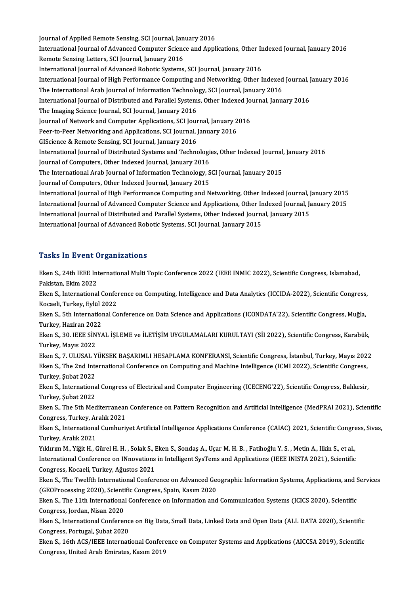Journal of Applied Remote Sensing, SCI Journal, January 2016<br>International Journal of Advanced Computer Science and Appl Journal of Applied Remote Sensing, SCI Journal, January 2016<br>International Journal of Advanced Computer Science and Applications, Other Indexed Journal, January 2016<br>Remete Sansing Letters, SCI Journal, January 2016 Journal of Applied Remote Sensing, SCI Journal, Jan<br>International Journal of Advanced Computer Scienc<br>Remote Sensing Letters, SCI Journal, January 2016<br>International Journal of Advanced Bobotic Systems International Journal of Advanced Computer Science and Applications, Other In<br>Remote Sensing Letters, SCI Journal, January 2016<br>International Journal of Advanced Robotic Systems, SCI Journal, January 2016<br>International Jou Remote Sensing Letters, SCI Journal, January 2016<br>International Journal of Advanced Robotic Systems, SCI Journal, January 2016<br>International Journal of High Performance Computing and Networking, Other Indexed Journal, Janu International Journal of Advanced Robotic Systems, SCI Journal, January 2016<br>International Journal of High Performance Computing and Networking, Other Indexed<br>The International Arab Journal of Information Technology, SCI J International Journal of High Performance Computing and Networking, Other Indexed Journal, J<br>The International Arab Journal of Information Technology, SCI Journal, January 2016<br>International Journal of Distributed and Para The International Arab Journal of Information Technolo<br>International Journal of Distributed and Parallel System:<br>The Imaging Science Journal, SCI Journal, January 2016<br>Journal of Network and Computer Applications, SCI Jour International Journal of Distributed and Parallel Systems, Other Indexed Jo<br>The Imaging Science Journal, SCI Journal, January 2016<br>Journal of Network and Computer Applications, SCI Journal, January 2016<br>Peer to Peer Networ The Imaging Science Journal, SCI Journal, January 2016<br>Journal of Network and Computer Applications, SCI Journal, January 2<br>Peer-to-Peer Networking and Applications, SCI Journal, January 2016<br>CISciance & Pemete Sensing, SC Journal of Network and Computer Applications, SCI Journal, J<br>Peer-to-Peer Networking and Applications, SCI Journal, J<br>GIScience & Remote Sensing, SCI Journal, January 2016<br>International Journal of Distributed Systems and T Peer-to-Peer Networking and Applications, SCI Journal, January 2016<br>GIScience & Remote Sensing, SCI Journal, January 2016<br>International Journal of Distributed Systems and Technologies, Other Indexed Journal, January 2016 Journal of Computers, Other Indexed Journal, January 2016 International Journal of Distributed Systems and Technologies, Other Indexed Journal,<br>Journal of Computers, Other Indexed Journal, January 2016<br>The International Arab Journal of Information Technology, SCI Journal, January Journal of Computers, Other Indexed Journal, January 2016<br>The International Arab Journal of Information Technology, S<br>Journal of Computers, Other Indexed Journal, January 2015<br>International Journal of High Berformance Comp The International Arab Journal of Information Technology, SCI Journal, January 2015<br>Journal of Computers, Other Indexed Journal, January 2015<br>International Journal of High Performance Computing and Networking, Other Indexe Journal of Computers, Other Indexed Journal, January 2015<br>International Journal of High Performance Computing and Networking, Other Indexed Journal, January 2015<br>International Journal of Advanced Computer Science and Appli International Journal of High Performance Computing and Networking, Other Indexed Journal, J<br>International Journal of Advanced Computer Science and Applications, Other Indexed Journal, Ja<br>International Journal of Distribut International Journal of Advanced Computer Science and Applications, Other Indexed Journal, January 2015<br>International Journal of Distributed and Parallel Systems, Other Indexed Journal, January 2015<br>International Journal

#### **Tasks In Event Organizations**

Tasks In Event Organizations<br>Eken S., 24th IEEE International Multi Topic Conference 2022 (IEEE INMIC 2022), Scientific Congress, Islamabad,<br>Rekistan, Ekim 2022 Pakistan, 2011<br>Pakistan, Ekim 2022<br>Ekon S. International Eken S., 24th IEEE International Multi Topic Conference 2022 (IEEE INMIC 2022), Scientific Congress, Islamabad,<br>Pakistan, Ekim 2022<br>Eken S., International Conference on Computing, Intelligence and Data Analytics (ICCIDA-20 Pakistan, Ekim 2022<br>Eken S., International Confer<br>Kocaeli, Turkey, Eylül 2022<br>Eken S. Eth International Co Eken S., International Conference on Computing, Intelligence and Data Analytics (ICCIDA-2022), Scientific Congress,<br>Kocaeli, Turkey, Eylül 2022<br>Eken S., 5th International Conference on Data Science and Applications (ICONDA Kocaeli, Turkey, Eylül 2022<br>Eken S., 5th International Conference on Data Science and Applications (ICONDATA'22), Scientific Congress, Muğla,<br>Turkey, Haziran 2022 Eken S., 5th International Conference on Data Science and Applications (ICONDATA'22), Scientific Congress, Muğla,<br>Turkey, Haziran 2022<br>Eken S., 30. IEEE SİNYAL İŞLEME ve İLETİŞİM UYGULAMALARI KURULTAYI (SİI 2022), Scientif Turkey, Haziran 202<br>Eken S., 30. IEEE SİN<br>Turkey, Mayıs 2022<br>Ekan S. 7. UU USAL Y Eken S., 30. IEEE SİNYAL İŞLEME ve İLETİŞİM UYGULAMALARI KURULTAYI (SİI 2022), Scientific Congress, Karabük,<br>Turkey, Mayıs 2022<br>Eken S., 7. ULUSAL YÜKSEK BAŞARIMLI HESAPLAMA KONFERANSI, Scientific Congress, İstanbul, Turke Turkey, Mayıs 2022<br>Eken S., 7. ULUSAL YÜKSEK BAŞARIMLI HESAPLAMA KONFERANSI, Scientific Congress, İstanbul, Turkey, Mayıs 202:<br>Eken S., The 2nd International Conference on Computing and Machine Intelligence (ICMI 2022), Sc Eken S., 7. ULUSAL Y<br>Eken S., The 2nd Inte<br>Turkey, Şubat 2022<br>Ekan S. Internations Eken S., The 2nd International Conference on Computing and Machine Intelligence (ICMI 2022), Scientific Congress,<br>Turkey, Şubat 2022<br>Eken S., International Congress of Electrical and Computer Engineering (ICECENG'22), Scie Turkey, Şubat 2022<br>Eken S., Internationa<br>Turkey, Şubat 2022<br>Eken S., The 5th Med Eken S., International Congress of Electrical and Computer Engineering (ICECENG'22), Scientific Congress, Balıkesir,<br>Turkey, Şubat 2022<br>Eken S., The 5th Mediterranean Conference on Pattern Recognition and Artificial Intell Turkey, Şubat 2022<br>Eken S., The 5th Mediterranean Conference on Pattern Recognition and Artificial Intelligence (MedPRAI 2021), Scientific<br>Congress, Turkey, Aralık 2021 Eken S., The 5th Mediterranean Conference on Pattern Recognition and Artificial Intelligence (MedPRAI 2021), Scientific<br>Congress, Turkey, Aralık 2021<br>Eken S., International Cumhuriyet Artificial Intelligence Applications C Congress, Turkey, Aralık<br>Eken S., Internationa<br>Turkey, Aralık 2021<br>Yıldınım M. Yiğit H. G Eken S., International Cumhuriyet Artificial Intelligence Applications Conference (CAIAC) 2021, Scientific Congre<br>Turkey, Aralık 2021<br>Yıldırım M., Yiğit H., Gürel H. H. , Solak S., Eken S., Sondaş A., Uçar M. H. B. , Fatih Turkey, Aralık 2021<br>Yıldırım M., Yiğit H., Gürel H. H. , Solak S., Eken S., Sondaş A., Uçar M. H. B. , Fatihoğlu Y. S. , Metin A., Ilkin S., et al.,<br>International Conference on INnovations in Intelligent SysTems and Applic Yıldırım M., Yiğit H., Gürel H. H. , Solak S., I<br>International Conference on INnovations<br>Congress, Kocaeli, Turkey, Ağustos 2021<br>Ekon S. The Twelfth International Confer International Conference on INnovations in Intelligent SysTems and Applications (IEEE INISTA 2021), Scientific<br>Congress, Kocaeli, Turkey, Ağustos 2021<br>Eken S., The Twelfth International Conference on Advanced Geographic In Congress, Kocaeli, Turkey, Ağustos 2021<br>Eken S., The Twelfth International Conference on Advanced George<br>(GEOProcessing 2020), Scientific Congress, Spain, Kasım 2020<br>Ekan S., The 11th International Conference on Informatio Eken S., The Twelfth International Conference on Advanced Geographic Information Systems, Applications, and S.<br>(GEOProcessing 2020), Scientific Congress, Spain, Kasım 2020<br>Eken S., The 11th International Conference on Info (GEOProcessing 2020), Scientific Congress, Spain, Kasım 2020<br>Eken S., The 11th International Conference on Information and Communication Systems (ICICS 2020), Scientific<br>Congress, Jordan, Nisan 2020 Eken S., The 11th International Conference on Information and Communication Systems (ICICS 2020), Scientific<br>Congress, Jordan, Nisan 2020<br>Eken S., International Conference on Big Data, Small Data, Linked Data and Open Data Congress, Jordan, Nisan 2020<br>Eken S., International Conferenc<br>Congress, Portugal, Şubat 2020<br>Eken S. 16th ACS (JEEE Internati Eken S., International Conference on Big Data, Small Data, Linked Data and Open Data (ALL DATA 2020), Scientific<br>Congress, Portugal, Şubat 2020<br>Eken S., 16th ACS/IEEE International Conference on Computer Systems and Applic Congress, Portugal, Şubat 2020<br>Eken S., 16th ACS/IEEE International Conference on Computer Systems and Applications (AICCSA 2019), Scientific<br>Congress, United Arab Emirates, Kasım 2019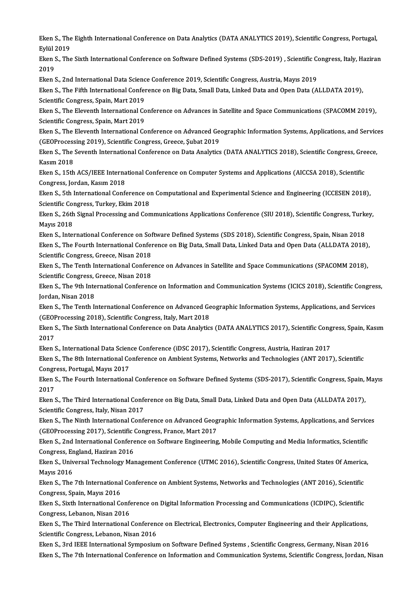Eken S., The Eighth International Conference on Data Analytics (DATA ANALYTICS 2019), Scientific Congress, Portugal,<br>Frijil 2010 Eken S., The<br>Eylül 2019<br>Eken S. The Eken S., The Eighth International Conference on Data Analytics (DATA ANALYTICS 2019), Scientific Congress, Portugal,<br>Eylül 2019<br>Eken S., The Sixth International Conference on Software Defined Systems (SDS-2019) , Scientifi

Eylül 2019<br>Eken S., The Sixth International Conference on Software Defined Systems (SDS-2019) , Scientific Congress, Italy, Haziran<br>2019 Eken S., The Sixth International Conference on Software Defined Systems (SDS-2019) , Scientific Co<br>2019<br>Eken S., 2nd International Data Science Conference 2019, Scientific Congress, Austria, Mayıs 2019<br>Eken S., The Fifth I

Eken S., The Fifth International Conference on Big Data, Small Data, Linked Data and Open Data (ALLDATA 2019),<br>Scientific Congress, Spain, Mart 2019 Eken S., 2nd International Data Scienc<br>Eken S., The Fifth International Confer<br>Scientific Congress, Spain, Mart 2019<br>Eken S. The Eleventh International Co Eken S., The Fifth International Conference on Big Data, Small Data, Linked Data and Open Data (ALLDATA 2019),<br>Scientific Congress, Spain, Mart 2019<br>Eken S., The Eleventh International Conference on Advances in Satellite a

Scientific Congress, Spain, Mart 2019<br>Eken S., The Eleventh International Co<br>Scientific Congress, Spain, Mart 2019<br>Eken S., The Eleventh International Co Eken S., The Eleventh International Conference on Advances in Satellite and Space Communications (SPACOMM 2019),<br>Scientific Congress, Spain, Mart 2019<br>Eken S., The Eleventh International Conference on Advanced Geographic I

Scientific Congress, Spain, Mart 2019<br>Eken S., The Eleventh International Conference on Advanced Ge<br>(GEOProcessing 2019), Scientific Congress, Greece, Şubat 2019<br>Eken S., The Seventh International Conference on Data Analyt Eken S., The Eleventh International Conference on Advanced Geographic Information Systems, Applications, and Service<br>(GEOProcessing 2019), Scientific Congress, Greece, Şubat 2019<br>Eken S., The Seventh International Conferen

(GEOProcessing 2019), Scientific Congress, Greece, Şubat 2019<br>Eken S., The Seventh International Conference on Data Analytics (DATA ANALYTICS 2018), Scientific Congress, Greece,<br>Kasım 2018 Eken S., The Seventh International Conference on Data Analytics (DATA ANALYTICS 2018), Scientific Congress, Gre<br>Kasım 2018<br>Eken S., 15th ACS/IEEE International Conference on Computer Systems and Applications (AICCSA 2018),

Kasım 2018<br>Eken S., 15th ACS/IEEE Interna<br>Congress, Jordan, Kasım 2018<br>Eken S. 5th International Conf Eken S., 15th ACS/IEEE International Conference on Computer Systems and Applications (AICCSA 2018), Scientific<br>Congress, Jordan, Kasım 2018<br>Eken S., 5th International Conference on Computational and Experimental Science an

Congress, Jordan, Kasım 2018<br>Eken S., 5th International Conference of<br>Scientific Congress, Turkey, Ekim 2018<br>Eken S. 36th Signal Presessing and Can Eken S., 5th International Conference on Computational and Experimental Science and Engineering (ICCESEN 2018),<br>Scientific Congress, Turkey, Ekim 2018<br>Eken S., 26th Signal Processing and Communications Applications Confere

Scientific Congress, Turkey, Ekim 2018<br>Eken S., 26th Signal Processing and Communications Applications Conference (SIU 2018), Scientific Congress, Turkey,<br>Mayıs 2018 Eken S., 26th Signal Processing and Communications Applications Conference (SIU 2018), Scientific Congress, Turk<br>Mayıs 2018<br>Eken S., International Conference on Software Defined Systems (SDS 2018), Scientific Congress, Spa

Mayıs 2018<br>Eken S., International Conference on Software Defined Systems (SDS 2018), Scientific Congress, Spain, Nisan 2018<br>Eken S., The Fourth International Conference on Big Data, Small Data, Linked Data and Open Data (A Eken S., International Conference on Sof<br>Eken S., The Fourth International Confer<br>Scientific Congress, Greece, Nisan 2018<br>Eken S., The Tonth International Confere Eken S., The Fourth International Conference on Big Data, Small Data, Linked Data and Open Data (ALLDATA 2018)<br>Scientific Congress, Greece, Nisan 2018<br>Eken S., The Tenth International Conference on Advances in Satellite an

Scientific Congress, Greece, Nisan 2018<br>Eken S., The Tenth International Confere<br>Scientific Congress, Greece, Nisan 2018<br>Eken S., The 9th International Conferenc Eken S., The Tenth International Conference on Advances in Satellite and Space Communications (SPACOMM 2018),<br>Scientific Congress, Greece, Nisan 2018<br>Eken S., The 9th International Conference on Information and Communicati

Scientific Congress, O<br>Eken S., The 9th Inte<br>Jordan, Nisan 2018<br>Eken S., The Tenth I. Eken S., The 9th International Conference on Information and Communication Systems (ICICS 2018), Scientific Congres<br>Jordan, Nisan 2018<br>Eken S., The Tenth International Conference on Advanced Geographic Information Systems,

Jordan, Nisan 2018<br>Eken S., The Tenth International Conference on Advanced Geographic Information Systems, Applications, and Services<br>(GEOProcessing 2018), Scientific Congress, Italy, Mart 2018 Eken S., The Tenth International Conference on Advanced Geographic Information Systems, Applications, and Services<br>(GEOProcessing 2018), Scientific Congress, Italy, Mart 2018<br>Eken S., The Sixth International Conference on

(GEOF<br>Eken<br>2017<br>Eken Eken S., The Sixth International Conference on Data Analytics (DATA ANALYTICS 2017), Scientific Cong<br>2017<br>Eken S., International Data Science Conference (iDSC 2017), Scientific Congress, Austria, Haziran 2017<br>Eken S., Inte

2017<br>Eken S., International Data Science Conference (iDSC 2017), Scientific Congress, Austria, Haziran 2017<br>Eken S., The 8th International Conference on Ambient Systems, Networks and Technologies (ANT 2017), Scientific<br>Con Eken S., International Data Scien<br>Eken S., The 8th International Co<br>Congress, Portugal, Mayıs 2017<br>Eken S. The Fourth Internationa Eken S., The 8th International Conference on Ambient Systems, Networks and Technologies (ANT 2017), Scientific<br>Congress, Portugal, Mayıs 2017<br>Eken S., The Fourth International Conference on Software Defined Systems (SDS-20

Congress, Portugal, Mayıs 2017<br>Eken S., The Fourth Internation<br>2017 Eken S., The Fourth International Conference on Software Defined Systems (SDS-2017), Scientific Congress, Spain,<br>2017<br>Eken S., The Third International Conference on Big Data, Small Data, Linked Data and Open Data (ALLDATA

Eken S., The Third International Conference on Big Data, Small Data, Linked Data and Open Data (ALLDATA 2017),<br>Scientific Congress, Italy, Nisan 2017 Eken S., The Third International Conference on Big Data, Small Data, Linked Data and Open Data (ALLDATA 2017),<br>Scientific Congress, Italy, Nisan 2017<br>Eken S., The Ninth International Conference on Advanced Geographic Infor

Scientific Congress, Italy, Nisan 2017<br>Eken S., The Ninth International Conference on Advanced Geog<br>(GEOProcessing 2017), Scientific Congress, France, Mart 2017<br>Flen S. 2nd International Conference on Software Engineering Eken S., The Ninth International Conference on Advanced Geographic Information Systems, Applications, and Service<br>(GEOProcessing 2017), Scientific Congress, France, Mart 2017<br>Eken S., 2nd International Conference on Softwa

(GEOProcessing 2017), Scientific Congress, France, Mart 2017<br>Eken S., 2nd International Conference on Software Engineering, Mobile Computing and Media Informatics, Scientific<br>Congress, England, Haziran 2016 Eken S., 2nd International Conference on Software Engineering, Mobile Computing and Media Informatics, Scientific<br>Congress, England, Haziran 2016<br>Eken S., Universal Technology Management Conference (UTMC 2016), Scientific

Congress, Er<br>Eken S., Univ<br>Mayıs 2016<br>Eken S. The Eken S., Universal Technology Management Conference (UTMC 2016), Scientific Congress, United States Of America<br>Mayıs 2016<br>Eken S., The 7th International Conference on Ambient Systems, Networks and Technologies (ANT 2016),

Mayıs 2016<br>Eken S., The 7th International Conference on Ambient Systems, Networks and Technologies (ANT 2016), Scientific<br>Congress, Spain, Mayıs 2016 Eken S., The 7th International Conference on Ambient Systems, Networks and Technologies (ANT 2016), Scientific<br>Congress, Spain, Mayıs 2016<br>Eken S., Sixth International Conference on Digital Information Processing and Commu

Congress, Spain, Mayıs 2016<br>Eken S., Sixth International Confe<br>Congress, Lebanon, Nisan 2016<br>Eken S., The Third International Eken S., Sixth International Conference on Digital Information Processing and Communications (ICDIPC), Scientific<br>Congress, Lebanon, Nisan 2016<br>Eken S., The Third International Conference on Electrical, Electronics, Comput

Congress, Lebanon, Nisan 2016<br>Eken S., The Third International Conference<br>Scientific Congress, Lebanon, Nisan 2016<br>Eken S. 2rd JEEE International Sumperium Scientific Congress, Lebanon, Nisan 2016<br>Eken S., 3rd IEEE International Symposium on Software Defined Systems , Scientific Congress, Germany, Nisan 2016

Eken S., The 7th International Conference on Information and Communication Systems, Scientific Congress, Jordan, Nisan